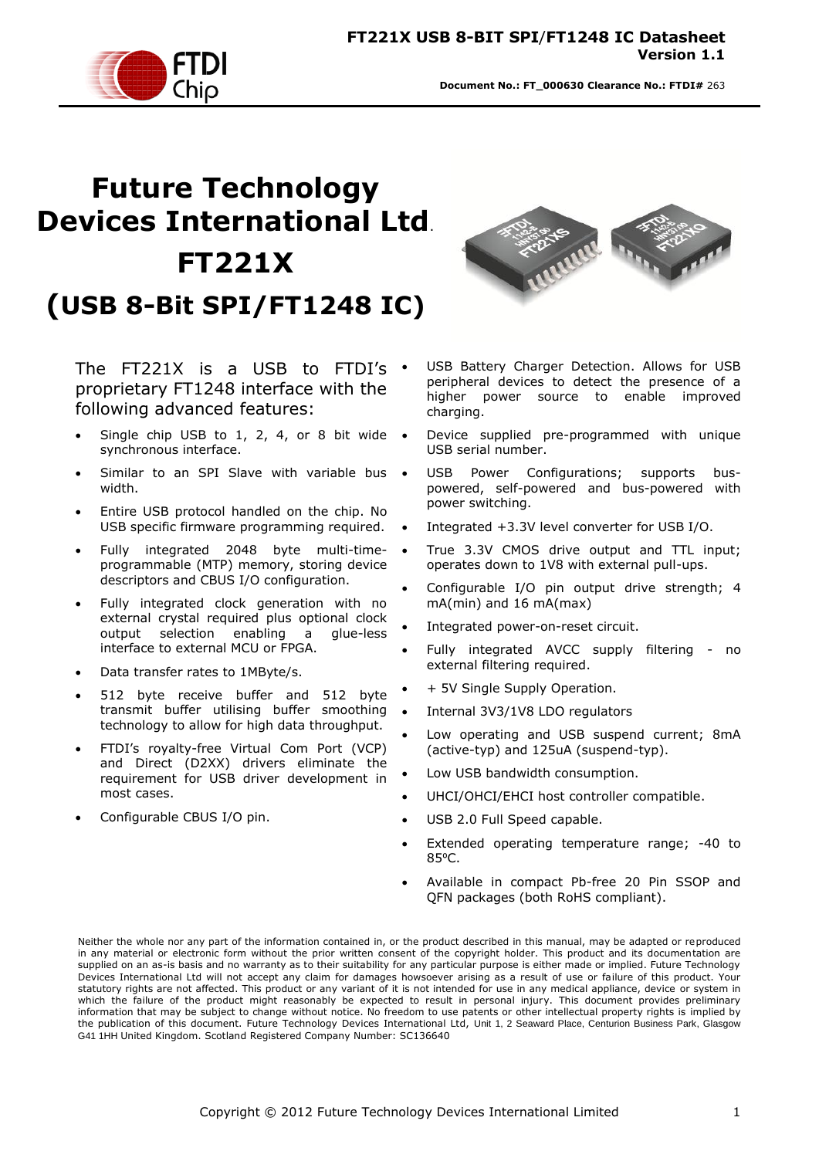# **Future Technology Devices International Ltd**. **FT221X (USB 8-Bit SPI/FT1248 IC)**

The FT221X is a USB to FTDI's  $\cdot$ proprietary FT1248 interface with the following advanced features:

- Single chip USB to 1, 2, 4, or 8 bit wide  $\bullet$ synchronous interface.
- Similar to an SPI Slave with variable bus . width.
- Entire USB protocol handled on the chip. No USB specific firmware programming required.
- Fully integrated 2048 byte multi-timeprogrammable (MTP) memory, storing device descriptors and CBUS I/O configuration.
- Fully integrated clock generation with no external crystal required plus optional clock output selection enabling a glue-less interface to external MCU or FPGA.
- Data transfer rates to 1MByte/s.
- 512 byte receive buffer and 512 byte transmit buffer utilising buffer smoothing technology to allow for high data throughput.
- FTDI"s royalty-free Virtual Com Port (VCP) and Direct (D2XX) drivers eliminate the requirement for USB driver development in most cases.
- Configurable CBUS I/O pin.



- USB Battery Charger Detection. Allows for USB peripheral devices to detect the presence of a higher power source to enable improved charging.
- Device supplied pre-programmed with unique USB serial number.
- USB Power Configurations; supports buspowered, self-powered and bus-powered with power switching.
- Integrated +3.3V level converter for USB I/O.
- True 3.3V CMOS drive output and TTL input; operates down to 1V8 with external pull-ups.
- Configurable I/O pin output drive strength; 4 mA(min) and 16 mA(max)
- Integrated power-on-reset circuit.
- Fully integrated AVCC supply filtering no external filtering required.
- + 5V Single Supply Operation.
- Internal 3V3/1V8 LDO regulators
- Low operating and USB suspend current; 8mA (active-typ) and 125uA (suspend-typ).
- Low USB bandwidth consumption.
- UHCI/OHCI/EHCI host controller compatible.
- USB 2.0 Full Speed capable.
- Extended operating temperature range; -40 to 85<sup>o</sup>C.
- Available in compact Pb-free 20 Pin SSOP and QFN packages (both RoHS compliant).

Neither the whole nor any part of the information contained in, or the product described in this manual, may be adapted or reproduced in any material or electronic form without the prior written consent of the copyright holder. This product and its documentation are supplied on an as-is basis and no warranty as to their suitability for any particular purpose is either made or implied. Future Technology Devices International Ltd will not accept any claim for damages howsoever arising as a result of use or failure of this product. Your statutory rights are not affected. This product or any variant of it is not intended for use in any medical appliance, device or system in which the failure of the product might reasonably be expected to result in personal injury. This document provides preliminary information that may be subject to change without notice. No freedom to use patents or other intellectual property rights is implied by the publication of this document. Future Technology Devices International Ltd, Unit 1, 2 Seaward Place, Centurion Business Park, Glasgow G41 1HH United Kingdom. Scotland Registered Company Number: SC136640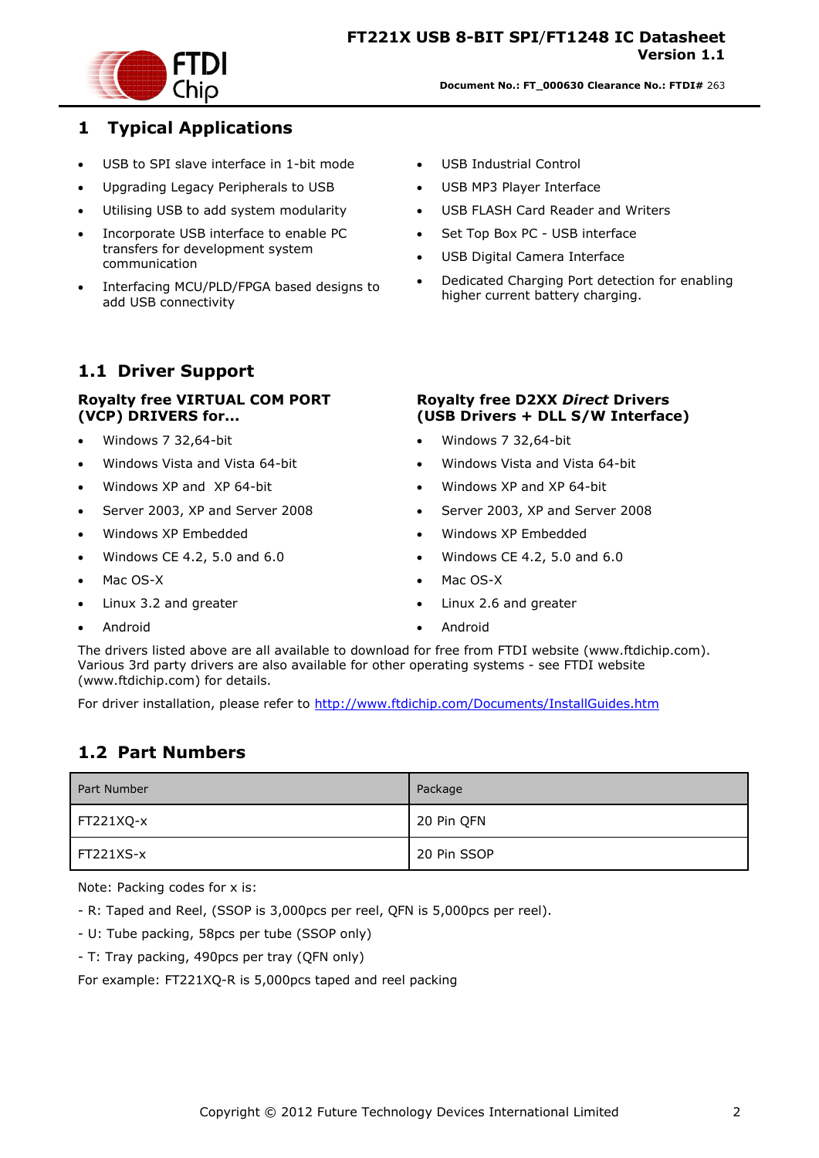

#### <span id="page-1-0"></span>**1 Typical Applications**

- USB to SPI slave interface in 1-bit mode
- Upgrading Legacy Peripherals to USB
- Utilising USB to add system modularity
- Incorporate USB interface to enable PC transfers for development system communication
- Interfacing MCU/PLD/FPGA based designs to add USB connectivity

### <span id="page-1-1"></span>**1.1 Driver Support**

#### **Royalty free VIRTUAL COM PORT (VCP) DRIVERS for...**

- Windows 7 32,64-bit
- Windows Vista and Vista 64-bit
- Windows XP and XP 64-bit
- Server 2003, XP and Server 2008
- Windows XP Embedded
- $\bullet$  Windows CE 4.2, 5.0 and 6.0
- Mac OS-X
- Linux 3.2 and greater
- Android
- USB Industrial Control
- USB MP3 Player Interface
- USB FLASH Card Reader and Writers
- Set Top Box PC USB interface
- USB Digital Camera Interface
- Dedicated Charging Port detection for enabling higher current battery charging.

#### **Royalty free D2XX** *Direct* **Drivers (USB Drivers + DLL S/W Interface)**

- Windows 7 32,64-bit
- Windows Vista and Vista 64-bit
- Windows XP and XP 64-bit
- Server 2003, XP and Server 2008
- Windows XP Embedded
- Windows CE 4.2, 5.0 and 6.0
- Mac OS-X
- Linux 2.6 and greater
- Android

The drivers listed above are all available to download for free from [FTDI website](http://www.ftdichip.com/) [\(www.ftdichip.com\)](file://glaspssv1/General/Engineering/Engineering%20_Documents/DS_FT232R/DS_FT232R_V200/www.ftdichip.com). Various 3rd party drivers are also available for other operating systems - see [FTDI website](http://www.ftdichip.com/) [\(www.ftdichip.com\)](http://www.ftdichip.com/) for details.

For driver installation, please refer to <http://www.ftdichip.com/Documents/InstallGuides.htm>

#### <span id="page-1-2"></span>**1.2 Part Numbers**

| Part Number | Package     |
|-------------|-------------|
| FT221XQ-x   | 20 Pin QFN  |
| FT221XS-x   | 20 Pin SSOP |

Note: Packing codes for x is:

- R: Taped and Reel, (SSOP is 3,000pcs per reel, QFN is 5,000pcs per reel).

- U: Tube packing, 58pcs per tube (SSOP only)
- T: Tray packing, 490pcs per tray (QFN only)

For example: FT221XQ-R is 5,000pcs taped and reel packing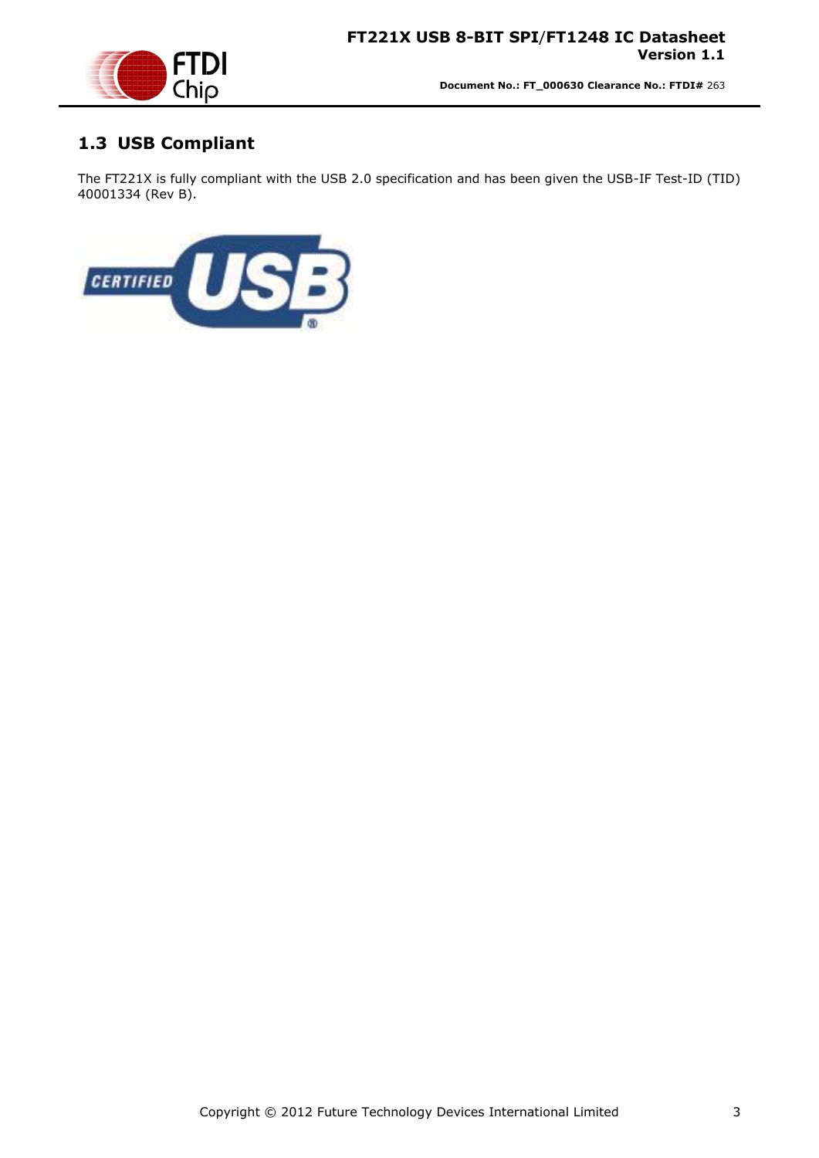

# <span id="page-2-0"></span>**1.3 USB Compliant**

The FT221X is fully compliant with the USB 2.0 specification and has been given the USB-IF Test-ID (TID) 40001334 (Rev B).

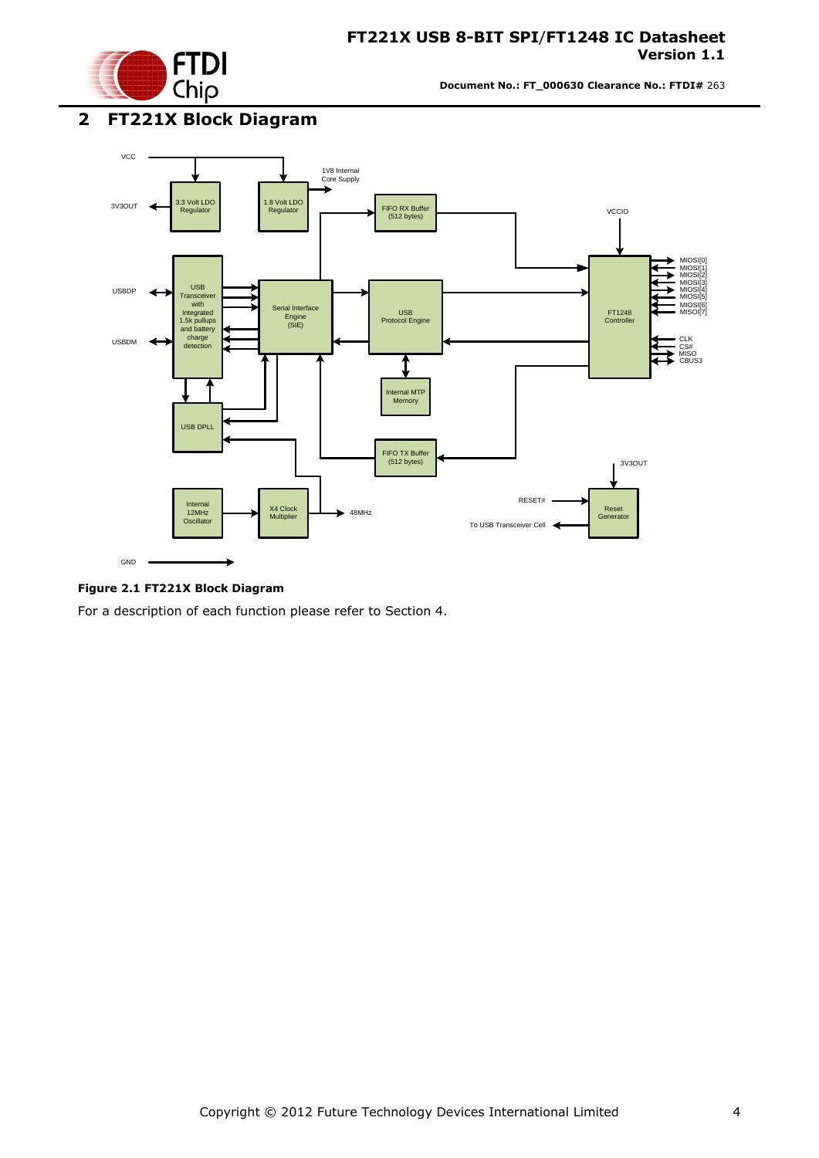

### <span id="page-3-0"></span>**2 FT221X Block Diagram**



#### <span id="page-3-1"></span>**Figure 2.1 FT221X Block Diagram**

For a description of each function please refer to Section 4.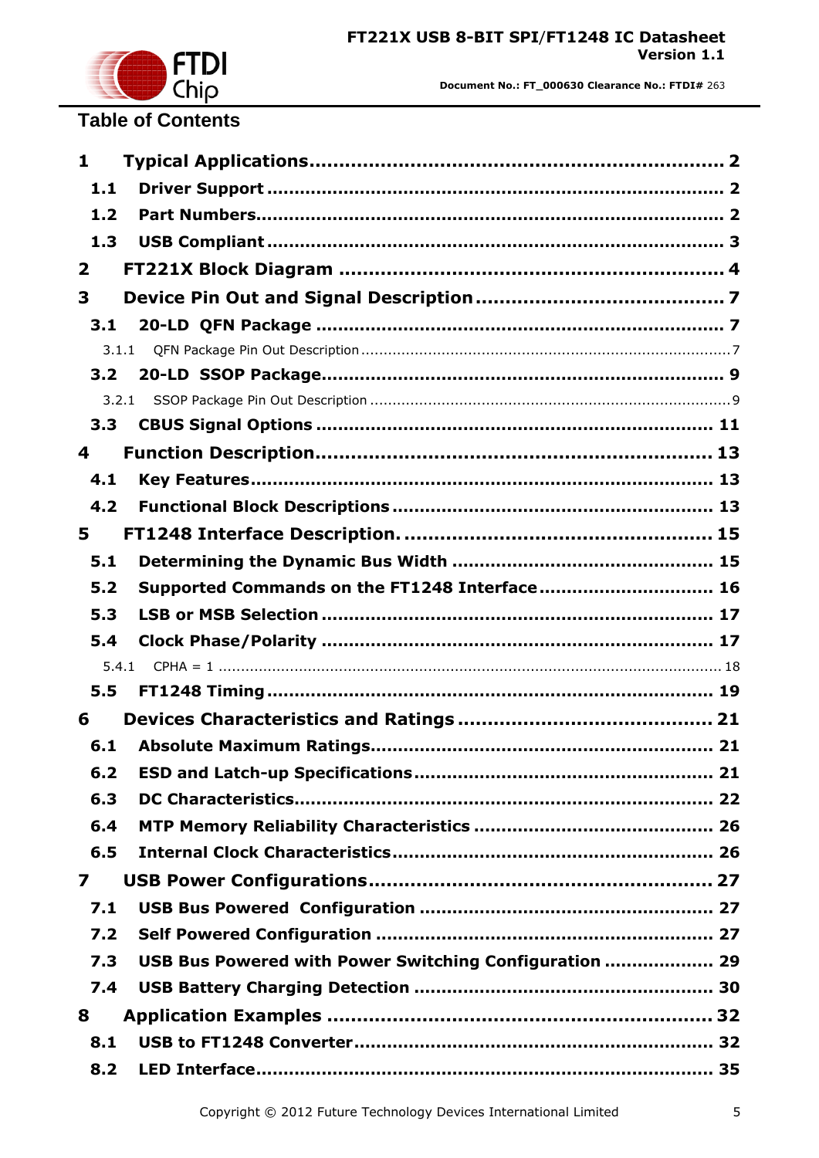

# **Table of Contents**

| 1                       |                                                        |  |
|-------------------------|--------------------------------------------------------|--|
| 1.1                     |                                                        |  |
| 1.2                     |                                                        |  |
| 1.3                     |                                                        |  |
| $\overline{\mathbf{2}}$ |                                                        |  |
| 3                       |                                                        |  |
| 3.1                     |                                                        |  |
|                         | 3.1.1                                                  |  |
| 3.2                     |                                                        |  |
|                         | 3.2.1                                                  |  |
| 3.3                     |                                                        |  |
| 4                       |                                                        |  |
| 4.1                     |                                                        |  |
| 4.2                     |                                                        |  |
| 5                       |                                                        |  |
| 5.1                     |                                                        |  |
| 5.2                     | Supported Commands on the FT1248 Interface 16          |  |
| 5.3                     |                                                        |  |
| 5.4                     |                                                        |  |
|                         | 5.4.1                                                  |  |
| 5.5                     |                                                        |  |
| 6                       |                                                        |  |
| 6.1                     |                                                        |  |
| 6.2                     |                                                        |  |
| 6.3                     |                                                        |  |
| 6.4                     |                                                        |  |
| 6.5                     |                                                        |  |
| 7                       |                                                        |  |
| 7.1                     |                                                        |  |
| 7.2                     |                                                        |  |
| 7.3                     | USB Bus Powered with Power Switching Configuration  29 |  |
| 7.4                     |                                                        |  |
| 8                       |                                                        |  |
| 8.1                     |                                                        |  |
| 8.2                     |                                                        |  |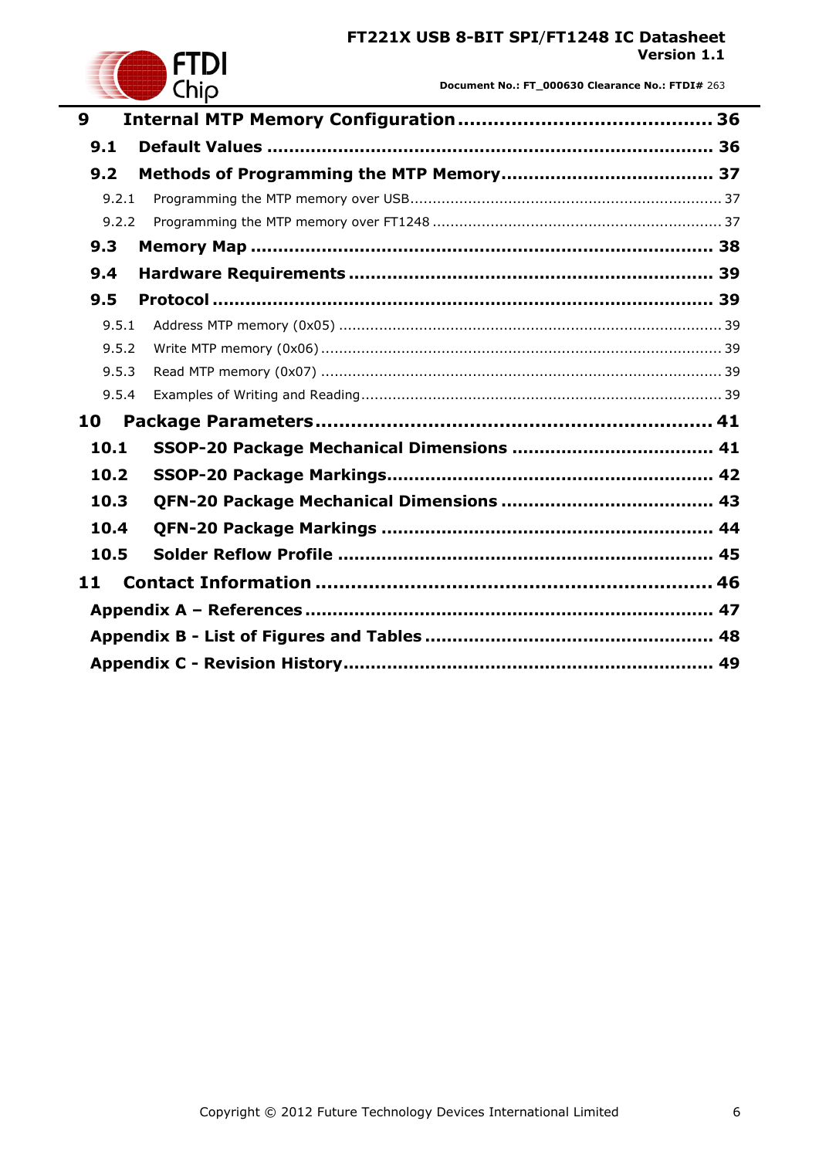

**Document No.: FT\_000630 Clearance No.: FTDI#** 263

| 9     |  |
|-------|--|
| 9.1   |  |
| 9.2   |  |
| 9.2.1 |  |
| 9.2.2 |  |
| 9.3   |  |
| 9.4   |  |
| 9.5   |  |
| 9.5.1 |  |
| 9.5.2 |  |
| 9.5.3 |  |
| 9.5.4 |  |
| 10    |  |
| 10.1  |  |
| 10.2  |  |
| 10.3  |  |
| 10.4  |  |
| 10.5  |  |
| 11    |  |
|       |  |
|       |  |
|       |  |
|       |  |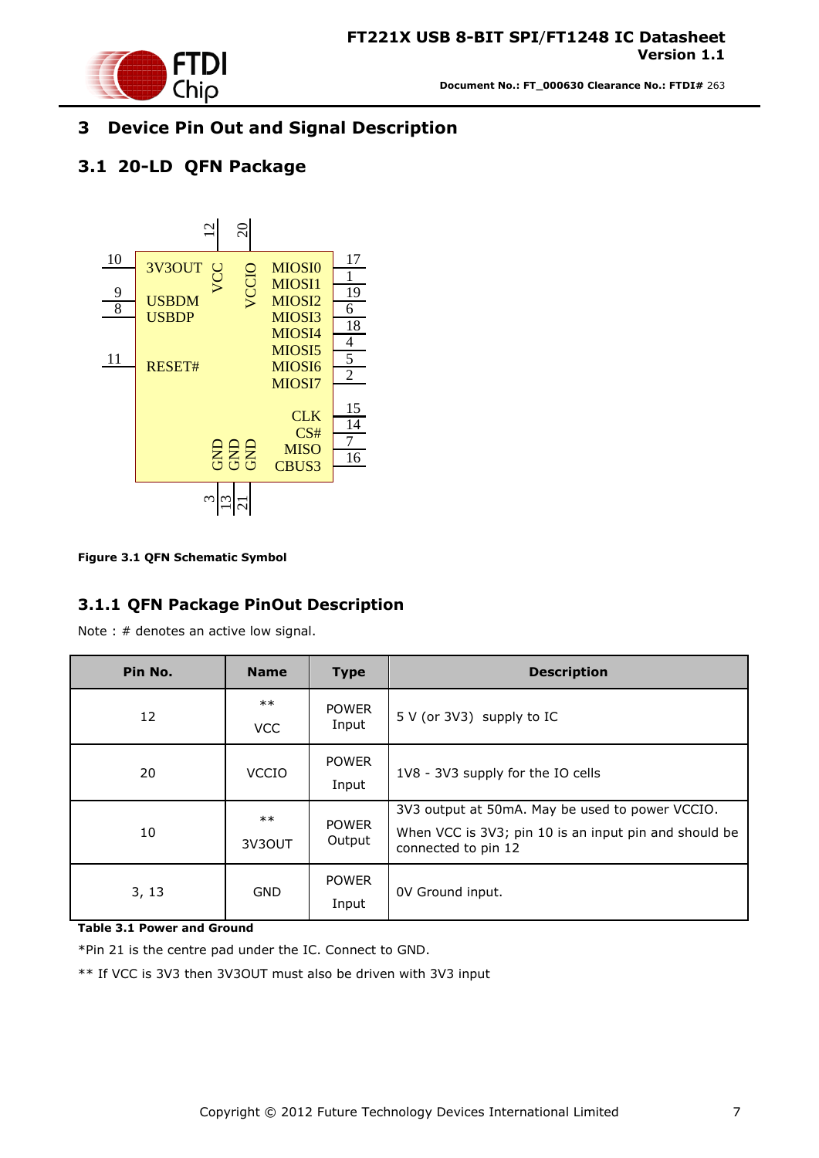

### <span id="page-6-0"></span>**3 Device Pin Out and Signal Description**

### <span id="page-6-1"></span>**3.1 20-LD QFN Package**



<span id="page-6-3"></span>**Figure 3.1 QFN Schematic Symbol**

#### <span id="page-6-2"></span>**3.1.1 QFN Package PinOut Description**

Note : # denotes an active low signal.

| Pin No. | <b>Name</b>         | <b>Type</b>            | <b>Description</b>                                                                                                              |  |  |  |
|---------|---------------------|------------------------|---------------------------------------------------------------------------------------------------------------------------------|--|--|--|
| 12      | $***$<br><b>VCC</b> | <b>POWER</b><br>Input  | 5 V (or 3V3) supply to IC                                                                                                       |  |  |  |
| 20      | <b>VCCIO</b>        | <b>POWER</b><br>Input  | 1V8 - 3V3 supply for the IO cells                                                                                               |  |  |  |
| 10      | $***$<br>3V3OUT     | <b>POWER</b><br>Output | 3V3 output at 50mA. May be used to power VCCIO.<br>When VCC is 3V3; pin 10 is an input pin and should be<br>connected to pin 12 |  |  |  |
| 3, 13   | <b>GND</b>          | <b>POWER</b><br>Input  | OV Ground input.                                                                                                                |  |  |  |

<span id="page-6-4"></span>**Table 3.1 Power and Ground** 

\*Pin 21 is the centre pad under the IC. Connect to GND.

\*\* If VCC is 3V3 then 3V3OUT must also be driven with 3V3 input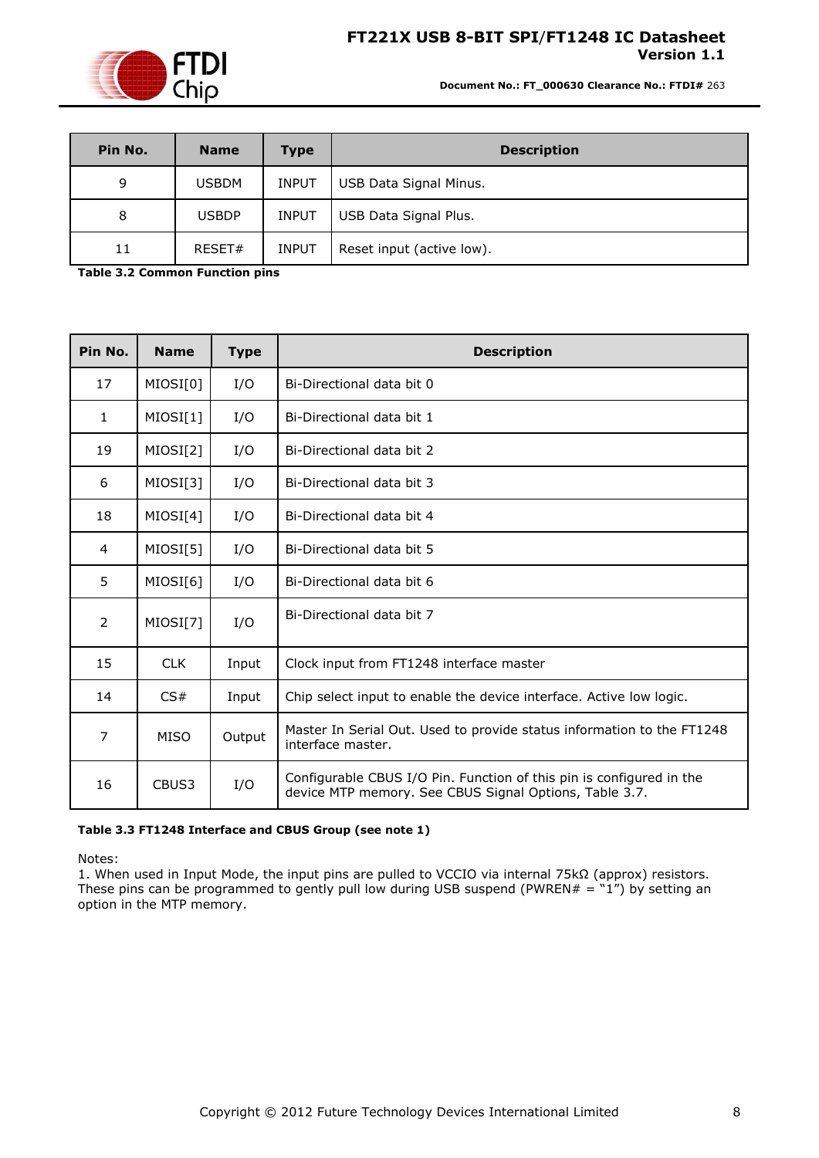

**Document No.: FT\_000630 Clearance No.: FTDI#** 263

| Pin No. | <b>Name</b>  | <b>Type</b>  | <b>Description</b>        |
|---------|--------------|--------------|---------------------------|
| 9       | <b>USBDM</b> | <b>INPUT</b> | USB Data Signal Minus.    |
| 8       | <b>USBDP</b> | <b>INPUT</b> | USB Data Signal Plus.     |
| 11      | RESET#       | <b>INPUT</b> | Reset input (active low). |

<span id="page-7-0"></span>**Table 3.2 Common Function pins** 

| Pin No.      | <b>Name</b> | <b>Type</b> | <b>Description</b>                                                                                                             |
|--------------|-------------|-------------|--------------------------------------------------------------------------------------------------------------------------------|
| 17           | MIOSI[0]    | I/O         | Bi-Directional data bit 0                                                                                                      |
| $\mathbf{1}$ | MIOSI[1]    | I/O         | Bi-Directional data bit 1                                                                                                      |
| 19           | MIOSI[2]    | I/O         | Bi-Directional data bit 2                                                                                                      |
| 6            | MIOSI[3]    | I/O         | Bi-Directional data bit 3                                                                                                      |
| 18           | MIOSI[4]    | I/O         | Bi-Directional data bit 4                                                                                                      |
| 4            | MIOSI[5]    | I/O         | Bi-Directional data bit 5                                                                                                      |
| 5            | MIOSI[6]    | I/O         | Bi-Directional data bit 6                                                                                                      |
| 2            | MIOSI[7]    | I/O         | Bi-Directional data bit 7                                                                                                      |
| 15           | <b>CLK</b>  | Input       | Clock input from FT1248 interface master                                                                                       |
| 14           | CS#         | Input       | Chip select input to enable the device interface. Active low logic.                                                            |
| 7            | <b>MISO</b> | Output      | Master In Serial Out. Used to provide status information to the FT1248<br>interface master.                                    |
| 16           | CBUS3       | I/O         | Configurable CBUS I/O Pin. Function of this pin is configured in the<br>device MTP memory. See CBUS Signal Options, Table 3.7. |

#### <span id="page-7-1"></span>**Table 3.3 FT1248 Interface and CBUS Group (see note 1)**

Notes:

1. When used in Input Mode, the input pins are pulled to VCCIO via internal 75kΩ (approx) resistors. These pins can be programmed to gently pull low during USB suspend (PWREN# =  $\degree$ 1") by setting an option in the MTP memory.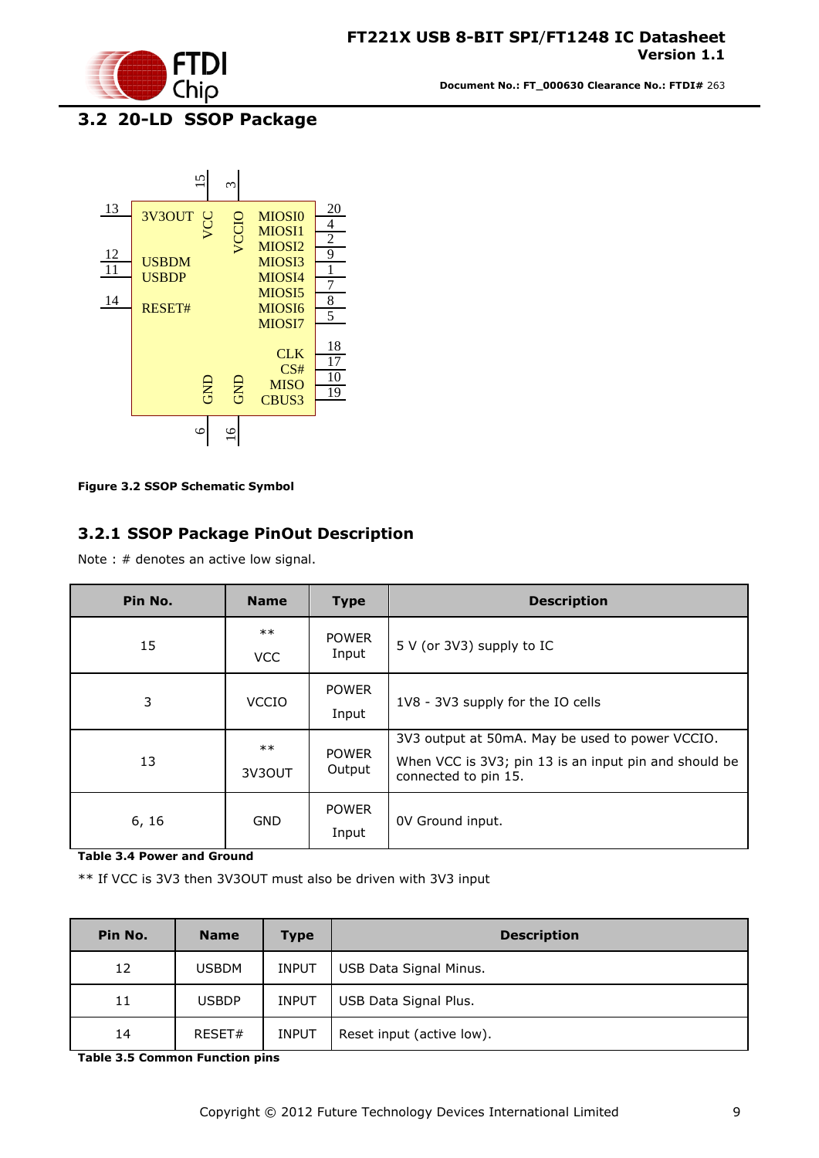

# <span id="page-8-0"></span>**3.2 20-LD SSOP Package**



<span id="page-8-2"></span>**Figure 3.2 SSOP Schematic Symbol**

#### <span id="page-8-1"></span>**3.2.1 SSOP Package PinOut Description**

Note : # denotes an active low signal.

| Pin No. | <b>Name</b>     | <b>Type</b>            | <b>Description</b>                                                                                                               |
|---------|-----------------|------------------------|----------------------------------------------------------------------------------------------------------------------------------|
| 15      | $***$<br>VCC    | <b>POWER</b><br>Input  | 5 V (or 3V3) supply to IC                                                                                                        |
| 3       | <b>VCCIO</b>    | <b>POWER</b><br>Input  | 1V8 - 3V3 supply for the IO cells                                                                                                |
| 13      | $***$<br>3V3OUT | <b>POWER</b><br>Output | 3V3 output at 50mA. May be used to power VCCIO.<br>When VCC is 3V3; pin 13 is an input pin and should be<br>connected to pin 15. |
| 6, 16   | <b>GND</b>      | <b>POWER</b><br>Input  | OV Ground input.                                                                                                                 |

<span id="page-8-3"></span>**Table 3.4 Power and Ground** 

\*\* If VCC is 3V3 then 3V3OUT must also be driven with 3V3 input

| Pin No. | <b>Name</b>  | <b>Type</b>  | <b>Description</b>        |
|---------|--------------|--------------|---------------------------|
| 12      | <b>USBDM</b> | <b>INPUT</b> | USB Data Signal Minus.    |
| 11      | <b>USBDP</b> | <b>INPUT</b> | USB Data Signal Plus.     |
| 14      | RESET#       | <b>INPUT</b> | Reset input (active low). |

<span id="page-8-4"></span>**Table 3.5 Common Function pins**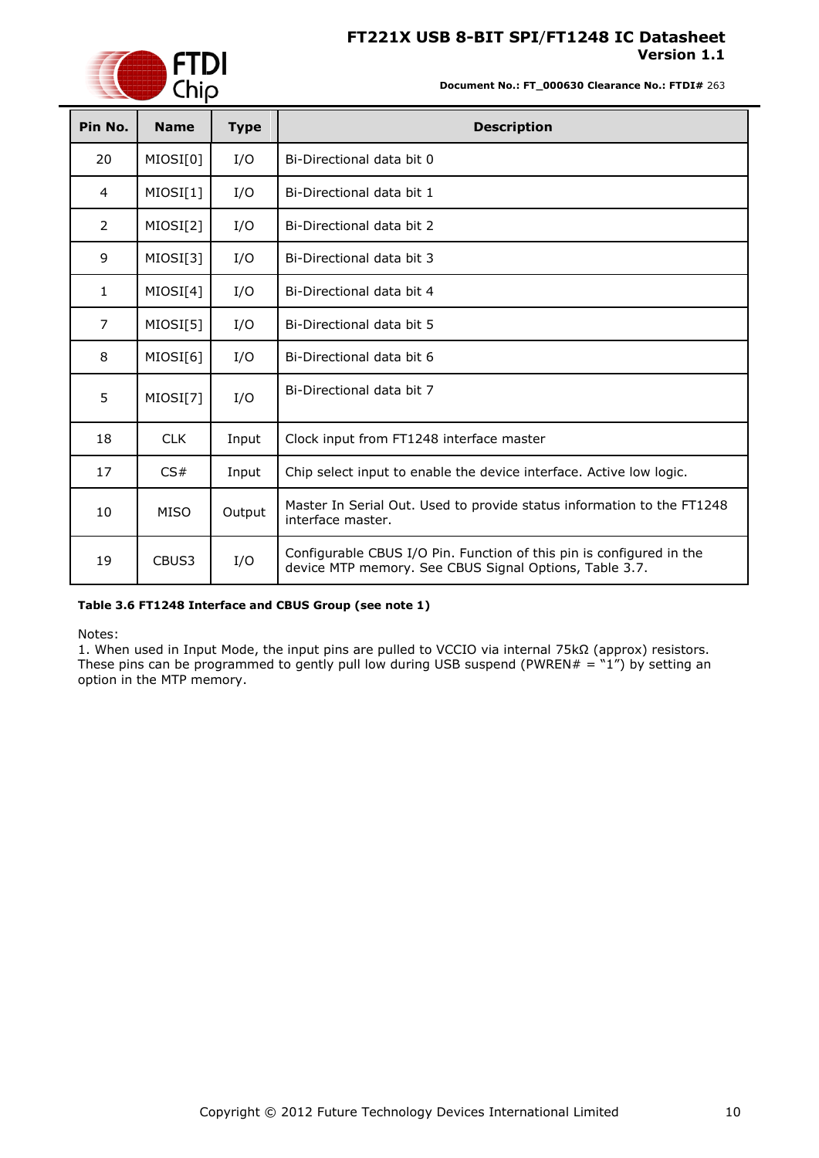

**Document No.: FT\_000630 Clearance No.: FTDI#** 263

| Pin No.        | <b>Name</b> | <b>Type</b> | <b>Description</b>                                                                                                             |
|----------------|-------------|-------------|--------------------------------------------------------------------------------------------------------------------------------|
| 20             | MIOSI[0]    | I/O         | Bi-Directional data bit 0                                                                                                      |
| 4              | MIOSI[1]    | I/O         | Bi-Directional data bit 1                                                                                                      |
| $\overline{2}$ | MIOSI[2]    | I/O         | Bi-Directional data bit 2                                                                                                      |
| 9              | MIOSI[3]    | I/O         | Bi-Directional data bit 3                                                                                                      |
| 1              | MIOSI[4]    | I/O         | Bi-Directional data bit 4                                                                                                      |
| 7              | MIOSI[5]    | I/O         | Bi-Directional data bit 5                                                                                                      |
| 8              | MIOSI[6]    | I/O         | Bi-Directional data bit 6                                                                                                      |
| 5              | MIOSI[7]    | I/O         | Bi-Directional data bit 7                                                                                                      |
| 18             | <b>CLK</b>  | Input       | Clock input from FT1248 interface master                                                                                       |
| 17             | CS#         | Input       | Chip select input to enable the device interface. Active low logic.                                                            |
| 10             | <b>MISO</b> | Output      | Master In Serial Out. Used to provide status information to the FT1248<br>interface master.                                    |
| 19             | CBUS3       | I/O         | Configurable CBUS I/O Pin. Function of this pin is configured in the<br>device MTP memory. See CBUS Signal Options, Table 3.7. |

#### <span id="page-9-1"></span>**Table 3.6 FT1248 Interface and CBUS Group (see note 1)**

Notes:

<span id="page-9-0"></span>1. When used in Input Mode, the input pins are pulled to VCCIO via internal 75kΩ (approx) resistors. These pins can be programmed to gently pull low during USB suspend (PWREN# =  $"1"$ ) by setting an option in the MTP memory.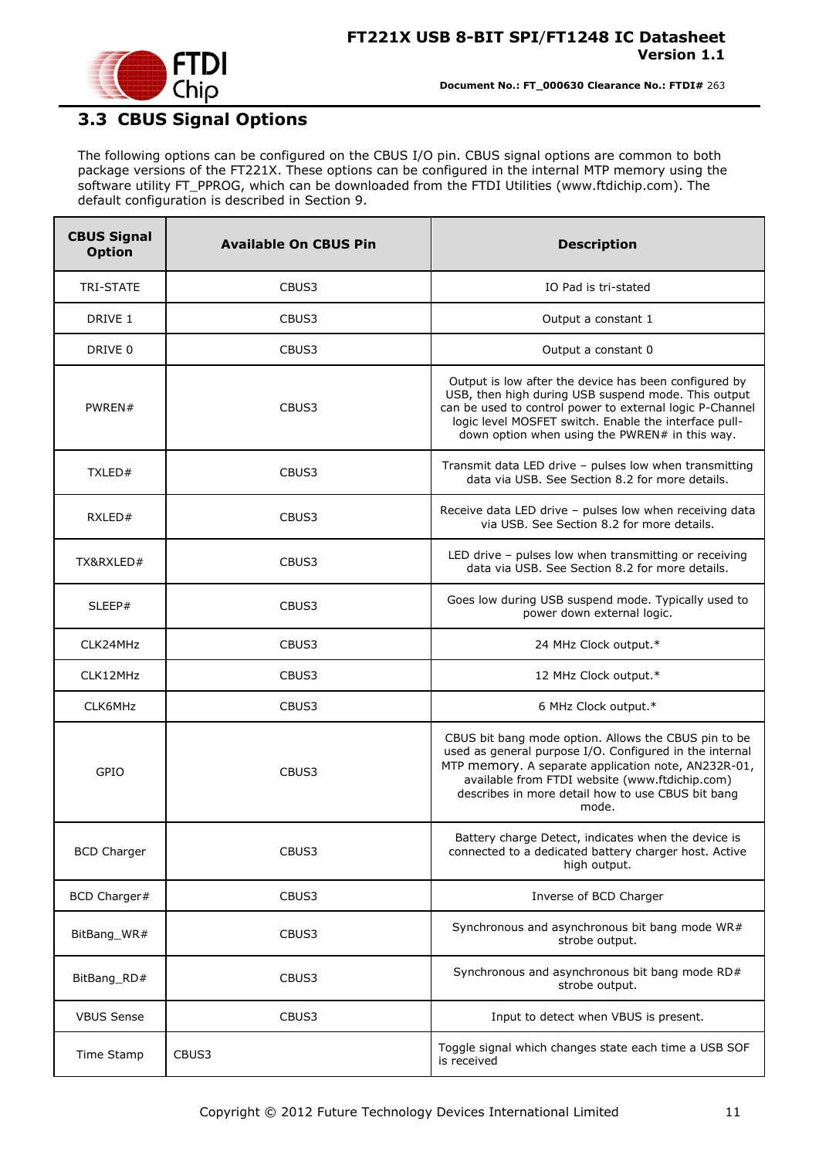

## <span id="page-10-0"></span>**3.3 CBUS Signal Options**

The following options can be configured on the CBUS I/O pin. CBUS signal options are common to both package versions of the FT221X. These options can be configured in the internal MTP memory using the software utility FT\_PPROG, which can be downloaded from the [FTDI Utilities](http://www.ftdichip.com/Resources/Utilities.htm) [\(www.ftdichip.com\)](http://www.ftdichip.com/). The default configuration is described in Section [9.](#page-35-0)

| <b>CBUS Signal</b><br><b>Option</b> | <b>Available On CBUS Pin</b> | <b>Description</b>                                                                                                                                                                                                                                                                     |  |  |
|-------------------------------------|------------------------------|----------------------------------------------------------------------------------------------------------------------------------------------------------------------------------------------------------------------------------------------------------------------------------------|--|--|
| <b>TRI-STATE</b>                    | CBUS3                        | IO Pad is tri-stated                                                                                                                                                                                                                                                                   |  |  |
| DRIVE 1                             | CBUS3                        | Output a constant 1                                                                                                                                                                                                                                                                    |  |  |
| DRIVE 0                             | CBUS3                        | Output a constant 0                                                                                                                                                                                                                                                                    |  |  |
| PWREN#                              | CBUS3                        | Output is low after the device has been configured by<br>USB, then high during USB suspend mode. This output<br>can be used to control power to external logic P-Channel<br>logic level MOSFET switch. Enable the interface pull-<br>down option when using the PWREN# in this way.    |  |  |
| TXLED#                              | CBUS3                        | Transmit data LED drive - pulses low when transmitting<br>data via USB. See Section 8.2 for more details.                                                                                                                                                                              |  |  |
| RXLED#                              | CBUS3                        | Receive data LED drive - pulses low when receiving data<br>via USB. See Section 8.2 for more details.                                                                                                                                                                                  |  |  |
| TX&RXLED#                           | CBUS3                        | LED drive - pulses low when transmitting or receiving<br>data via USB. See Section 8.2 for more details.                                                                                                                                                                               |  |  |
| SLEEP#                              | CBUS3                        | Goes low during USB suspend mode. Typically used to<br>power down external logic.                                                                                                                                                                                                      |  |  |
| CLK24MHz                            | CBUS3                        | 24 MHz Clock output.*                                                                                                                                                                                                                                                                  |  |  |
| CLK12MHz                            | CBUS3                        | 12 MHz Clock output.*                                                                                                                                                                                                                                                                  |  |  |
| CLK6MHz                             | CBUS3                        | 6 MHz Clock output.*                                                                                                                                                                                                                                                                   |  |  |
| GPIO                                | CBUS3                        | CBUS bit bang mode option. Allows the CBUS pin to be<br>used as general purpose I/O. Configured in the internal<br>MTP memory. A separate application note, AN232R-01,<br>available from FTDI website (www.ftdichip.com)<br>describes in more detail how to use CBUS bit bang<br>mode. |  |  |
| <b>BCD Charger</b>                  | CBUS3                        | Battery charge Detect, indicates when the device is<br>connected to a dedicated battery charger host. Active<br>high output.                                                                                                                                                           |  |  |
| BCD Charger#                        | CBUS3                        | Inverse of BCD Charger                                                                                                                                                                                                                                                                 |  |  |
| BitBang_WR#                         | CBUS3                        | Synchronous and asynchronous bit bang mode WR#<br>strobe output.                                                                                                                                                                                                                       |  |  |
| BitBang_RD#                         | CBUS3                        | Synchronous and asynchronous bit bang mode RD#<br>strobe output.                                                                                                                                                                                                                       |  |  |
| <b>VBUS Sense</b>                   | CBUS3                        | Input to detect when VBUS is present.                                                                                                                                                                                                                                                  |  |  |
| Time Stamp                          | CBUS3                        | Toggle signal which changes state each time a USB SOF<br>is received                                                                                                                                                                                                                   |  |  |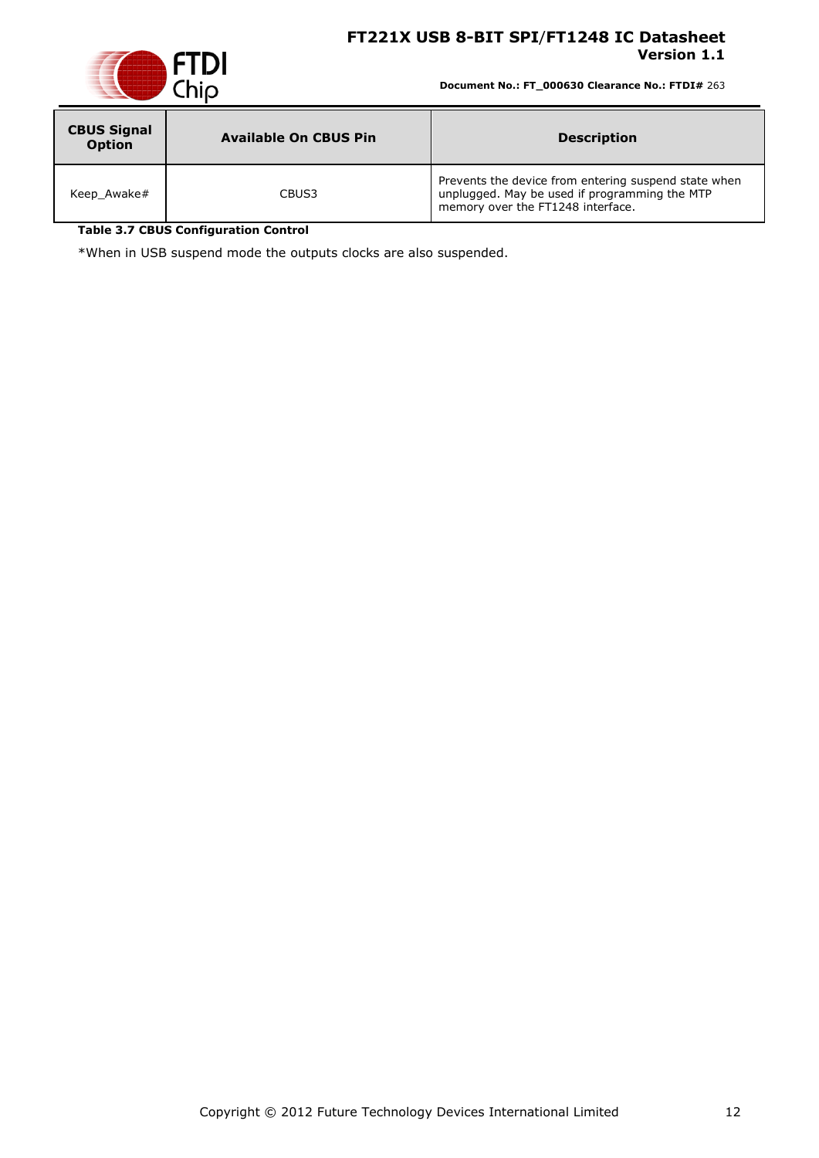

**Document No.: FT\_000630 Clearance No.: FTDI#** 263

| <b>CBUS Signal</b><br><b>Option</b> | <b>Available On CBUS Pin</b> | <b>Description</b>                                                                                                                         |
|-------------------------------------|------------------------------|--------------------------------------------------------------------------------------------------------------------------------------------|
| Keep Awake#                         | CBUS3                        | Prevents the device from entering suspend state when<br>unplugged. May be used if programming the MTP<br>memory over the FT1248 interface. |

<span id="page-11-0"></span>**Table 3.7 CBUS Configuration Control**

\*When in USB suspend mode the outputs clocks are also suspended.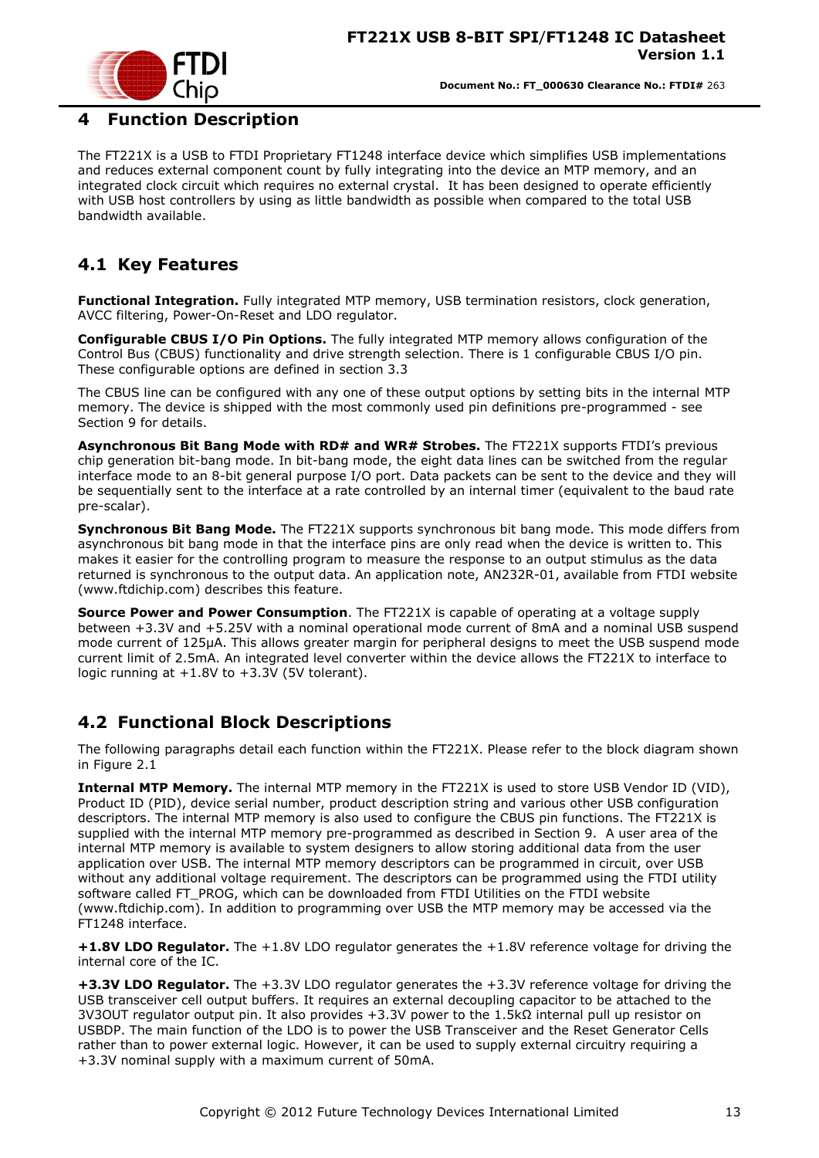

#### <span id="page-12-0"></span>**4 Function Description**

The FT221X is a USB to FTDI Proprietary FT1248 interface device which simplifies USB implementations and reduces external component count by fully integrating into the device an MTP memory, and an integrated clock circuit which requires no external crystal. It has been designed to operate efficiently with USB host controllers by using as little bandwidth as possible when compared to the total USB bandwidth available.

### <span id="page-12-1"></span>**4.1 Key Features**

**Functional Integration.** Fully integrated MTP memory, USB termination resistors, clock generation, AVCC filtering, Power-On-Reset and LDO regulator.

**Configurable CBUS I/O Pin Options.** The fully integrated MTP memory allows configuration of the Control Bus (CBUS) functionality and drive strength selection. There is 1 configurable CBUS I/O pin. These configurable options are defined in section 3.3

The CBUS line can be configured with any one of these output options by setting bits in the internal MTP memory. The device is shipped with the most commonly used pin definitions pre-programmed - see Section [9](#page-35-0) for details.

**Asynchronous Bit Bang Mode with RD# and WR# Strobes.** The FT221X supports FTDI"s previous chip generation bit-bang mode. In bit-bang mode, the eight data lines can be switched from the regular interface mode to an 8-bit general purpose I/O port. Data packets can be sent to the device and they will be sequentially sent to the interface at a rate controlled by an internal timer (equivalent to the baud rate pre-scalar).

**Synchronous Bit Bang Mode.** The FT221X supports synchronous bit bang mode. This mode differs from asynchronous bit bang mode in that the interface pins are only read when the device is written to. This makes it easier for the controlling program to measure the response to an output stimulus as the data returned is synchronous to the output data. An application note, [AN232R-01,](http://ftdichip.com/Documents/AppNotes/AN232R-01_FT232RBitBangModes.pdf) available from [FTDI website](http://www.ftdichip.com/) [\(www.ftdichip.com\)](http://www.ftdichip.com/) describes this feature.

**Source Power and Power Consumption**. The FT221X is capable of operating at a voltage supply between +3.3V and +5.25V with a nominal operational mode current of 8mA and a nominal USB suspend mode current of 125µA. This allows greater margin for peripheral designs to meet the USB suspend mode current limit of 2.5mA. An integrated level converter within the device allows the FT221X to interface to logic running at +1.8V to +3.3V (5V tolerant).

#### <span id="page-12-2"></span>**4.2 Functional Block Descriptions**

The following paragraphs detail each function within the FT221X. Please refer to the block diagram shown in Figure 2.1

**Internal MTP Memory.** The internal MTP memory in the FT221X is used to store USB Vendor ID (VID), Product ID (PID), device serial number, product description string and various other USB configuration descriptors. The internal MTP memory is also used to configure the CBUS pin functions. The FT221X is supplied with the internal MTP memory pre-programmed as described in Section [9.](#page-35-0) A user area of the internal MTP memory is available to system designers to allow storing additional data from the user application over USB. The internal MTP memory descriptors can be programmed in circuit, over USB without any additional voltage requirement. The descriptors can be programmed using the FTDI utility software called FT\_PROG, which can be downloaded from [FTDI Utilities](http://ftdichip.com/Resources/Utilities.htm) on the [FTDI website](http://www.ftdichip.com/) [\(www.ftdichip.com\)](http://www.ftdichip.com/). In addition to programming over USB the MTP memory may be accessed via the FT1248 interface.

**+1.8V LDO Regulator.** The +1.8V LDO regulator generates the +1.8V reference voltage for driving the internal core of the IC.

**+3.3V LDO Regulator.** The +3.3V LDO regulator generates the +3.3V reference voltage for driving the USB transceiver cell output buffers. It requires an external decoupling capacitor to be attached to the 3V3OUT regulator output pin. It also provides +3.3V power to the 1.5kΩ internal pull up resistor on USBDP. The main function of the LDO is to power the USB Transceiver and the Reset Generator Cells rather than to power external logic. However, it can be used to supply external circuitry requiring a +3.3V nominal supply with a maximum current of 50mA.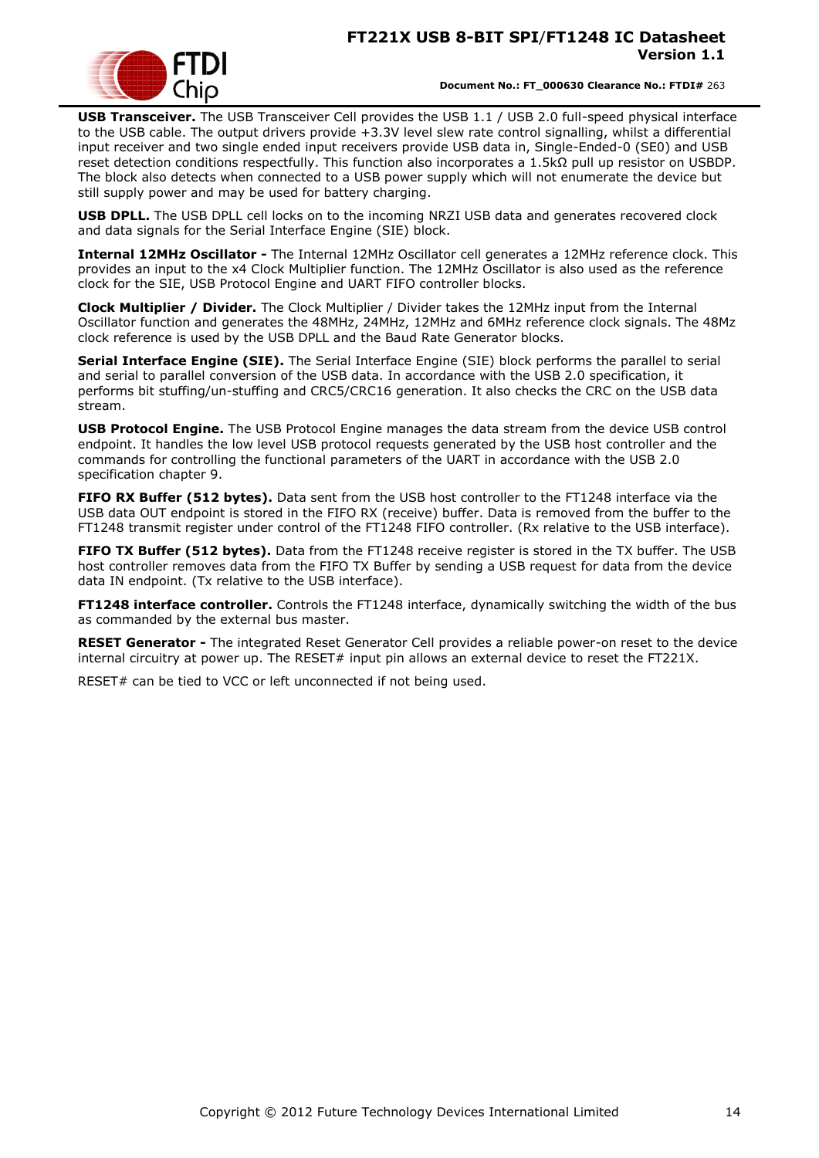**Document No.: FT\_000630 Clearance No.: FTDI#** 263

**USB Transceiver.** The USB Transceiver Cell provides the USB 1.1 / USB 2.0 full-speed physical interface to the USB cable. The output drivers provide +3.3V level slew rate control signalling, whilst a differential input receiver and two single ended input receivers provide USB data in, Single-Ended-0 (SE0) and USB reset detection conditions respectfully. This function also incorporates a 1.5kΩ pull up resistor on USBDP. The block also detects when connected to a USB power supply which will not enumerate the device but still supply power and may be used for battery charging.

**USB DPLL.** The USB DPLL cell locks on to the incoming NRZI USB data and generates recovered clock and data signals for the Serial Interface Engine (SIE) block.

**Internal 12MHz Oscillator -** The Internal 12MHz Oscillator cell generates a 12MHz reference clock. This provides an input to the x4 Clock Multiplier function. The 12MHz Oscillator is also used as the reference clock for the SIE, USB Protocol Engine and UART FIFO controller blocks.

**Clock Multiplier / Divider.** The Clock Multiplier / Divider takes the 12MHz input from the Internal Oscillator function and generates the 48MHz, 24MHz, 12MHz and 6MHz reference clock signals. The 48Mz clock reference is used by the USB DPLL and the Baud Rate Generator blocks.

**Serial Interface Engine (SIE).** The Serial Interface Engine (SIE) block performs the parallel to serial and serial to parallel conversion of the USB data. In accordance with the USB 2.0 specification, it performs bit stuffing/un-stuffing and CRC5/CRC16 generation. It also checks the CRC on the USB data stream.

**USB Protocol Engine.** The USB Protocol Engine manages the data stream from the device USB control endpoint. It handles the low level USB protocol requests generated by the USB host controller and the commands for controlling the functional parameters of the UART in accordance with the USB 2.0 specification chapter 9.

**FIFO RX Buffer (512 bytes).** Data sent from the USB host controller to the FT1248 interface via the USB data OUT endpoint is stored in the FIFO RX (receive) buffer. Data is removed from the buffer to the FT1248 transmit register under control of the FT1248 FIFO controller. (Rx relative to the USB interface).

**FIFO TX Buffer (512 bytes).** Data from the FT1248 receive register is stored in the TX buffer. The USB host controller removes data from the FIFO TX Buffer by sending a USB request for data from the device data IN endpoint. (Tx relative to the USB interface).

**FT1248 interface controller.** Controls the FT1248 interface, dynamically switching the width of the bus as commanded by the external bus master.

**RESET Generator -** The integrated Reset Generator Cell provides a reliable power-on reset to the device internal circuitry at power up. The RESET# input pin allows an external device to reset the FT221X.

RESET# can be tied to VCC or left unconnected if not being used.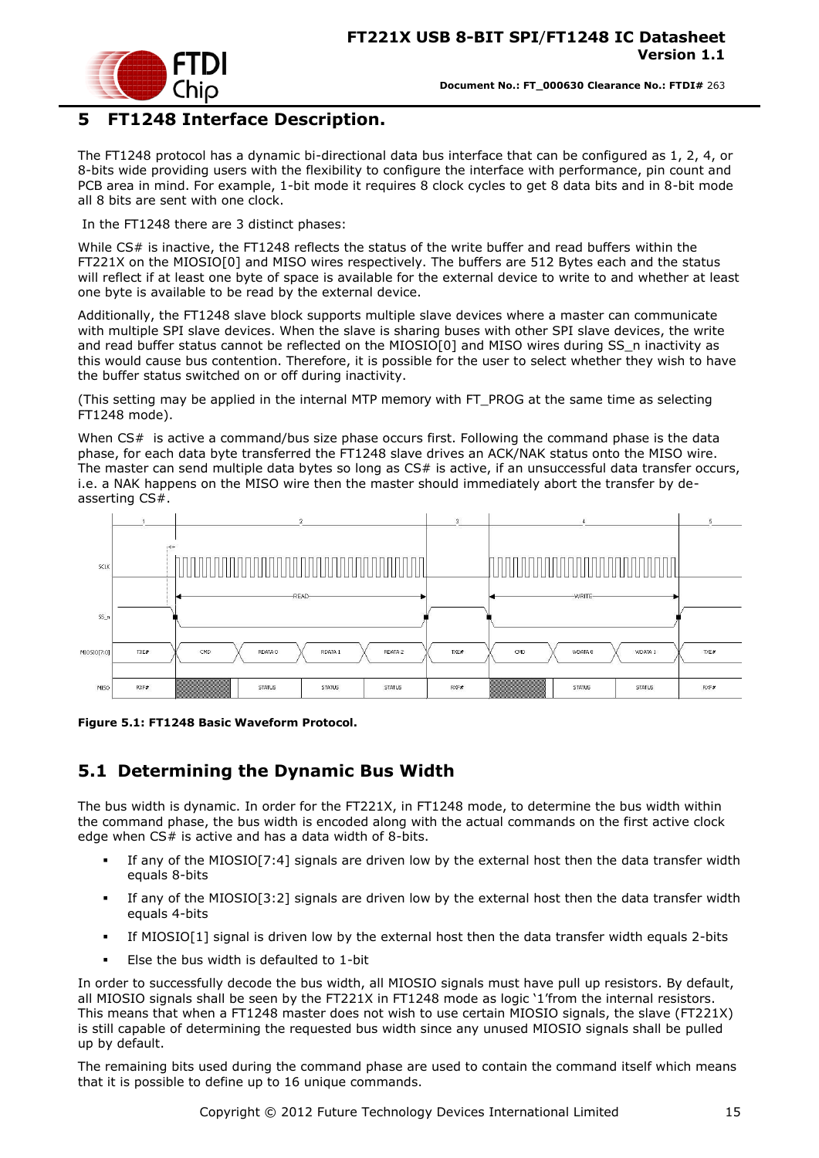

### <span id="page-14-0"></span>**5 FT1248 Interface Description.**

The FT1248 protocol has a dynamic bi-directional data bus interface that can be configured as 1, 2, 4, or 8-bits wide providing users with the flexibility to configure the interface with performance, pin count and PCB area in mind. For example, 1-bit mode it requires 8 clock cycles to get 8 data bits and in 8-bit mode all 8 bits are sent with one clock.

In the FT1248 there are 3 distinct phases:

While CS# is inactive, the FT1248 reflects the status of the write buffer and read buffers within the FT221X on the MIOSIO[0] and MISO wires respectively. The buffers are 512 Bytes each and the status will reflect if at least one byte of space is available for the external device to write to and whether at least one byte is available to be read by the external device.

Additionally, the FT1248 slave block supports multiple slave devices where a master can communicate with multiple SPI slave devices. When the slave is sharing buses with other SPI slave devices, the write and read buffer status cannot be reflected on the MIOSIO[0] and MISO wires during SS\_n inactivity as this would cause bus contention. Therefore, it is possible for the user to select whether they wish to have the buffer status switched on or off during inactivity.

(This setting may be applied in the internal MTP memory with FT\_PROG at the same time as selecting FT1248 mode).

When CS# is active a command/bus size phase occurs first. Following the command phase is the data phase, for each data byte transferred the FT1248 slave drives an ACK/NAK status onto the MISO wire. The master can send multiple data bytes so long as CS# is active, if an unsuccessful data transfer occurs, i.e. a NAK happens on the MISO wire then the master should immediately abort the transfer by deasserting CS#.



<span id="page-14-2"></span>**Figure 5.1: FT1248 Basic Waveform Protocol.**

## <span id="page-14-1"></span>**5.1 Determining the Dynamic Bus Width**

The bus width is dynamic. In order for the FT221X, in FT1248 mode, to determine the bus width within the command phase, the bus width is encoded along with the actual commands on the first active clock edge when  $CS#$  is active and has a data width of 8-bits.

- If any of the MIOSIO[7:4] signals are driven low by the external host then the data transfer width equals 8-bits
- If any of the MIOSIO[3:2] signals are driven low by the external host then the data transfer width equals 4-bits
- If MIOSIO[1] signal is driven low by the external host then the data transfer width equals 2-bits
- Else the bus width is defaulted to 1-bit

In order to successfully decode the bus width, all MIOSIO signals must have pull up resistors. By default, all MIOSIO signals shall be seen by the FT221X in FT1248 mode as logic "1"from the internal resistors. This means that when a FT1248 master does not wish to use certain MIOSIO signals, the slave (FT221X) is still capable of determining the requested bus width since any unused MIOSIO signals shall be pulled up by default.

The remaining bits used during the command phase are used to contain the command itself which means that it is possible to define up to 16 unique commands.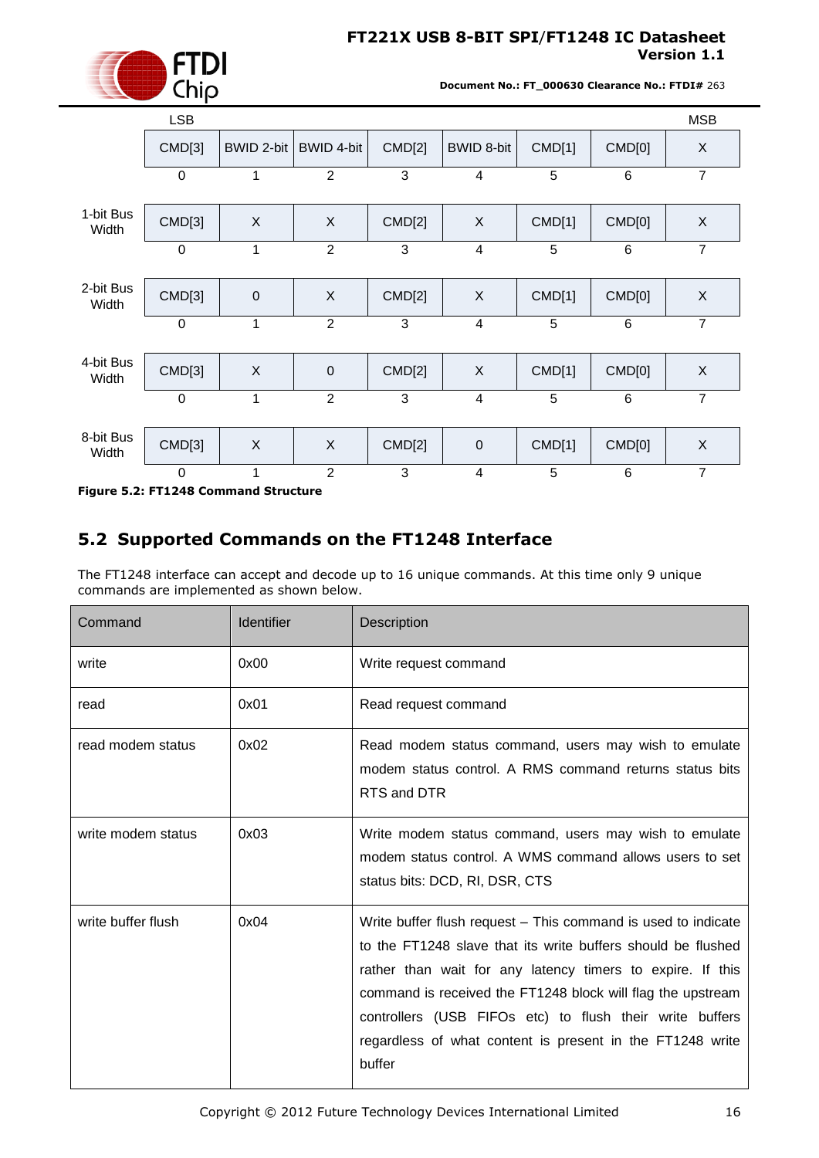

**Document No.: FT\_000630 Clearance No.: FTDI#** 263

|                    | <b>LSB</b>     |             |                |        |                   |        |                | <b>MSB</b>     |
|--------------------|----------------|-------------|----------------|--------|-------------------|--------|----------------|----------------|
|                    | CMD[3]         | BWID 2-bit  | BWID 4-bit     | CMD[2] | <b>BWID 8-bit</b> | CMD[1] | CMD[0]         | X              |
|                    | $\mathbf 0$    | 1           | $\overline{2}$ | 3      | 4                 | 5      | 6              | $\overline{7}$ |
| 1-bit Bus<br>Width | CMD[3]         | X           | X              | CMD[2] | X                 | CMD[1] | CMD[0]         | $\times$       |
|                    | $\overline{0}$ | 1           | $\overline{2}$ | 3      | $\overline{4}$    | 5      | 6              | $\overline{7}$ |
| 2-bit Bus<br>Width | CMD[3]         | $\mathbf 0$ | X              | CMD[2] | X                 | CMD[1] | CMD[0]         | $\mathsf X$    |
|                    | $\mathbf 0$    | 1           | $\overline{2}$ | 3      | $\overline{4}$    | 5      | $6\phantom{1}$ | $\overline{7}$ |
| 4-bit Bus<br>Width | CMD[3]         | X           | $\mathbf 0$    | CMD[2] | X                 | CMD[1] | CMD[0]         | $\sf X$        |
|                    | $\overline{0}$ | 1           | $\overline{2}$ | 3      | 4                 | 5      | $6\phantom{1}$ | $\overline{7}$ |
| 8-bit Bus<br>Width | CMD[3]         | X           | X              | CMD[2] | $\mathbf 0$       | CMD[1] | CMD[0]         | $\mathsf X$    |
|                    | $\mathbf 0$    | 1           | $\overline{2}$ | 3      | 4                 | 5      | $\,6$          | $\overline{7}$ |

<span id="page-15-1"></span>**Figure 5.2: FT1248 Command Structure**

# <span id="page-15-0"></span>**5.2 Supported Commands on the FT1248 Interface**

|                                                                                                                                                                                                                                                                                                                                                                                                                             | <b>LSB</b>                                       |                  |                |                       |                                                                                                                                                   |        |        | <b>MSB</b>                                                                                                       |
|-----------------------------------------------------------------------------------------------------------------------------------------------------------------------------------------------------------------------------------------------------------------------------------------------------------------------------------------------------------------------------------------------------------------------------|--------------------------------------------------|------------------|----------------|-----------------------|---------------------------------------------------------------------------------------------------------------------------------------------------|--------|--------|------------------------------------------------------------------------------------------------------------------|
|                                                                                                                                                                                                                                                                                                                                                                                                                             | CMD[3]                                           | BWID 2-bit       | BWID 4-bit     | <b>CMD[2]</b>         | <b>BWID 8-bit</b>                                                                                                                                 | CMD[1] | CMD[0] | X                                                                                                                |
|                                                                                                                                                                                                                                                                                                                                                                                                                             | $\Omega$                                         | 1                | 2              | 3                     | $\overline{4}$                                                                                                                                    | 5      | 6      | $\overline{7}$                                                                                                   |
| 1-bit Bus<br>Width                                                                                                                                                                                                                                                                                                                                                                                                          | CMD[3]                                           | X                | X              | CMD[2]                | X                                                                                                                                                 | CMD[1] | CMD[0] | X                                                                                                                |
|                                                                                                                                                                                                                                                                                                                                                                                                                             | $\mathbf 0$                                      | 1                | $\overline{2}$ | 3                     | $\overline{4}$                                                                                                                                    | 5      | 6      | $\overline{7}$                                                                                                   |
| 2-bit Bus<br>Width                                                                                                                                                                                                                                                                                                                                                                                                          | CMD[3]                                           | $\boldsymbol{0}$ | X              | CMD[2]                | X                                                                                                                                                 | CMD[1] | CMD[0] | X                                                                                                                |
|                                                                                                                                                                                                                                                                                                                                                                                                                             | $\Omega$                                         | 1                | $\overline{2}$ | 3                     | $\overline{4}$                                                                                                                                    | 5      | 6      | $\overline{7}$                                                                                                   |
| 4-bit Bus<br>Width                                                                                                                                                                                                                                                                                                                                                                                                          | CMD[3]                                           | X                | $\mathbf 0$    | CMD[2]                | X                                                                                                                                                 | CMD[1] | CMD[0] | X                                                                                                                |
|                                                                                                                                                                                                                                                                                                                                                                                                                             | $\mathbf 0$                                      | 1                | $\overline{2}$ | 3                     | $\overline{\mathbf{4}}$                                                                                                                           | 5      | 6      | $\overline{7}$                                                                                                   |
| 8-bit Bus<br>Width                                                                                                                                                                                                                                                                                                                                                                                                          | CMD[3]                                           | X                | X              | CMD[2]                | $\pmb{0}$                                                                                                                                         | CMD[1] | CMD[0] | X                                                                                                                |
|                                                                                                                                                                                                                                                                                                                                                                                                                             | $\Omega$<br>Figure 5.2: FT1248 Command Structure | 1                | $\overline{2}$ | 3                     | 4                                                                                                                                                 | 5      | 6      | $\overline{7}$                                                                                                   |
|                                                                                                                                                                                                                                                                                                                                                                                                                             | commands are implemented as shown below.         |                  |                |                       | 5.2 Supported Commands on the FT1248 Interface<br>The FT1248 interface can accept and decode up to 16 unique commands. At this time only 9 unique |        |        |                                                                                                                  |
| Command                                                                                                                                                                                                                                                                                                                                                                                                                     |                                                  | Identifier       |                | Description           |                                                                                                                                                   |        |        |                                                                                                                  |
| write                                                                                                                                                                                                                                                                                                                                                                                                                       |                                                  | 0x00             |                | Write request command |                                                                                                                                                   |        |        |                                                                                                                  |
| read                                                                                                                                                                                                                                                                                                                                                                                                                        |                                                  | 0x01             |                | Read request command  |                                                                                                                                                   |        |        |                                                                                                                  |
| read modem status                                                                                                                                                                                                                                                                                                                                                                                                           |                                                  | 0x02             |                | RTS and DTR           |                                                                                                                                                   |        |        | Read modem status command, users may wish to emulate<br>modem status control. A RMS command returns status bits  |
| write modem status                                                                                                                                                                                                                                                                                                                                                                                                          |                                                  | 0x03             |                |                       | status bits: DCD, RI, DSR, CTS                                                                                                                    |        |        | Write modem status command, users may wish to emulate<br>modem status control. A WMS command allows users to set |
| write buffer flush<br>0x04<br>Write buffer flush request – This command is used to indicate<br>to the FT1248 slave that its write buffers should be flushed<br>rather than wait for any latency timers to expire. If this<br>command is received the FT1248 block will flag the upstream<br>controllers (USB FIFOs etc) to flush their write buffers<br>regardless of what content is present in the FT1248 write<br>buffer |                                                  |                  |                |                       |                                                                                                                                                   |        |        |                                                                                                                  |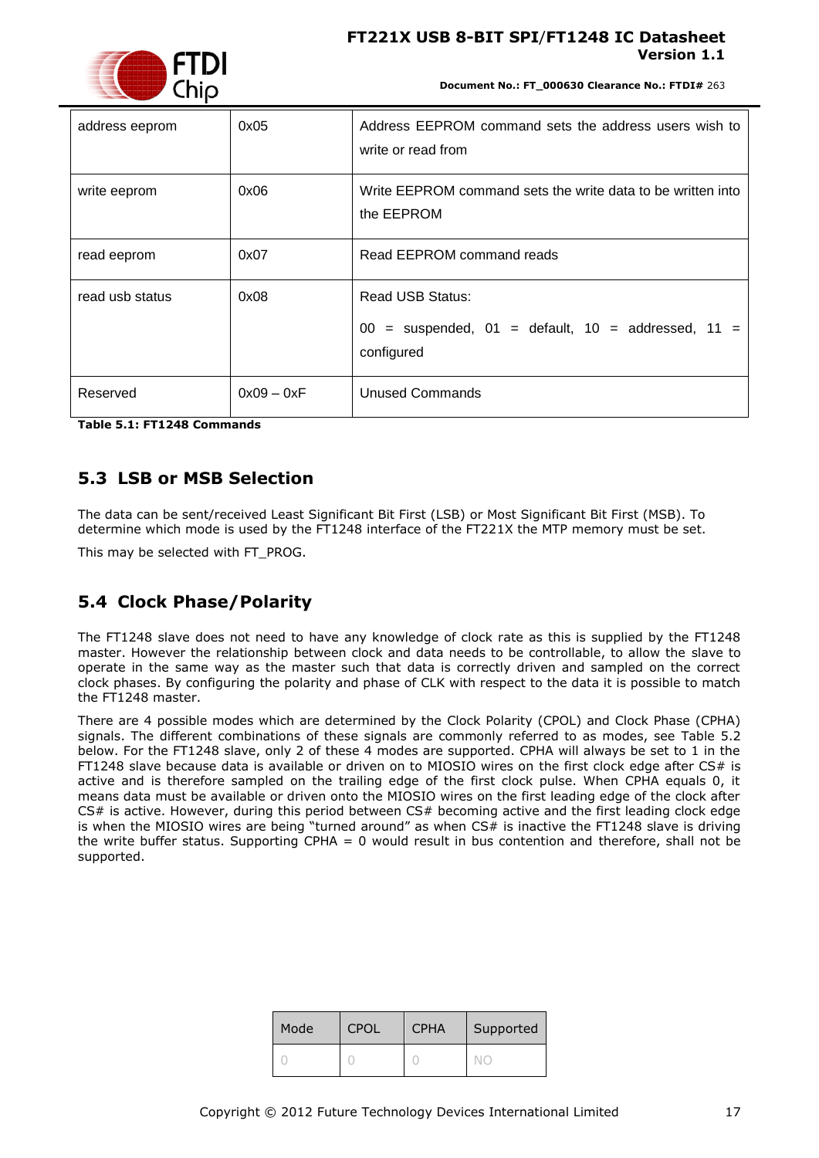

**Document No.: FT\_000630 Clearance No.: FTDI#** 263

| address eeprom  | 0x05         | Address EEPROM command sets the address users wish to<br>write or read from                  |
|-----------------|--------------|----------------------------------------------------------------------------------------------|
| write eeprom    | 0x06         | Write EEPROM command sets the write data to be written into<br>the EEPROM                    |
| read eeprom     | 0x07         | Read EEPROM command reads                                                                    |
| read usb status | 0x08         | Read USB Status:<br>$00 =$ suspended, $01 =$ default, $10 =$ addressed, $11 =$<br>configured |
| Reserved        | $0x09 - 0xF$ | Unused Commands                                                                              |

<span id="page-16-2"></span>**Table 5.1: FT1248 Commands**

### <span id="page-16-0"></span>**5.3 LSB or MSB Selection**

The data can be sent/received Least Significant Bit First (LSB) or Most Significant Bit First (MSB). To determine which mode is used by the FT1248 interface of the FT221X the MTP memory must be set.

This may be selected with FT\_PROG.

## <span id="page-16-1"></span>**5.4 Clock Phase/Polarity**

The FT1248 slave does not need to have any knowledge of clock rate as this is supplied by the FT1248 master. However the relationship between clock and data needs to be controllable, to allow the slave to operate in the same way as the master such that data is correctly driven and sampled on the correct clock phases. By configuring the polarity and phase of CLK with respect to the data it is possible to match the FT1248 master.

There are 4 possible modes which are determined by the Clock Polarity (CPOL) and Clock Phase (CPHA) signals. The different combinations of these signals are commonly referred to as modes, see [Table 5.2](#page-17-1) below. For the FT1248 slave, only 2 of these 4 modes are supported. CPHA will always be set to 1 in the FT1248 slave because data is available or driven on to MIOSIO wires on the first clock edge after  $CS#$  is active and is therefore sampled on the trailing edge of the first clock pulse. When CPHA equals 0, it means data must be available or driven onto the MIOSIO wires on the first leading edge of the clock after CS# is active. However, during this period between CS# becoming active and the first leading clock edge is when the MIOSIO wires are being "turned around" as when CS# is inactive the FT1248 slave is driving the write buffer status. Supporting CPHA = 0 would result in bus contention and therefore, shall not be supported.

| Mode | <b>CPOL</b> | <b>CPHA</b> | Supported |
|------|-------------|-------------|-----------|
|      |             |             |           |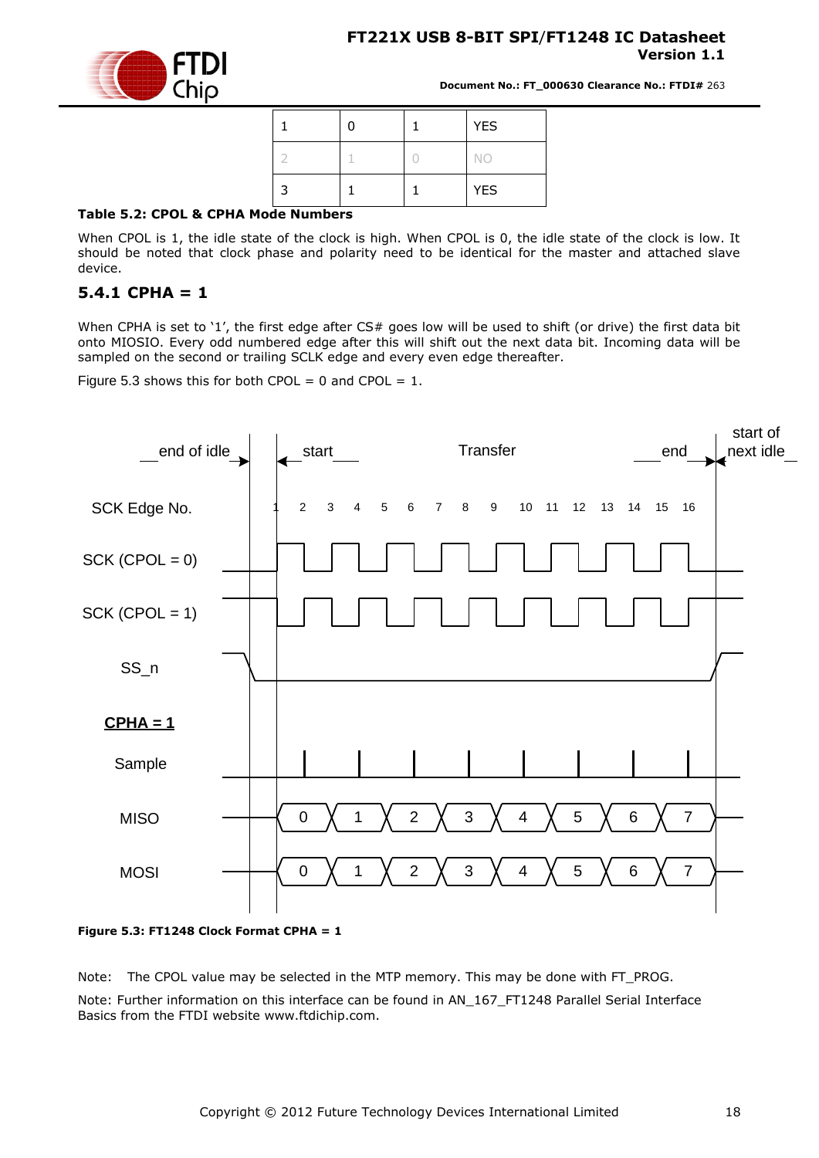

**Document No.: FT\_000630 Clearance No.: FTDI#** 263

|  |  | <b>YES</b> |
|--|--|------------|
|  |  | <b>NO</b>  |
|  |  | <b>YES</b> |

#### <span id="page-17-1"></span>**Table 5.2: CPOL & CPHA Mode Numbers**

When CPOL is 1, the idle state of the clock is high. When CPOL is 0, the idle state of the clock is low. It should be noted that clock phase and polarity need to be identical for the master and attached slave device.

#### <span id="page-17-0"></span>**5.4.1 CPHA = 1**

When CPHA is set to '1', the first edge after CS# goes low will be used to shift (or drive) the first data bit onto MIOSIO. Every odd numbered edge after this will shift out the next data bit. Incoming data will be sampled on the second or trailing SCLK edge and every even edge thereafter.

Figure 5.3 shows this for both CPOL = 0 and CPOL =  $1$ .



<span id="page-17-2"></span>**Figure 5.3: FT1248 Clock Format CPHA = 1**

Note: The CPOL value may be selected in the MTP memory. This may be done with FT\_PROG.

Note: Further information on this interface can be found in AN\_167\_FT1248 Parallel Serial Interface Basics from the FTDI website www.ftdichip.com.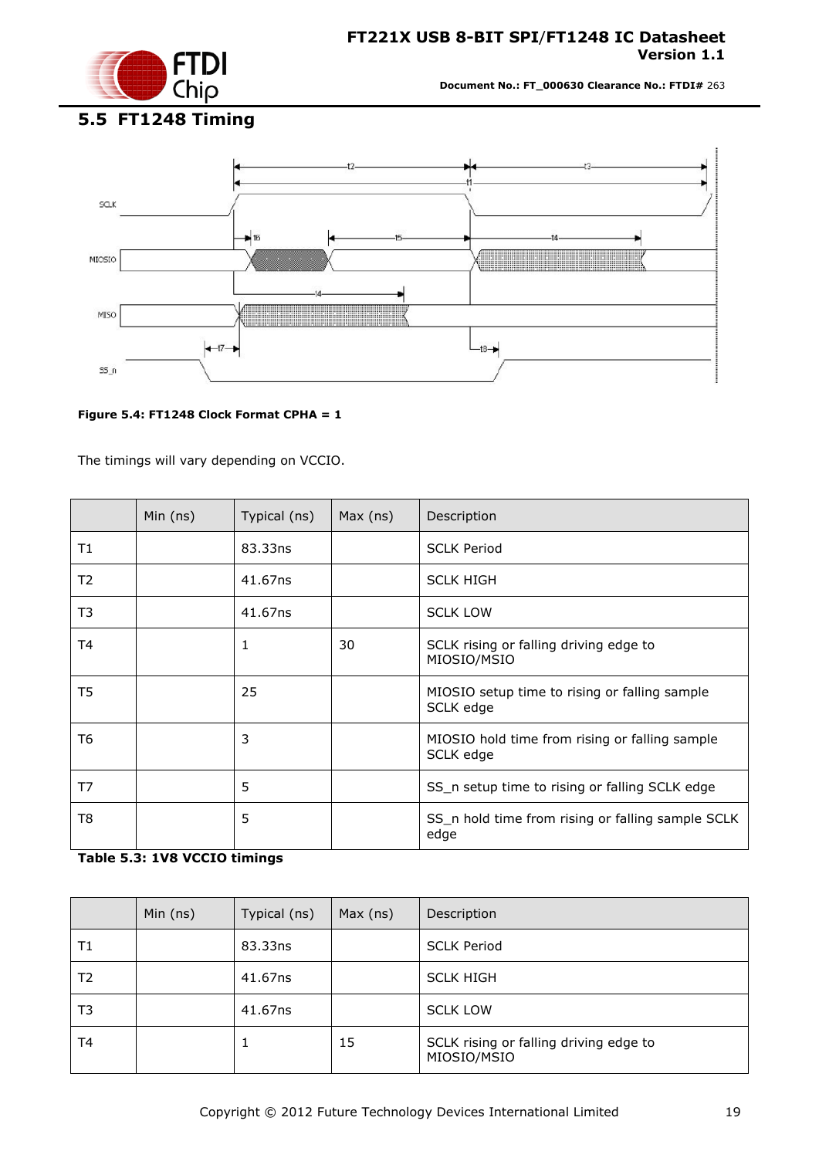

**Document No.: FT\_000630 Clearance No.: FTDI#** 263

# <span id="page-18-0"></span>**5.5 FT1248 Timing**



#### <span id="page-18-1"></span>**Figure 5.4: FT1248 Clock Format CPHA = 1**

The timings will vary depending on VCCIO.

|                | Min $(ns)$ | Typical (ns) | Max (ns) | Description                                                 |
|----------------|------------|--------------|----------|-------------------------------------------------------------|
| Τ1             |            | 83.33ns      |          | <b>SCLK Period</b>                                          |
| T <sub>2</sub> |            | 41.67ns      |          | <b>SCLK HIGH</b>                                            |
| T3             |            | 41.67ns      |          | <b>SCLK LOW</b>                                             |
| T4             |            | 1            | 30       | SCLK rising or falling driving edge to<br>MIOSIO/MSIO       |
| T5             |            | 25           |          | MIOSIO setup time to rising or falling sample<br>SCLK edge  |
| T6             |            | 3            |          | MIOSIO hold time from rising or falling sample<br>SCLK edge |
| T7             |            | 5            |          | SS_n setup time to rising or falling SCLK edge              |
| T8             |            | 5            |          | SS_n hold time from rising or falling sample SCLK<br>edge   |

### <span id="page-18-2"></span>**Table 5.3: 1V8 VCCIO timings**

|    | Min $(ns)$ | Typical (ns) | Max (ns) | Description                                           |
|----|------------|--------------|----------|-------------------------------------------------------|
| Τ1 |            | 83.33ns      |          | <b>SCLK Period</b>                                    |
| T2 |            | 41.67ns      |          | <b>SCLK HIGH</b>                                      |
| T3 |            | 41.67ns      |          | <b>SCLK LOW</b>                                       |
| T4 |            |              | 15       | SCLK rising or falling driving edge to<br>MIOSIO/MSIO |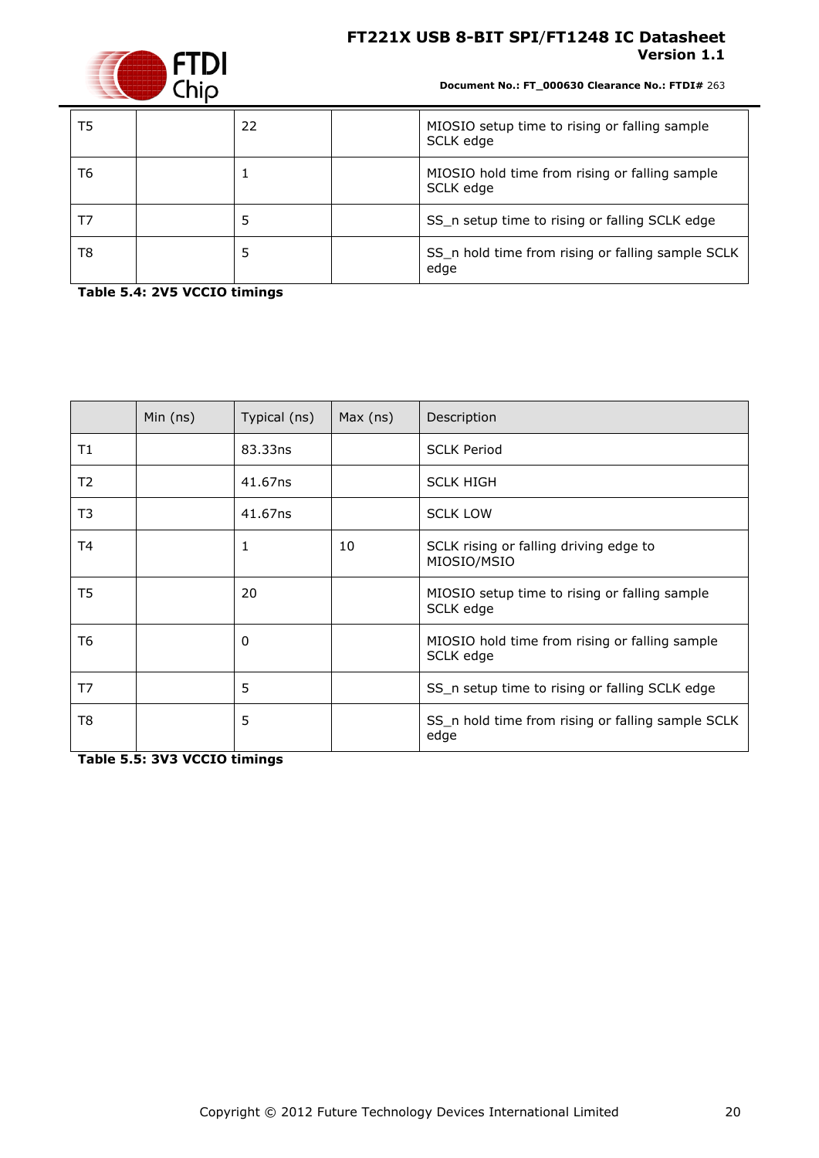

**Document No.: FT\_000630 Clearance No.: FTDI#** 263

| T5 | 22 | MIOSIO setup time to rising or falling sample<br>SCLK edge  |
|----|----|-------------------------------------------------------------|
| T6 |    | MIOSIO hold time from rising or falling sample<br>SCLK edge |
| T7 |    | SS_n setup time to rising or falling SCLK edge              |
| T8 |    | SS_n hold time from rising or falling sample SCLK<br>edge   |

<span id="page-19-0"></span>**Table 5.4: 2V5 VCCIO timings** 

|    | Min $(ns)$ | Typical (ns) | Max (ns) | Description                                                 |
|----|------------|--------------|----------|-------------------------------------------------------------|
| Τ1 |            | 83.33ns      |          | <b>SCLK Period</b>                                          |
| T2 |            | 41.67ns      |          | <b>SCLK HIGH</b>                                            |
| T3 |            | 41.67ns      |          | <b>SCLK LOW</b>                                             |
| T4 |            | 1            | 10       | SCLK rising or falling driving edge to<br>MIOSIO/MSIO       |
| T5 |            | 20           |          | MIOSIO setup time to rising or falling sample<br>SCLK edge  |
| T6 |            | 0            |          | MIOSIO hold time from rising or falling sample<br>SCLK edge |
| T7 |            | 5            |          | SS_n setup time to rising or falling SCLK edge              |
| T8 |            | 5            |          | SS_n hold time from rising or falling sample SCLK<br>edge   |

<span id="page-19-1"></span>**Table 5.5: 3V3 VCCIO timings**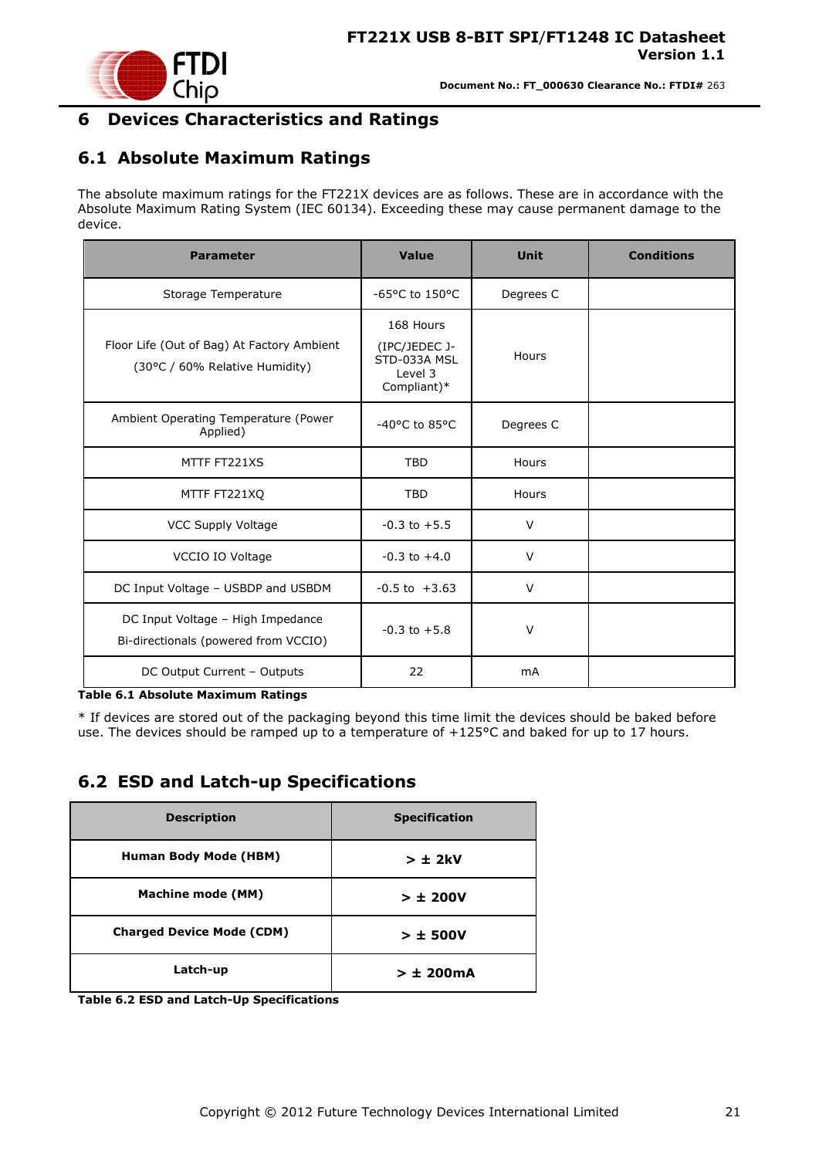

### <span id="page-20-0"></span>**6 Devices Characteristics and Ratings**

# <span id="page-20-1"></span>**6.1 Absolute Maximum Ratings**

The absolute maximum ratings for the FT221X devices are as follows. These are in accordance with the Absolute Maximum Rating System (IEC 60134). Exceeding these may cause permanent damage to the device.

| <b>Parameter</b>                                                             | Value                                                                | <b>Unit</b> | <b>Conditions</b> |
|------------------------------------------------------------------------------|----------------------------------------------------------------------|-------------|-------------------|
| Storage Temperature                                                          | $-65$ °C to 150°C                                                    | Degrees C   |                   |
| Floor Life (Out of Bag) At Factory Ambient<br>(30°C / 60% Relative Humidity) | 168 Hours<br>(IPC/JEDEC J-<br>STD-033A MSL<br>Level 3<br>Compliant)* | Hours       |                   |
| Ambient Operating Temperature (Power<br>Applied)                             | $-40$ °C to 85°C                                                     | Degrees C   |                   |
| MTTF FT221XS                                                                 | <b>TBD</b>                                                           | Hours       |                   |
| MTTF FT221XQ                                                                 | <b>TBD</b>                                                           | Hours       |                   |
| VCC Supply Voltage                                                           | $-0.3$ to $+5.5$                                                     | V           |                   |
| VCCIO IO Voltage                                                             | $-0.3$ to $+4.0$                                                     | $\vee$      |                   |
| DC Input Voltage - USBDP and USBDM                                           | $-0.5$ to $+3.63$                                                    | V           |                   |
| DC Input Voltage - High Impedance<br>Bi-directionals (powered from VCCIO)    | $-0.3$ to $+5.8$                                                     | $\vee$      |                   |
| DC Output Current - Outputs                                                  | 22                                                                   | mA          |                   |

#### <span id="page-20-3"></span>**Table 6.1 Absolute Maximum Ratings**

\* If devices are stored out of the packaging beyond this time limit the devices should be baked before use. The devices should be ramped up to a temperature of +125°C and baked for up to 17 hours.

### <span id="page-20-2"></span>**6.2 ESD and Latch-up Specifications**

| <b>Description</b>               | <b>Specification</b> |
|----------------------------------|----------------------|
| <b>Human Body Mode (HBM)</b>     | $> \pm 2kV$          |
| <b>Machine mode (MM)</b>         | > 1200V              |
| <b>Charged Device Mode (CDM)</b> | $> \pm$ 500V         |
| Latch-up                         | $> \pm 200$ mA       |

<span id="page-20-4"></span>**Table 6.2 ESD and Latch-Up Specifications**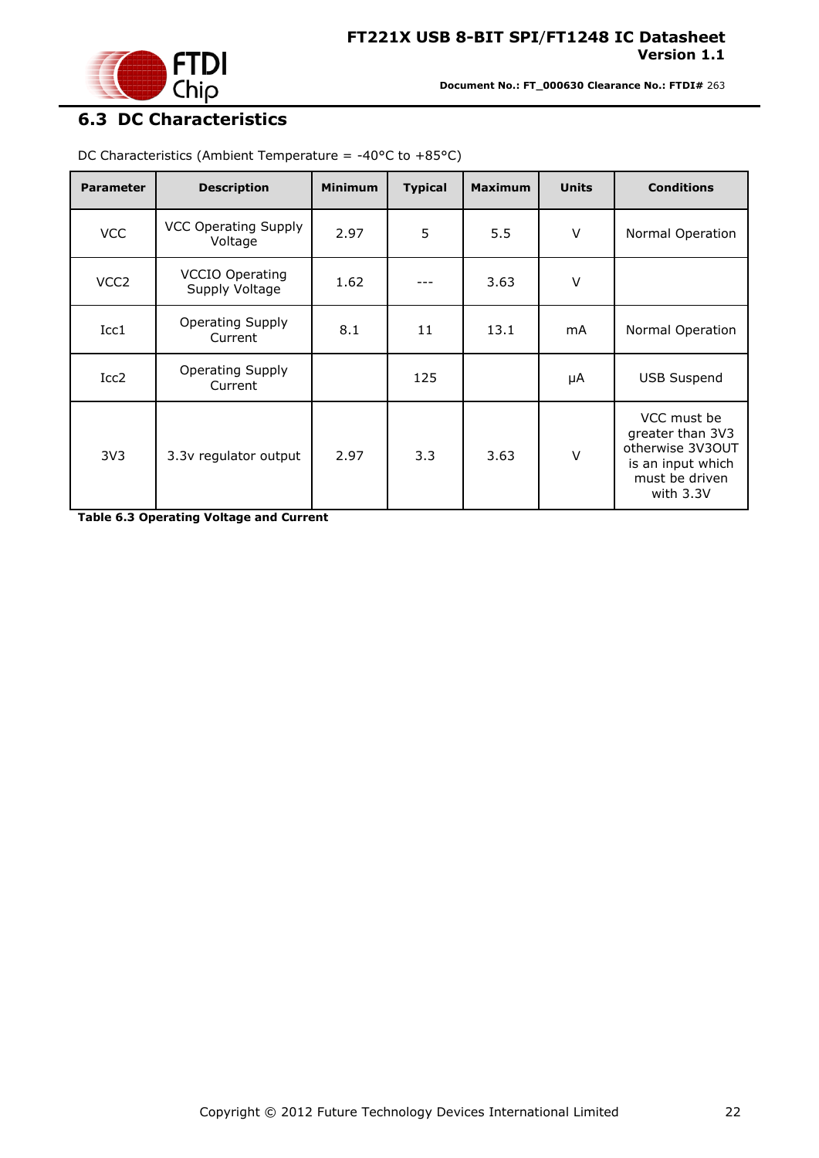

# <span id="page-21-0"></span>**6.3 DC Characteristics**

| <b>Parameter</b> | <b>Description</b>                       | <b>Minimum</b> | <b>Typical</b> | <b>Maximum</b> | <b>Units</b> | <b>Conditions</b>                                                                                       |
|------------------|------------------------------------------|----------------|----------------|----------------|--------------|---------------------------------------------------------------------------------------------------------|
| <b>VCC</b>       | <b>VCC Operating Supply</b><br>Voltage   | 2.97           | 5              | 5.5            | $\vee$       | Normal Operation                                                                                        |
| VCC <sub>2</sub> | <b>VCCIO Operating</b><br>Supply Voltage | 1.62           |                | 3.63           | $\vee$       |                                                                                                         |
| Icc1             | <b>Operating Supply</b><br>Current       | 8.1            | 11             | 13.1           | mA           | Normal Operation                                                                                        |
| Icc <sub>2</sub> | <b>Operating Supply</b><br>Current       |                | 125            |                | μA           | <b>USB Suspend</b>                                                                                      |
| 3V <sub>3</sub>  | 3.3v regulator output                    | 2.97           | 3.3            | 3.63           | $\vee$       | VCC must be<br>greater than 3V3<br>otherwise 3V3OUT<br>is an input which<br>must be driven<br>with 3.3V |

DC Characteristics (Ambient Temperature = -40 $\degree$ C to +85 $\degree$ C)

<span id="page-21-1"></span>**Table 6.3 Operating Voltage and Current**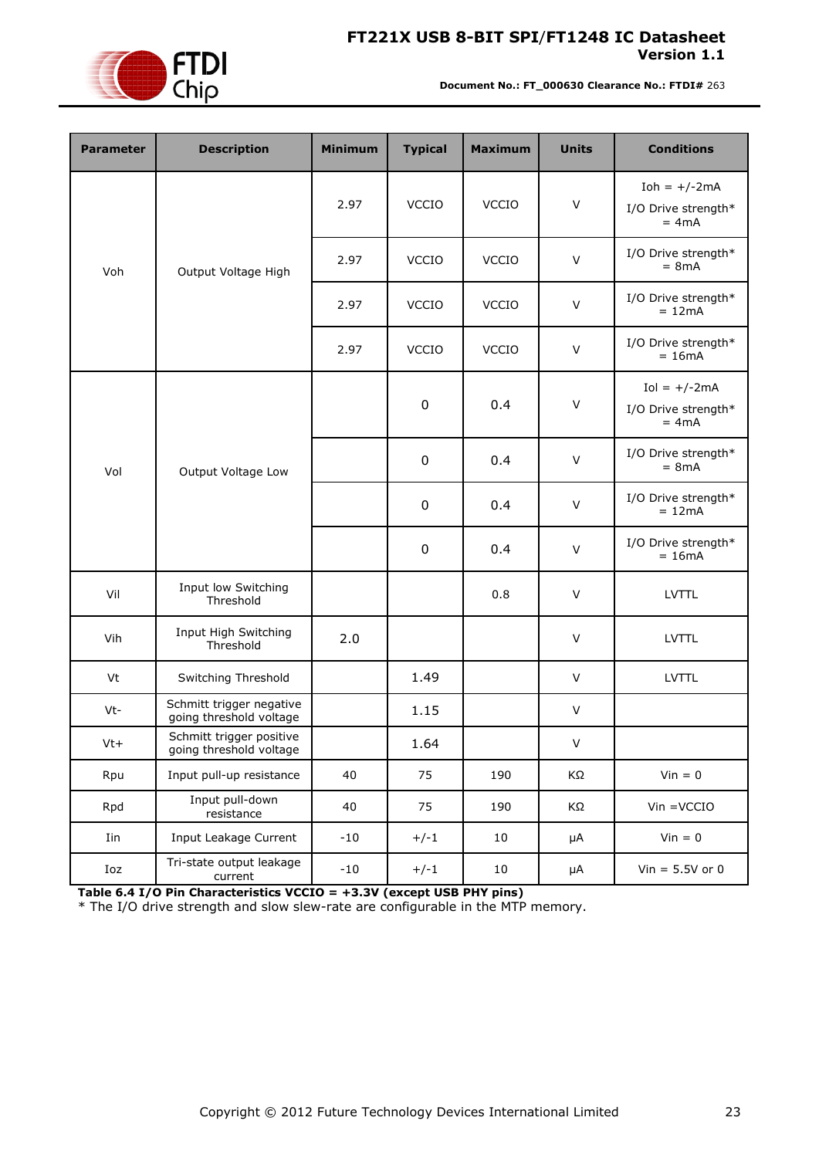

**Document No.: FT\_000630 Clearance No.: FTDI#** 263

| <b>Parameter</b> | <b>Description</b>                                  | <b>Minimum</b> | <b>Typical</b>   | <b>Maximum</b> | <b>Units</b> | <b>Conditions</b>                                 |
|------------------|-----------------------------------------------------|----------------|------------------|----------------|--------------|---------------------------------------------------|
| Voh              |                                                     | 2.97           | VCCIO            | <b>VCCIO</b>   | $\vee$       | Ioh = $+/-2$ mA<br>I/O Drive strength*<br>$= 4mA$ |
|                  | Output Voltage High                                 | 2.97           | <b>VCCIO</b>     | <b>VCCIO</b>   | $\vee$       | I/O Drive strength*<br>$= 8mA$                    |
|                  |                                                     | 2.97           | <b>VCCIO</b>     | <b>VCCIO</b>   | $\vee$       | I/O Drive strength*<br>$= 12mA$                   |
|                  |                                                     | 2.97           | <b>VCCIO</b>     | <b>VCCIO</b>   | $\vee$       | I/O Drive strength*<br>$= 16mA$                   |
|                  |                                                     |                | $\boldsymbol{0}$ | 0.4            | $\vee$       | $Iol = +/-2mA$<br>I/O Drive strength*<br>$= 4mA$  |
| Vol              | Output Voltage Low                                  |                | $\boldsymbol{0}$ | 0.4            | $\vee$       | I/O Drive strength*<br>$= 8mA$                    |
|                  |                                                     |                | $\boldsymbol{0}$ | 0.4            | $\vee$       | I/O Drive strength*<br>$= 12mA$                   |
|                  |                                                     |                | $\boldsymbol{0}$ | 0.4            | $\vee$       | I/O Drive strength*<br>$= 16mA$                   |
| Vil              | Input low Switching<br>Threshold                    |                |                  | 0.8            | $\vee$       | <b>LVTTL</b>                                      |
| Vih              | Input High Switching<br>Threshold                   | 2.0            |                  |                | V            | <b>LVTTL</b>                                      |
| Vt               | Switching Threshold                                 |                | 1.49             |                | $\vee$       | <b>LVTTL</b>                                      |
| Vt-              | Schmitt trigger negative<br>going threshold voltage |                | 1.15             |                | $\vee$       |                                                   |
| Vt+              | Schmitt trigger positive<br>going threshold voltage |                | 1.64             |                | V            |                                                   |
| Rpu              | Input pull-up resistance                            | 40             | 75               | 190            | KΩ           | $Vin = 0$                                         |
| Rpd              | Input pull-down<br>resistance                       | 40             | 75               | 190            | KΩ           | $V$ in = $VCCIO$                                  |
| Iin              | Input Leakage Current                               | $-10$          | $+/-1$           | 10             | μA           | $Vin = 0$                                         |
| Ioz              | Tri-state output leakage<br>current                 | $-10$          | $+/-1$           | 10             | μA           | $Vin = 5.5V$ or 0                                 |

<span id="page-22-0"></span>**Table 6.4 I/O Pin Characteristics VCCIO = +3.3V (except USB PHY pins)**

\* The I/O drive strength and slow slew-rate are configurable in the MTP memory.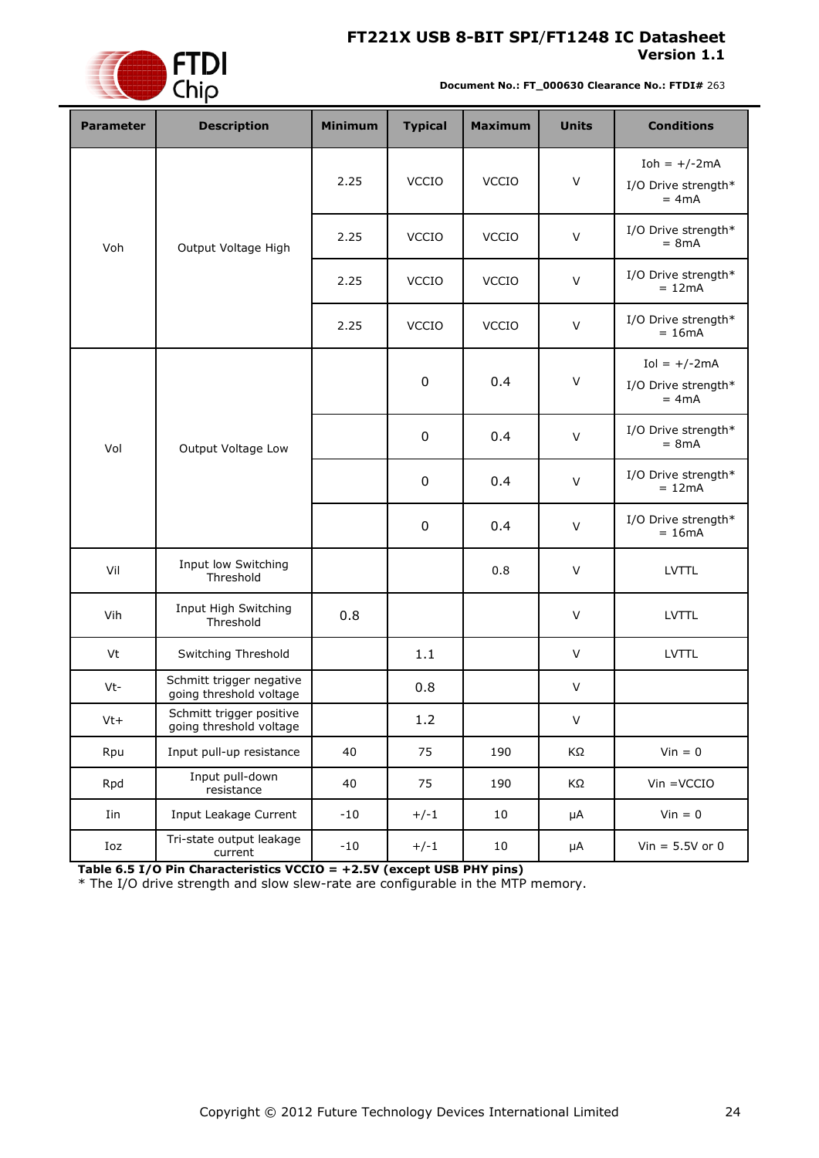

**Document No.: FT\_000630 Clearance No.: FTDI#** 263

| <b>Parameter</b> | <b>Description</b>                                  | <b>Minimum</b> | <b>Typical</b> | <b>Maximum</b> | <b>Units</b> | <b>Conditions</b>                                |  |  |
|------------------|-----------------------------------------------------|----------------|----------------|----------------|--------------|--------------------------------------------------|--|--|
|                  |                                                     | 2.25           | <b>VCCIO</b>   | <b>VCCIO</b>   | $\vee$       | Ioh = $+/-2mA$<br>I/O Drive strength*<br>$= 4mA$ |  |  |
| Voh              | Output Voltage High                                 | 2.25           | <b>VCCIO</b>   | <b>VCCIO</b>   | $\vee$       | I/O Drive strength*<br>$= 8mA$                   |  |  |
|                  |                                                     | 2.25           | <b>VCCIO</b>   | <b>VCCIO</b>   | $\vee$       | I/O Drive strength*<br>$= 12mA$                  |  |  |
|                  |                                                     | 2.25           | <b>VCCIO</b>   | <b>VCCIO</b>   | $\vee$       | I/O Drive strength*<br>$= 16mA$                  |  |  |
|                  |                                                     |                | $\pmb{0}$      | 0.4            | $\vee$       | $Iol = +/-2mA$<br>I/O Drive strength*<br>$= 4mA$ |  |  |
| Vol              | Output Voltage Low                                  |                | 0              | 0.4            | $\mathsf{V}$ | I/O Drive strength*<br>$= 8mA$                   |  |  |
|                  |                                                     |                | 0              | 0.4            | $\vee$       | I/O Drive strength*<br>$= 12mA$                  |  |  |
|                  |                                                     |                | 0              | 0.4            | $\vee$       | I/O Drive strength*<br>$= 16mA$                  |  |  |
| Vil              | Input low Switching<br>Threshold                    |                |                | 0.8            | $\vee$       | <b>LVTTL</b>                                     |  |  |
| Vih              | Input High Switching<br>Threshold                   | 0.8            |                |                | $\vee$       | <b>LVTTL</b>                                     |  |  |
| Vt               | Switching Threshold                                 |                | 1.1            |                | $\vee$       | <b>LVTTL</b>                                     |  |  |
| Vt-              | Schmitt trigger negative<br>going threshold voltage |                | 0.8            |                | V            |                                                  |  |  |
| $Vt+$            | Schmitt trigger positive<br>going threshold voltage |                | 1.2            |                | V            |                                                  |  |  |
| Rpu              | Input pull-up resistance                            | 40             | 75             | 190            | ΚΩ           | $Vin = 0$                                        |  |  |
| Rpd              | Input pull-down<br>resistance                       | 40             | 75             | 190            | ΚΩ           | $V$ in = $V$ CCIO                                |  |  |
| Iin              | Input Leakage Current                               | $-10$          | $+/-1$         | 10             | $\mu A$      | $Vin = 0$                                        |  |  |
| Ioz              | Tri-state output leakage<br>current                 | $-10$          | $+/-1$         | 10             | μA           | Vin = $5.5V$ or 0                                |  |  |

<span id="page-23-0"></span>**Table 6.5 I/O Pin Characteristics VCCIO = +2.5V (except USB PHY pins)**

\* The I/O drive strength and slow slew-rate are configurable in the MTP memory.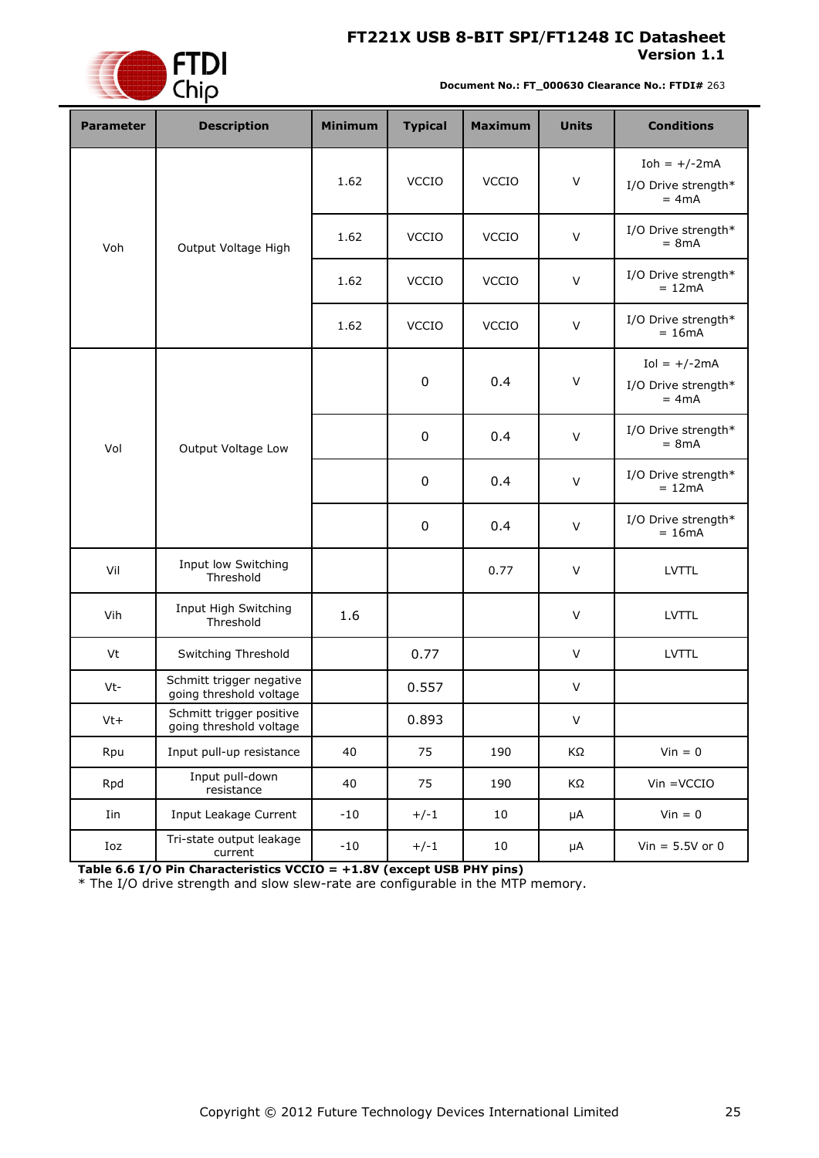

**Document No.: FT\_000630 Clearance No.: FTDI#** 263

| <b>Parameter</b> | <b>Description</b>                                  | <b>Minimum</b> | <b>Typical</b> | <b>Maximum</b> | <b>Units</b> | <b>Conditions</b>                                |  |  |
|------------------|-----------------------------------------------------|----------------|----------------|----------------|--------------|--------------------------------------------------|--|--|
|                  |                                                     | 1.62           | <b>VCCIO</b>   | VCCIO          | $\vee$       | Ioh = $+/-2mA$<br>I/O Drive strength*<br>$= 4mA$ |  |  |
| Voh              | Output Voltage High                                 | 1.62           | <b>VCCIO</b>   | <b>VCCIO</b>   | $\vee$       | I/O Drive strength*<br>$= 8mA$                   |  |  |
|                  |                                                     | 1.62           | <b>VCCIO</b>   | <b>VCCIO</b>   | $\vee$       | I/O Drive strength*<br>$= 12mA$                  |  |  |
|                  |                                                     | 1.62           | <b>VCCIO</b>   | <b>VCCIO</b>   | $\vee$       | I/O Drive strength*<br>$= 16mA$                  |  |  |
|                  |                                                     |                | $\pmb{0}$      | 0.4            | $\vee$       | $Iol = +/-2mA$<br>I/O Drive strength*<br>$= 4mA$ |  |  |
| Vol              | Output Voltage Low                                  |                | 0              | 0.4            | $\mathsf{V}$ | I/O Drive strength*<br>$= 8mA$                   |  |  |
|                  |                                                     |                | 0              | 0.4            | $\vee$       | I/O Drive strength*<br>$= 12mA$                  |  |  |
|                  |                                                     |                | 0              | 0.4            | $\vee$       | I/O Drive strength*<br>$= 16mA$                  |  |  |
| Vil              | Input low Switching<br>Threshold                    |                |                | 0.77           | $\vee$       | <b>LVTTL</b>                                     |  |  |
| Vih              | Input High Switching<br>Threshold                   | 1.6            |                |                | $\vee$       | <b>LVTTL</b>                                     |  |  |
| Vt               | Switching Threshold                                 |                | 0.77           |                | $\vee$       | <b>LVTTL</b>                                     |  |  |
| Vt-              | Schmitt trigger negative<br>going threshold voltage |                | 0.557          |                | V            |                                                  |  |  |
| $Vt+$            | Schmitt trigger positive<br>going threshold voltage |                | 0.893          |                | V            |                                                  |  |  |
| Rpu              | Input pull-up resistance                            | 40             | 75             | 190            | ΚΩ           | $Vin = 0$                                        |  |  |
| Rpd              | Input pull-down<br>resistance                       | 40             | 75             | 190            | ΚΩ           | $V$ in = $V$ CCIO                                |  |  |
| Iin              | Input Leakage Current                               | $-10$          | $+/-1$         | 10             | $\mu A$      | $Vin = 0$                                        |  |  |
| Ioz              | Tri-state output leakage<br>current                 | $-10$          | $+/-1$         | 10             | μA           | Vin = $5.5V$ or 0                                |  |  |

<span id="page-24-0"></span>**Table 6.6 I/O Pin Characteristics VCCIO = +1.8V (except USB PHY pins)**

\* The I/O drive strength and slow slew-rate are configurable in the MTP memory.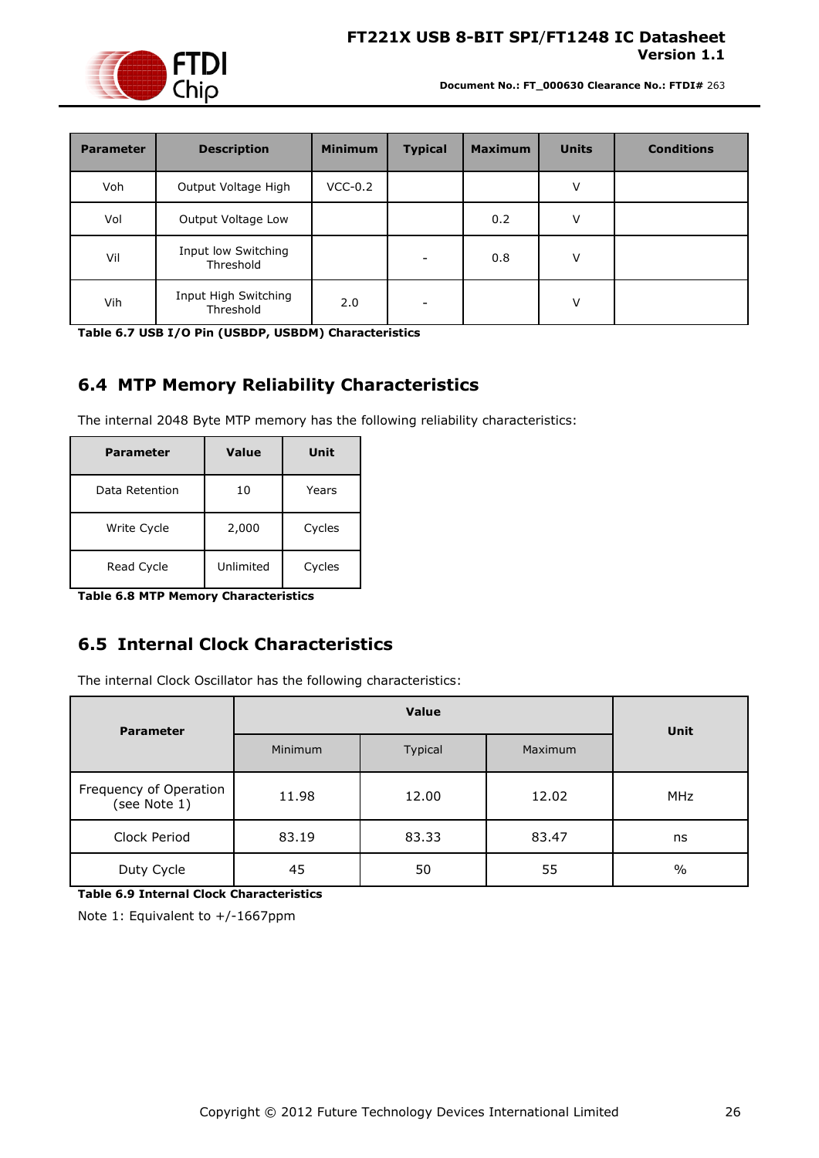

**Document No.: FT\_000630 Clearance No.: FTDI#** 263

| <b>Parameter</b> | <b>Description</b>                | <b>Minimum</b> | <b>Typical</b>           | <b>Maximum</b> | <b>Units</b> | <b>Conditions</b> |
|------------------|-----------------------------------|----------------|--------------------------|----------------|--------------|-------------------|
| Voh              | Output Voltage High               | $VCC-0.2$      |                          |                | v            |                   |
| Vol              | Output Voltage Low                |                |                          | 0.2            | v            |                   |
| Vil              | Input low Switching<br>Threshold  |                |                          | 0.8            | V            |                   |
| Vih              | Input High Switching<br>Threshold | 2.0            | $\overline{\phantom{0}}$ |                | V            |                   |

<span id="page-25-2"></span>**Table 6.7 USB I/O Pin (USBDP, USBDM) Characteristics**

# <span id="page-25-0"></span>**6.4 MTP Memory Reliability Characteristics**

The internal 2048 Byte MTP memory has the following reliability characteristics:

| <b>Parameter</b> | Value     | Unit   |
|------------------|-----------|--------|
| Data Retention   | 10        | Years  |
| Write Cycle      | 2,000     | Cycles |
| Read Cycle       | Unlimited | Cycles |

<span id="page-25-3"></span>**Table 6.8 MTP Memory Characteristics**

## <span id="page-25-1"></span>**6.5 Internal Clock Characteristics**

The internal Clock Oscillator has the following characteristics:

| <b>Parameter</b>                       |         | Value   |         |               |  |  |  |
|----------------------------------------|---------|---------|---------|---------------|--|--|--|
|                                        | Minimum | Typical | Maximum | Unit          |  |  |  |
| Frequency of Operation<br>(see Note 1) | 11.98   | 12.00   | 12.02   | MHz           |  |  |  |
| Clock Period                           | 83.19   | 83.33   | 83.47   | ns            |  |  |  |
| Duty Cycle                             | 45      | 50      | 55      | $\frac{0}{0}$ |  |  |  |

<span id="page-25-4"></span>**Table 6.9 Internal Clock Characteristics**

Note 1: Equivalent to +/-1667ppm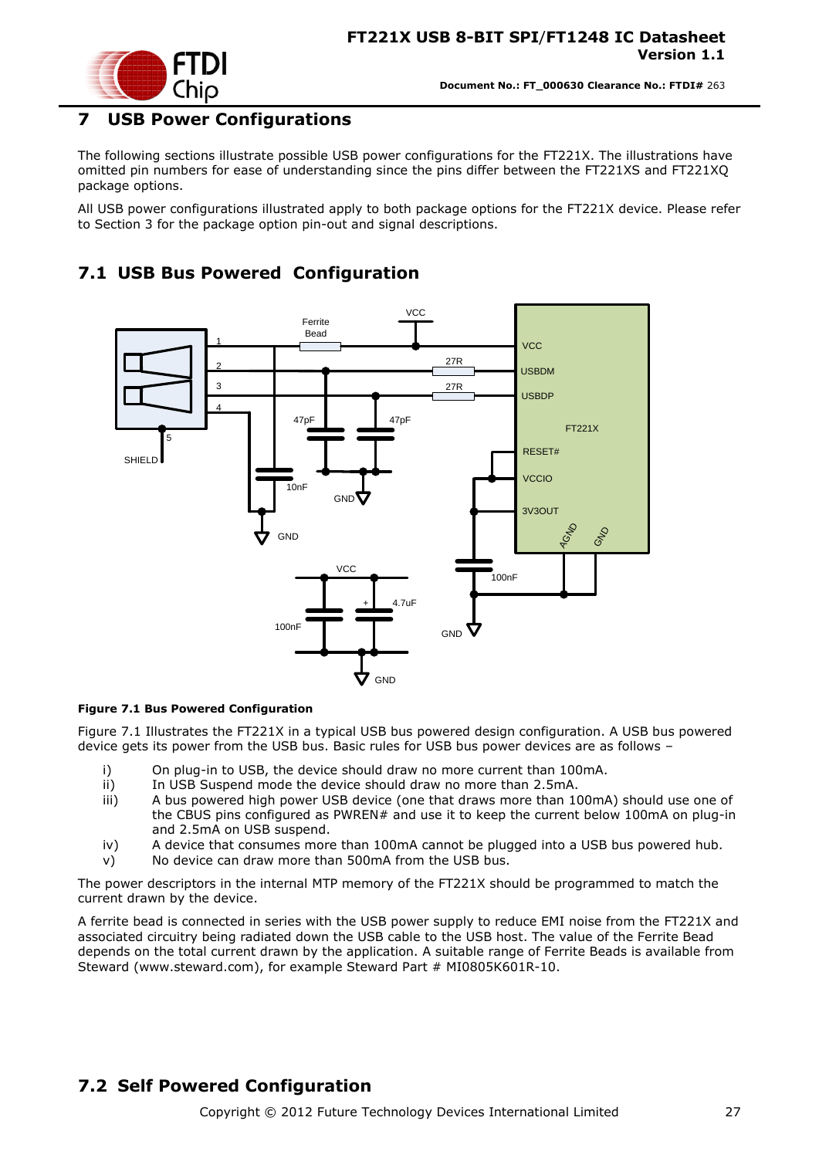

#### <span id="page-26-0"></span>**7 USB Power Configurations**

The following sections illustrate possible USB power configurations for the FT221X. The illustrations have omitted pin numbers for ease of understanding since the pins differ between the FT221XS and FT221XQ package options.

All USB power configurations illustrated apply to both package options for the FT221X device. Please refer to Section [3](#page-6-0) for the package option pin-out and signal descriptions.

### <span id="page-26-1"></span>**7.1 USB Bus Powered Configuration**



#### <span id="page-26-3"></span>**Figure 7.1 Bus Powered Configuration**

[Figure 7.1](#page-26-3) Illustrates the FT221X in a typical USB bus powered design configuration. A USB bus powered device gets its power from the USB bus. Basic rules for USB bus power devices are as follows –

- i) On plug-in to USB, the device should draw no more current than 100mA.
- ii) In USB Suspend mode the device should draw no more than 2.5mA.
- iii) A bus powered high power USB device (one that draws more than 100mA) should use one of the CBUS pins configured as PWREN# and use it to keep the current below 100mA on plug-in and 2.5mA on USB suspend.
- iv) A device that consumes more than 100mA cannot be plugged into a USB bus powered hub.
- v) No device can draw more than 500mA from the USB bus.

The power descriptors in the internal MTP memory of the FT221X should be programmed to match the current drawn by the device.

A ferrite bead is connected in series with the USB power supply to reduce EMI noise from the FT221X and associated circuitry being radiated down the USB cable to the USB host. The value of the Ferrite Bead depends on the total current drawn by the application. A suitable range of Ferrite Beads is available from Steward [\(www.steward.com\)](file://glaspssv1/General/Engineering/Engineering%20_Documents/DS_FT232R/DS_FT232R_V200/www.steward.com), for example Steward Part # MI0805K601R-10.

#### <span id="page-26-2"></span>**7.2 Self Powered Configuration**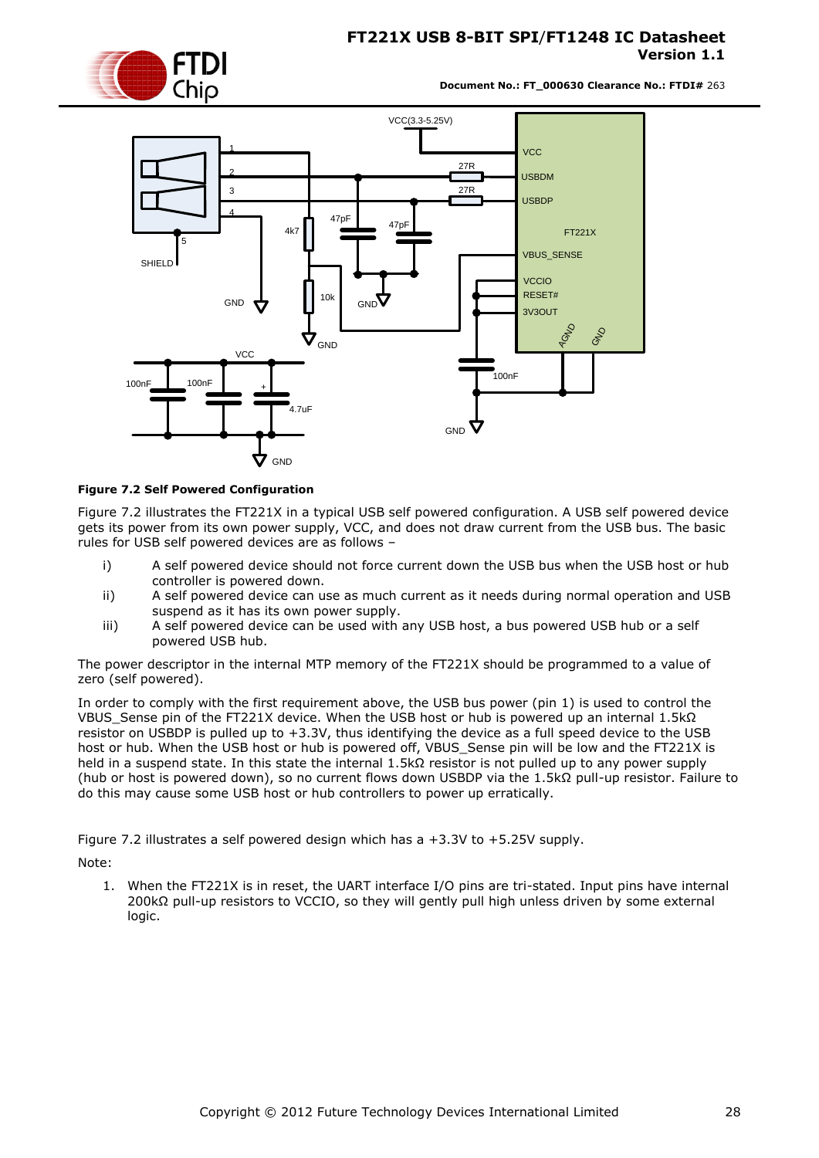

**Document No.: FT\_000630 Clearance No.: FTDI#** 263



#### <span id="page-27-0"></span>**Figure 7.2 Self Powered Configuration**

[Figure 7.2](#page-27-0) illustrates the FT221X in a typical USB self powered configuration. A USB self powered device gets its power from its own power supply, VCC, and does not draw current from the USB bus. The basic rules for USB self powered devices are as follows –

- i) A self powered device should not force current down the USB bus when the USB host or hub controller is powered down.
- ii) A self powered device can use as much current as it needs during normal operation and USB suspend as it has its own power supply.
- iii) A self powered device can be used with any USB host, a bus powered USB hub or a self powered USB hub.

The power descriptor in the internal MTP memory of the FT221X should be programmed to a value of zero (self powered).

In order to comply with the first requirement above, the USB bus power (pin 1) is used to control the VBUS\_Sense pin of the FT221X device. When the USB host or hub is powered up an internal 1.5kΩ resistor on USBDP is pulled up to +3.3V, thus identifying the device as a full speed device to the USB host or hub. When the USB host or hub is powered off, VBUS\_Sense pin will be low and the FT221X is held in a suspend state. In this state the internal 1.5kΩ resistor is not pulled up to any power supply (hub or host is powered down), so no current flows down USBDP via the 1.5kΩ pull-up resistor. Failure to do this may cause some USB host or hub controllers to power up erratically.

[Figure 7.2](#page-27-0) illustrates a self powered design which has a +3.3V to +5.25V supply.

Note:

1. When the FT221X is in reset, the UART interface I/O pins are tri-stated. Input pins have internal 200kΩ pull-up resistors to VCCIO, so they will gently pull high unless driven by some external logic.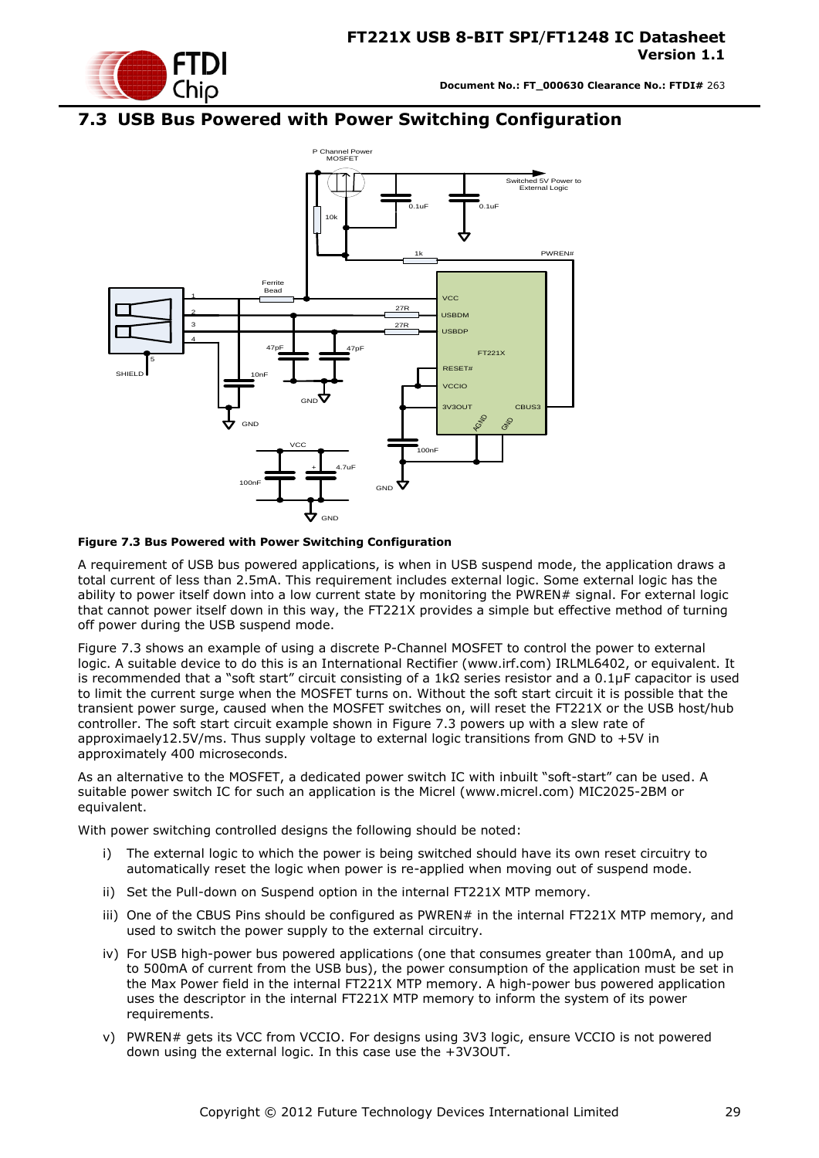

### <span id="page-28-0"></span>**7.3 USB Bus Powered with Power Switching Configuration**



#### <span id="page-28-1"></span>**Figure 7.3 Bus Powered with Power Switching Configuration**

A requirement of USB bus powered applications, is when in USB suspend mode, the application draws a total current of less than 2.5mA. This requirement includes external logic. Some external logic has the ability to power itself down into a low current state by monitoring the PWREN# signal. For external logic that cannot power itself down in this way, the FT221X provides a simple but effective method of turning off power during the USB suspend mode.

[Figure 7.3](#page-28-1) shows an example of using a discrete P-Channel MOSFET to control the power to external logic. A suitable device to do this is an International Rectifier (www.irf.com) IRLML6402, or equivalent. It is recommended that a "soft start" circuit consisting of a 1kΩ series resistor and a 0.1μF capacitor is used to limit the current surge when the MOSFET turns on. Without the soft start circuit it is possible that the transient power surge, caused when the MOSFET switches on, will reset the FT221X or the USB host/hub controller. The soft start circuit example shown in [Figure 7.3](#page-28-1) powers up with a slew rate of approximaely12.5V/ms. Thus supply voltage to external logic transitions from GND to +5V in approximately 400 microseconds.

As an alternative to the MOSFET, a dedicated power switch IC with inbuilt "soft-start" can be used. A suitable power switch IC for such an application is the Micrel [\(www.micrel.com\)](file://glaspssv1/General/Engineering/Engineering%20_Documents/DS_FT232R/DS_FT232R_V200/www.micrel.com) MIC2025-2BM or equivalent.

With power switching controlled designs the following should be noted:

- i) The external logic to which the power is being switched should have its own reset circuitry to automatically reset the logic when power is re-applied when moving out of suspend mode.
- ii) Set the Pull-down on Suspend option in the internal FT221X MTP memory.
- iii) One of the CBUS Pins should be configured as PWREN# in the internal FT221X MTP memory, and used to switch the power supply to the external circuitry.
- iv) For USB high-power bus powered applications (one that consumes greater than 100mA, and up to 500mA of current from the USB bus), the power consumption of the application must be set in the Max Power field in the internal FT221X MTP memory. A high-power bus powered application uses the descriptor in the internal FT221X MTP memory to inform the system of its power requirements.
- v) PWREN# gets its VCC from VCCIO. For designs using 3V3 logic, ensure VCCIO is not powered down using the external logic. In this case use the +3V3OUT.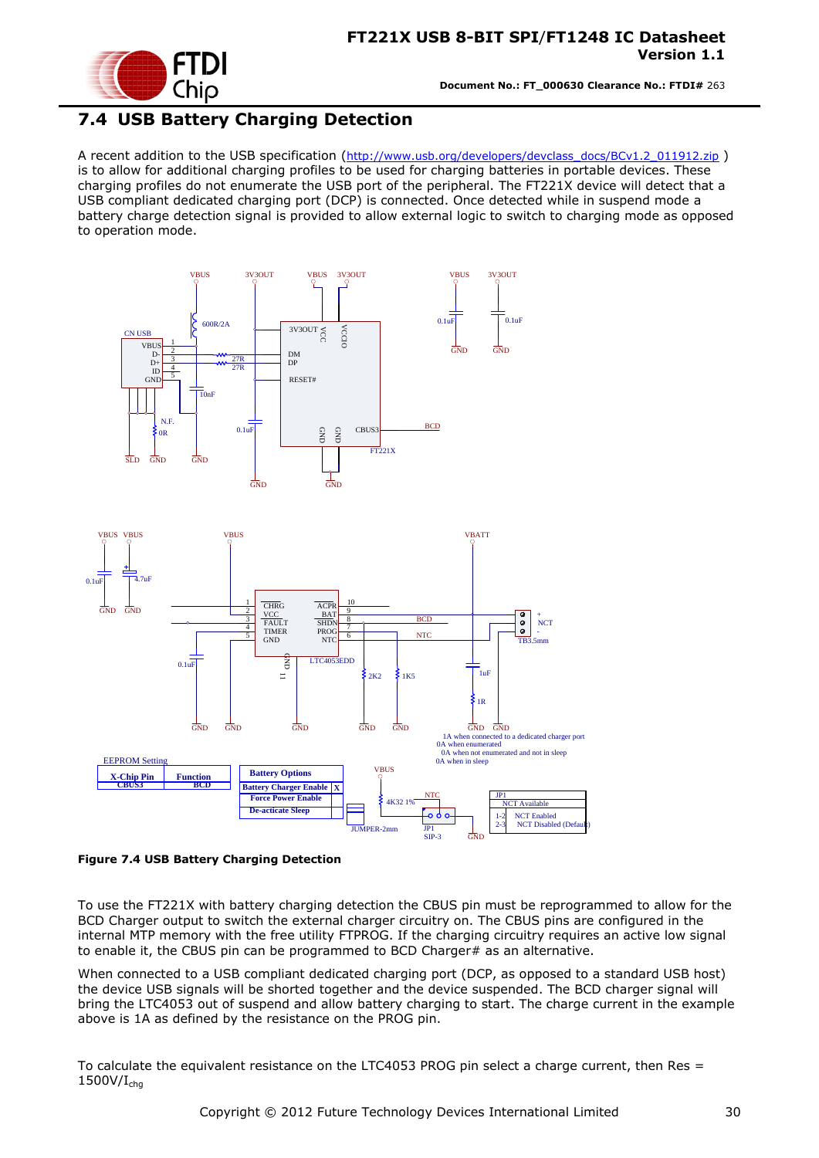

### <span id="page-29-0"></span>**7.4 USB Battery Charging Detection**

A recent addition to the USB specification ([http://www.usb.org/developers/devclass\\_docs/BCv1.2\\_011912.zip](http://www.usb.org/developers/devclass_docs/BCv1.2_011912.zip) ) is to allow for additional charging profiles to be used for charging batteries in portable devices. These charging profiles do not enumerate the USB port of the peripheral. The FT221X device will detect that a USB compliant dedicated charging port (DCP) is connected. Once detected while in suspend mode a battery charge detection signal is provided to allow external logic to switch to charging mode as opposed to operation mode.



<span id="page-29-1"></span>**Figure 7.4 USB Battery Charging Detection**

To use the FT221X with battery charging detection the CBUS pin must be reprogrammed to allow for the BCD Charger output to switch the external charger circuitry on. The CBUS pins are configured in the internal MTP memory with the free utility FTPROG. If the charging circuitry requires an active low signal to enable it, the CBUS pin can be programmed to BCD Charger# as an alternative.

When connected to a USB compliant dedicated charging port (DCP, as opposed to a standard USB host) the device USB signals will be shorted together and the device suspended. The BCD charger signal will bring the LTC4053 out of suspend and allow battery charging to start. The charge current in the example above is 1A as defined by the resistance on the PROG pin.

To calculate the equivalent resistance on the LTC4053 PROG pin select a charge current, then Res =  $1500V/I<sub>cha</sub>$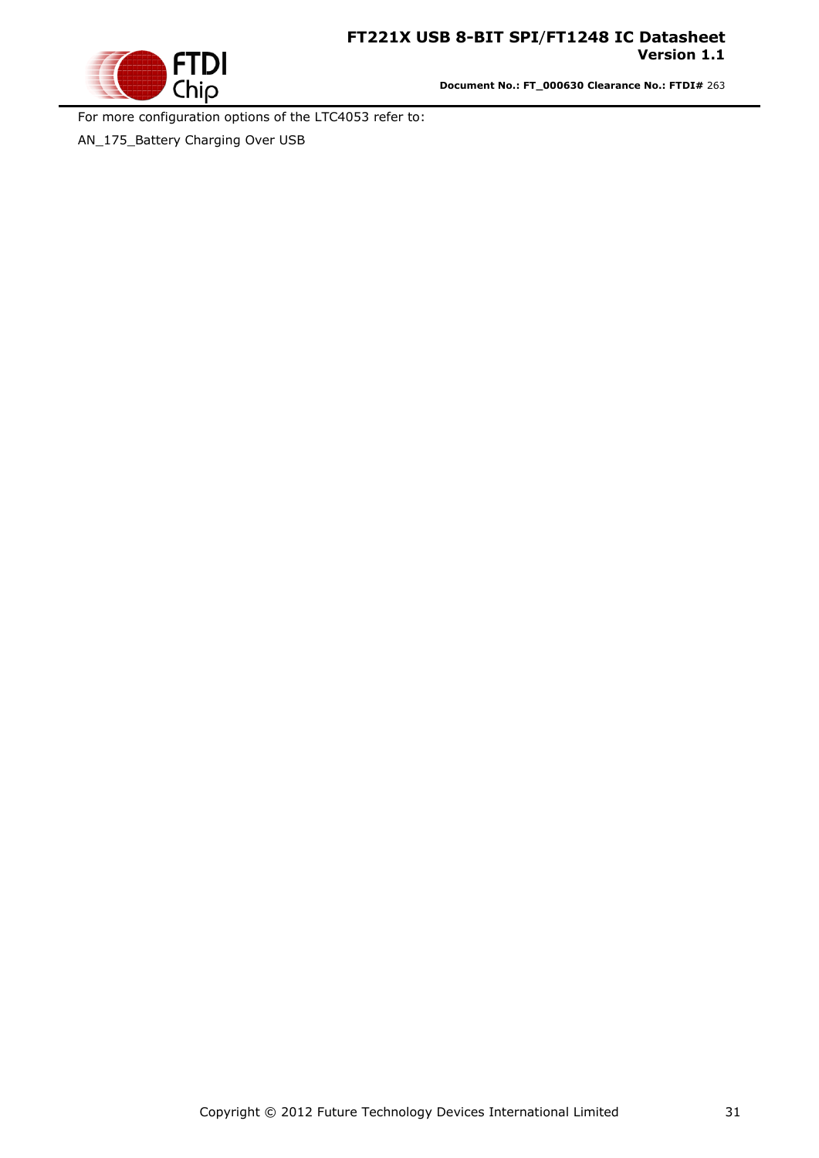

**Document No.: FT\_000630 Clearance No.: FTDI#** 263

For more configuration options of the LTC4053 refer to:

AN\_175\_Battery Charging Over USB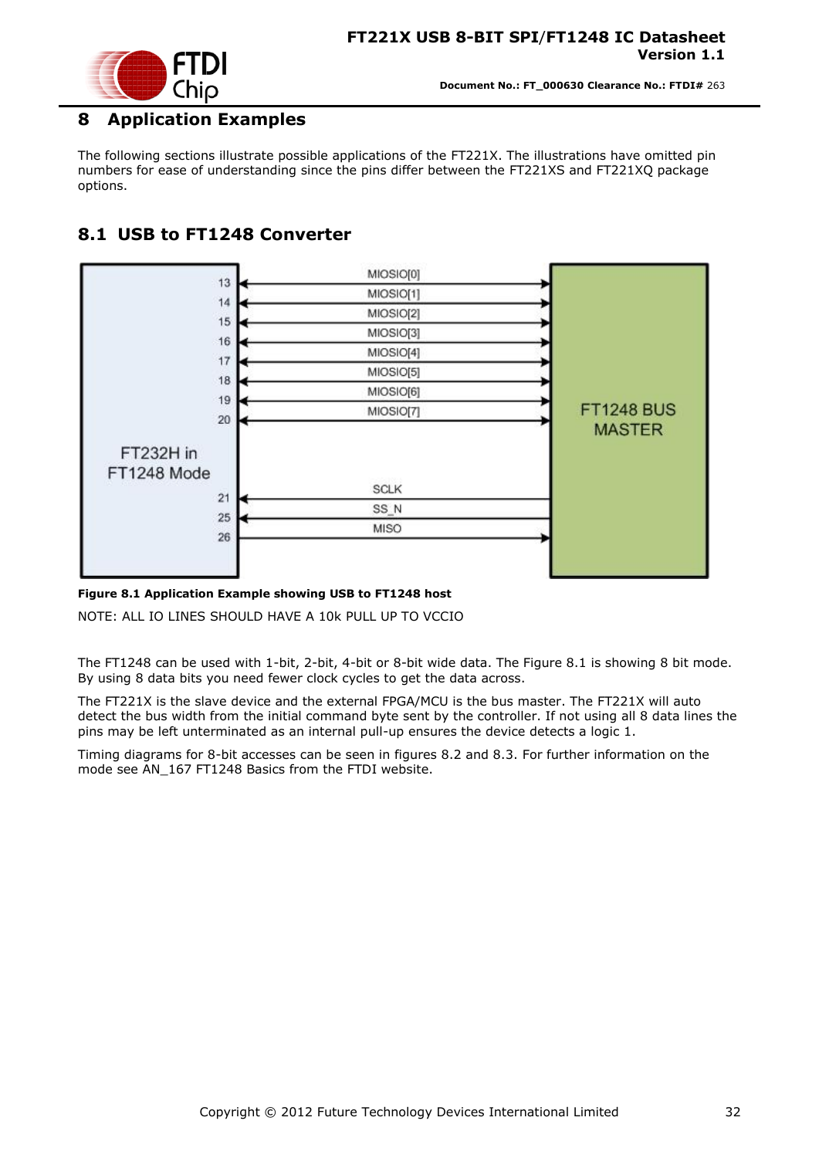

### <span id="page-31-0"></span>**8 Application Examples**

The following sections illustrate possible applications of the FT221X. The illustrations have omitted pin numbers for ease of understanding since the pins differ between the FT221XS and FT221XQ package options.

### <span id="page-31-1"></span>**8.1 USB to FT1248 Converter**



#### <span id="page-31-2"></span>**Figure 8.1 Application Example showing USB to FT1248 host**

NOTE: ALL IO LINES SHOULD HAVE A 10k PULL UP TO VCCIO

The FT1248 can be used with 1-bit, 2-bit, 4-bit or 8-bit wide data. The Figure 8.1 is showing 8 bit mode. By using 8 data bits you need fewer clock cycles to get the data across.

The FT221X is the slave device and the external FPGA/MCU is the bus master. The FT221X will auto detect the bus width from the initial command byte sent by the controller. If not using all 8 data lines the pins may be left unterminated as an internal pull-up ensures the device detects a logic 1.

Timing diagrams for 8-bit accesses can be seen in figures 8.2 and 8.3. For further information on the mode see AN\_167 FT1248 Basics from the FTDI website.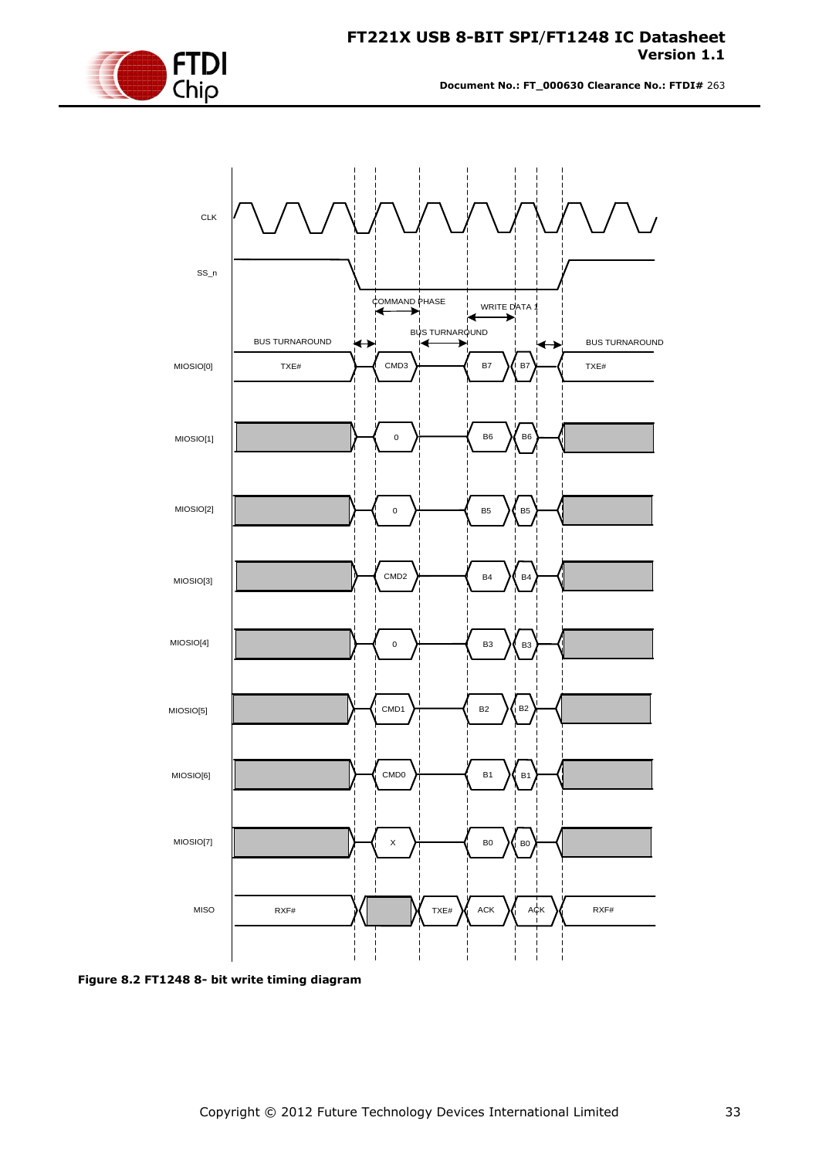

**Document No.: FT\_000630 Clearance No.: FTDI#** 263



<span id="page-32-0"></span>**Figure 8.2 FT1248 8- bit write timing diagram**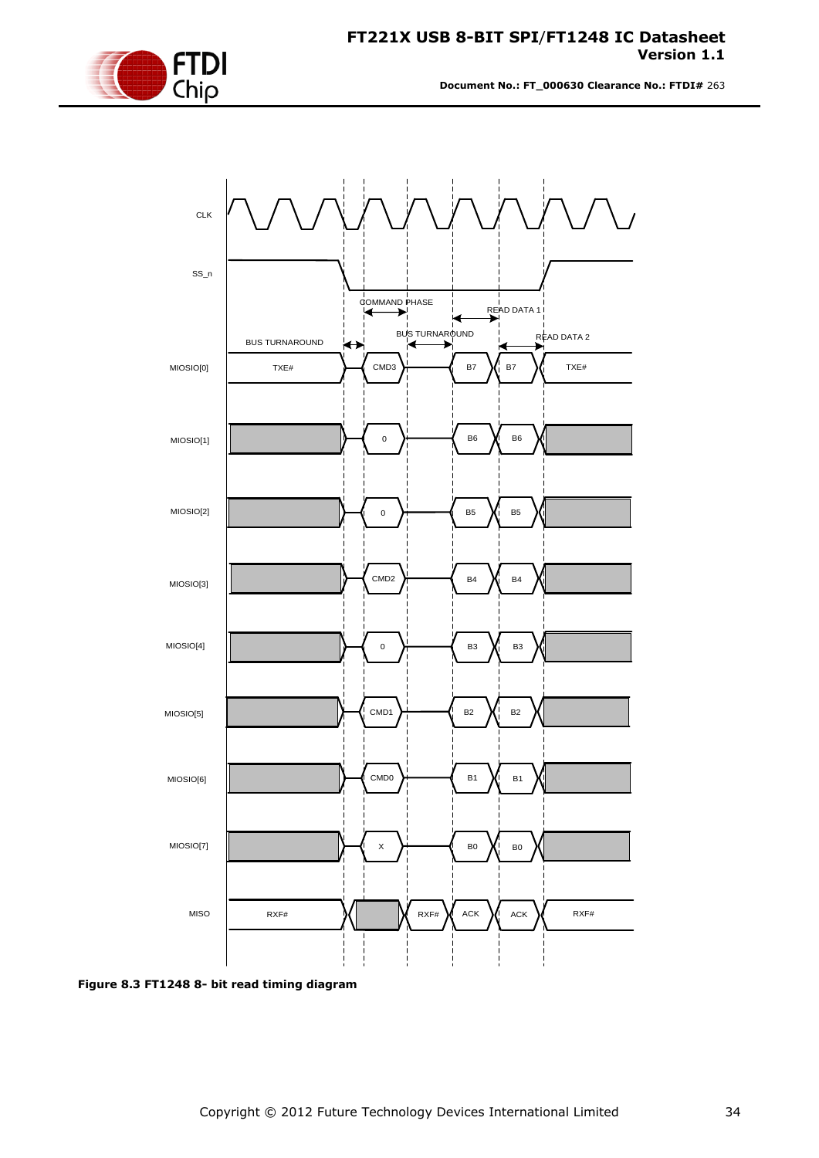

**Document No.: FT\_000630 Clearance No.: FTDI#** 263



<span id="page-33-0"></span>**Figure 8.3 FT1248 8- bit read timing diagram**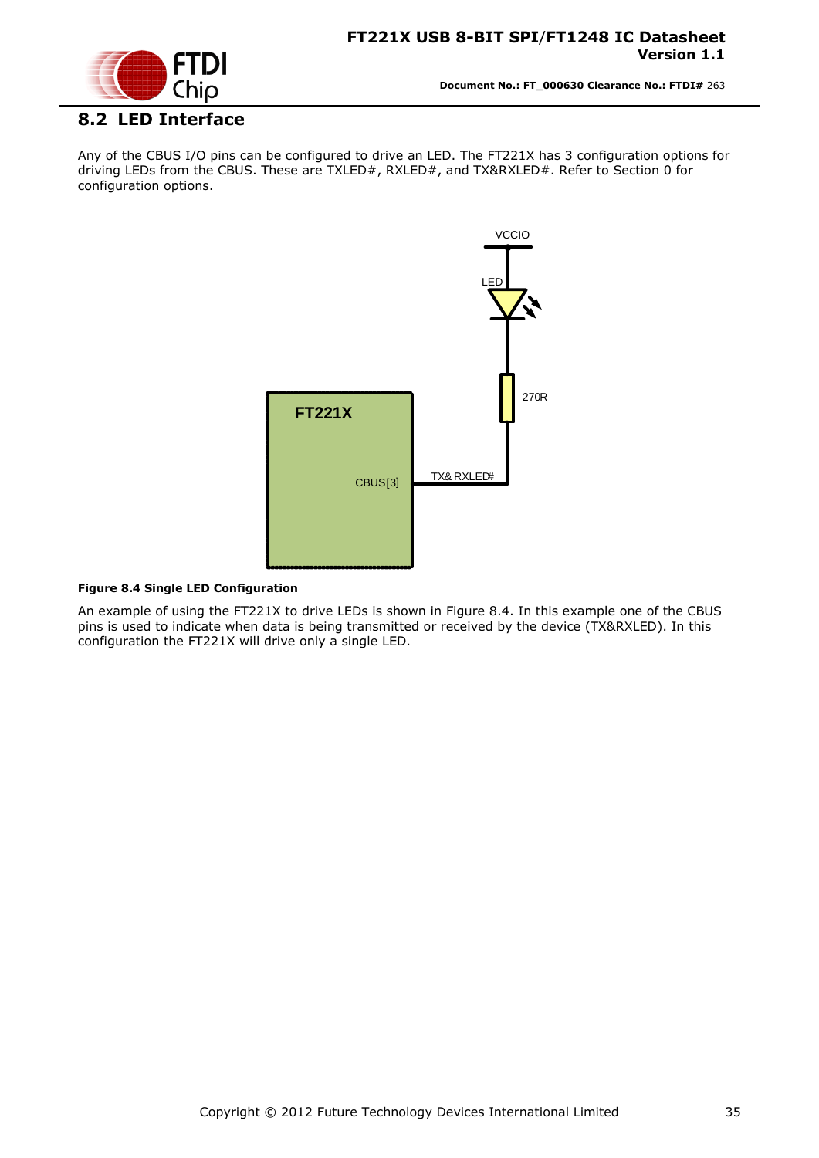



#### <span id="page-34-0"></span>**8.2 LED Interface**

Any of the CBUS I/O pins can be configured to drive an LED. The FT221X has 3 configuration options for driving LEDs from the CBUS. These are TXLED#, RXLED#, and TX&RXLED#. Refer to Section [0](#page-9-0) for configuration options.



#### <span id="page-34-1"></span>**Figure 8.4 Single LED Configuration**

An example of using the FT221X to drive LEDs is shown in [Figure 8.4.](#page-34-1) In this example one of the CBUS pins is used to indicate when data is being transmitted or received by the device (TX&RXLED). In this configuration the FT221X will drive only a single LED.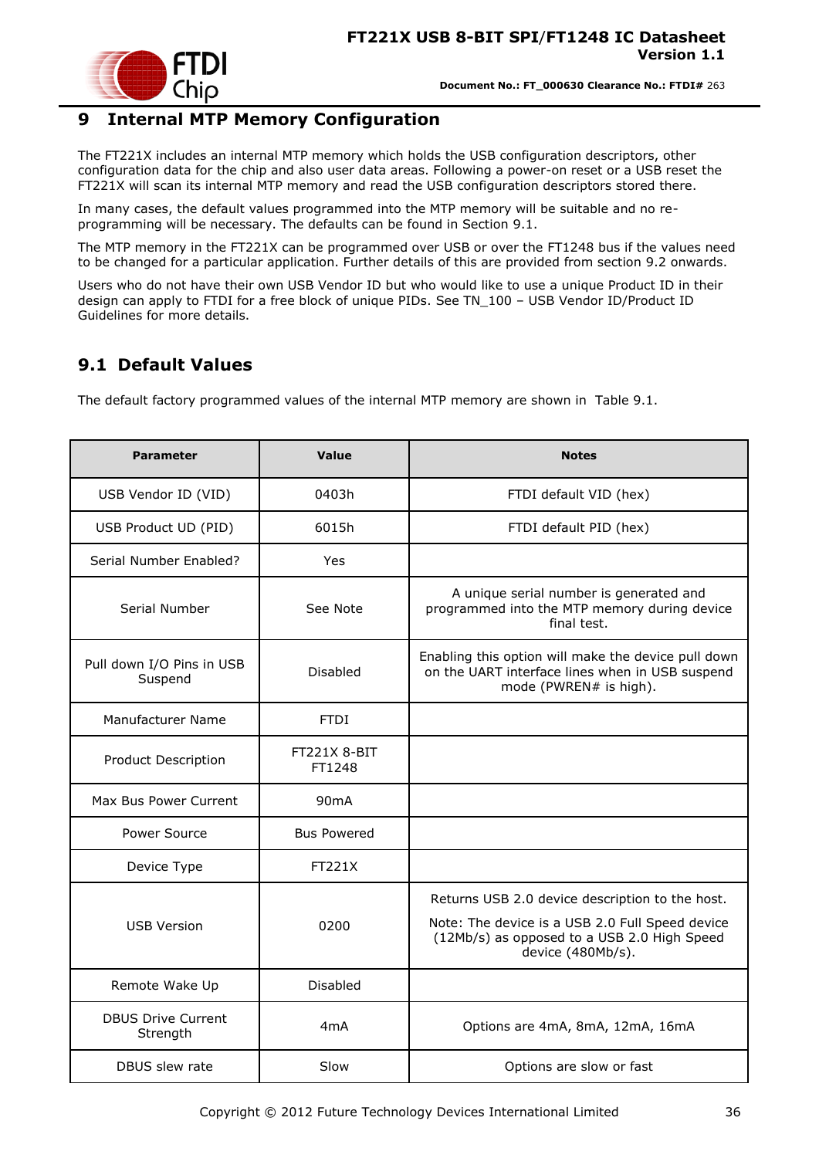

### <span id="page-35-0"></span>**9 Internal MTP Memory Configuration**

The FT221X includes an internal MTP memory which holds the USB configuration descriptors, other configuration data for the chip and also user data areas. Following a power-on reset or a USB reset the FT221X will scan its internal MTP memory and read the USB configuration descriptors stored there.

In many cases, the default values programmed into the MTP memory will be suitable and no reprogramming will be necessary. The defaults can be found in Section [9.1.](#page-35-1)

The MTP memory in the FT221X can be programmed over USB or over the FT1248 bus if the values need to be changed for a particular application. Further details of this are provided from section [9.2](#page-36-0) onwards.

Users who do not have their own USB Vendor ID but who would like to use a unique Product ID in their design can apply to FTDI for a free block of unique PIDs. See TN\_100 – USB Vendor ID/Product ID Guidelines for more details.

### <span id="page-35-1"></span>**9.1 Default Values**

The default factory programmed values of the internal MTP memory are shown in [Table 9.1.](#page-36-3)

| <b>Parameter</b>                      | Value                         | <b>Notes</b>                                                                                                                                                           |  |  |
|---------------------------------------|-------------------------------|------------------------------------------------------------------------------------------------------------------------------------------------------------------------|--|--|
| USB Vendor ID (VID)                   | 0403h                         | FTDI default VID (hex)                                                                                                                                                 |  |  |
| USB Product UD (PID)                  | 6015h                         | FTDI default PID (hex)                                                                                                                                                 |  |  |
| Serial Number Enabled?                | Yes                           |                                                                                                                                                                        |  |  |
| Serial Number                         | See Note                      | A unique serial number is generated and<br>programmed into the MTP memory during device<br>final test.                                                                 |  |  |
| Pull down I/O Pins in USB<br>Suspend  | Disabled                      | Enabling this option will make the device pull down<br>on the UART interface lines when in USB suspend<br>mode (PWREN# is high).                                       |  |  |
| Manufacturer Name                     | <b>FTDI</b>                   |                                                                                                                                                                        |  |  |
| <b>Product Description</b>            | <b>FT221X 8-BIT</b><br>FT1248 |                                                                                                                                                                        |  |  |
| Max Bus Power Current                 | 90 <sub>m</sub> A             |                                                                                                                                                                        |  |  |
| Power Source                          | <b>Bus Powered</b>            |                                                                                                                                                                        |  |  |
| Device Type                           | FT221X                        |                                                                                                                                                                        |  |  |
| <b>USB Version</b>                    | 0200                          | Returns USB 2.0 device description to the host.<br>Note: The device is a USB 2.0 Full Speed device<br>(12Mb/s) as opposed to a USB 2.0 High Speed<br>device (480Mb/s). |  |  |
| Remote Wake Up                        | Disabled                      |                                                                                                                                                                        |  |  |
| <b>DBUS Drive Current</b><br>Strength | 4 <sub>m</sub> A              | Options are 4mA, 8mA, 12mA, 16mA                                                                                                                                       |  |  |
| DBUS slew rate                        | Slow                          | Options are slow or fast                                                                                                                                               |  |  |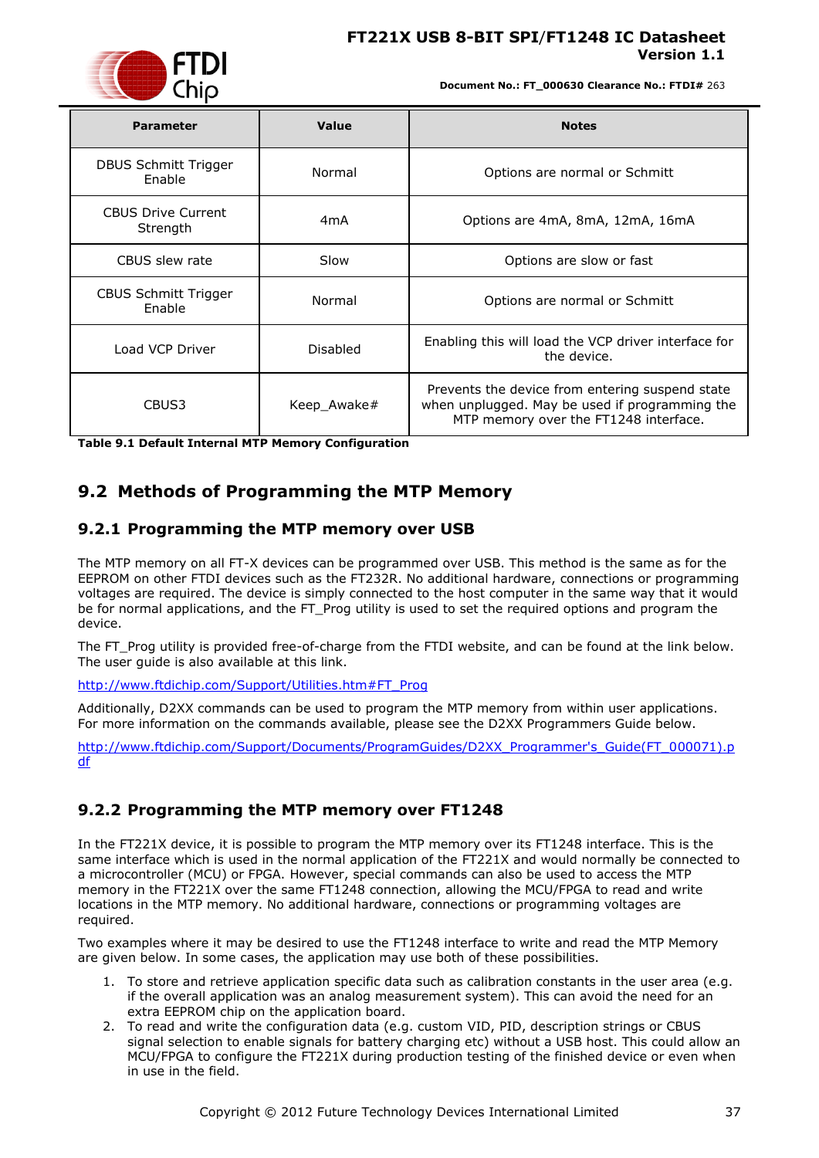

**Document No.: FT\_000630 Clearance No.: FTDI#** 263

| <b>Parameter</b>                      | Value       | <b>Notes</b>                                                                                                                               |
|---------------------------------------|-------------|--------------------------------------------------------------------------------------------------------------------------------------------|
| DBUS Schmitt Trigger<br>Enable        | Normal      | Options are normal or Schmitt                                                                                                              |
| <b>CBUS Drive Current</b><br>Strength | 4mA         | Options are 4mA, 8mA, 12mA, 16mA                                                                                                           |
| CBUS slew rate                        | Slow        | Options are slow or fast                                                                                                                   |
| CBUS Schmitt Trigger<br>Enable        | Normal      | Options are normal or Schmitt                                                                                                              |
| Load VCP Driver                       | Disabled    | Enabling this will load the VCP driver interface for<br>the device.                                                                        |
| CBUS3                                 | Keep_Awake# | Prevents the device from entering suspend state<br>when unplugged. May be used if programming the<br>MTP memory over the FT1248 interface. |

<span id="page-36-3"></span>**Table 9.1 Default Internal MTP Memory Configuration**

### <span id="page-36-0"></span>**9.2 Methods of Programming the MTP Memory**

#### <span id="page-36-1"></span>**9.2.1 Programming the MTP memory over USB**

The MTP memory on all FT-X devices can be programmed over USB. This method is the same as for the EEPROM on other FTDI devices such as the FT232R. No additional hardware, connections or programming voltages are required. The device is simply connected to the host computer in the same way that it would be for normal applications, and the FT\_Prog utility is used to set the required options and program the device.

The FT\_Prog utility is provided free-of-charge from the FTDI website, and can be found at the link below. The user guide is also available at this link.

[http://www.ftdichip.com/Support/Utilities.htm#FT\\_Prog](http://www.ftdichip.com/Support/Utilities.htm#FT_Prog)

Additionally, D2XX commands can be used to program the MTP memory from within user applications. For more information on the commands available, please see the D2XX Programmers Guide below.

[http://www.ftdichip.com/Support/Documents/ProgramGuides/D2XX\\_Programmer's\\_Guide\(FT\\_000071\).p](http://www.ftdichip.com/Support/Documents/ProgramGuides/D2XX_Programmer) [df](http://www.ftdichip.com/Support/Documents/ProgramGuides/D2XX_Programmer)

#### <span id="page-36-2"></span>**9.2.2 Programming the MTP memory over FT1248**

In the FT221X device, it is possible to program the MTP memory over its FT1248 interface. This is the same interface which is used in the normal application of the FT221X and would normally be connected to a microcontroller (MCU) or FPGA. However, special commands can also be used to access the MTP memory in the FT221X over the same FT1248 connection, allowing the MCU/FPGA to read and write locations in the MTP memory. No additional hardware, connections or programming voltages are required.

Two examples where it may be desired to use the FT1248 interface to write and read the MTP Memory are given below. In some cases, the application may use both of these possibilities.

- 1. To store and retrieve application specific data such as calibration constants in the user area (e.g. if the overall application was an analog measurement system). This can avoid the need for an extra EEPROM chip on the application board.
- 2. To read and write the configuration data (e.g. custom VID, PID, description strings or CBUS signal selection to enable signals for battery charging etc) without a USB host. This could allow an MCU/FPGA to configure the FT221X during production testing of the finished device or even when in use in the field.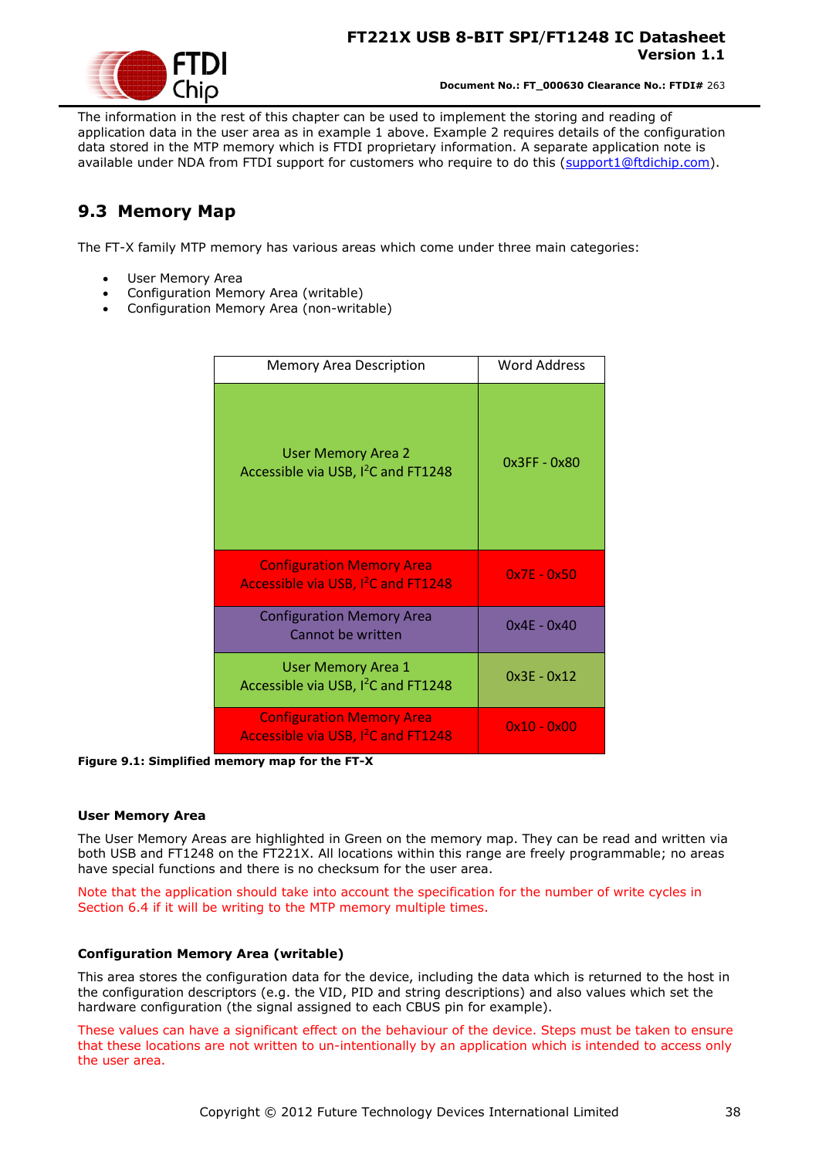

The information in the rest of this chapter can be used to implement the storing and reading of application data in the user area as in example 1 above. Example 2 requires details of the configuration data stored in the MTP memory which is FTDI proprietary information. A separate application note is available under NDA from FTDI support for customers who require to do this [\(support1@ftdichip.com\)](mailto:support1@ftdichip.com).

### <span id="page-37-0"></span>**9.3 Memory Map**

The FT-X family MTP memory has various areas which come under three main categories:

- User Memory Area
- Configuration Memory Area (writable)
- Configuration Memory Area (non-writable)

| <b>Memory Area Description</b>                                                      | Word Address  |
|-------------------------------------------------------------------------------------|---------------|
| <b>User Memory Area 2</b><br>Accessible via USB, I <sup>2</sup> C and FT1248        | 0x3FF - 0x80  |
| <b>Configuration Memory Area</b><br>Accessible via USB, I <sup>2</sup> C and FT1248 | $0x7E - 0x50$ |
| <b>Configuration Memory Area</b><br>Cannot be written                               | $0x4E - 0x40$ |
| <b>User Memory Area 1</b><br>Accessible via USB, I <sup>2</sup> C and FT1248        | $0x3E - 0x12$ |
| <b>Configuration Memory Area</b><br>Accessible via USB, I <sup>2</sup> C and FT1248 | $0x10 - 0x00$ |

<span id="page-37-1"></span>**Figure 9.1: Simplified memory map for the FT-X**

#### **User Memory Area**

The User Memory Areas are highlighted in Green on the memory map. They can be read and written via both USB and FT1248 on the FT221X. All locations within this range are freely programmable; no areas have special functions and there is no checksum for the user area.

Note that the application should take into account the specification for the number of write cycles in Section [6.4](#page-25-0) if it will be writing to the MTP memory multiple times.

#### **Configuration Memory Area (writable)**

This area stores the configuration data for the device, including the data which is returned to the host in the configuration descriptors (e.g. the VID, PID and string descriptions) and also values which set the hardware configuration (the signal assigned to each CBUS pin for example).

These values can have a significant effect on the behaviour of the device. Steps must be taken to ensure that these locations are not written to un-intentionally by an application which is intended to access only the user area.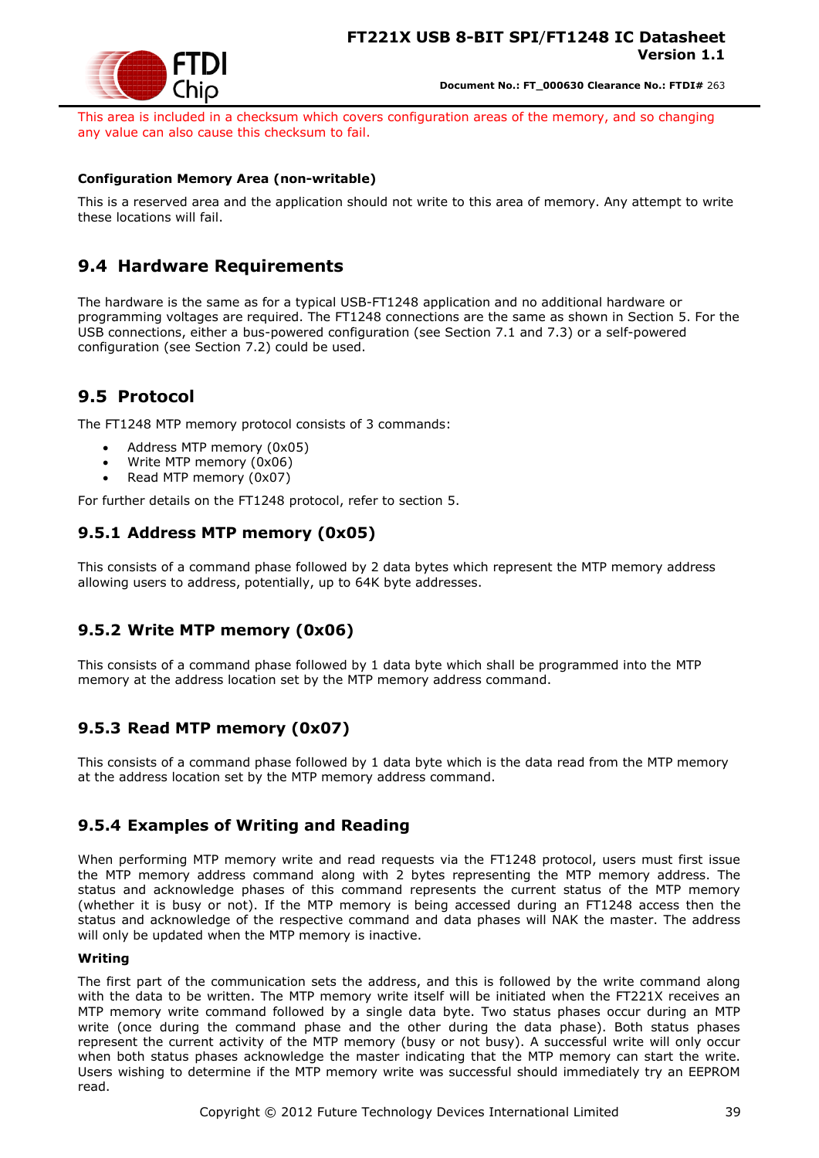

This area is included in a checksum which covers configuration areas of the memory, and so changing any value can also cause this checksum to fail.

#### **Configuration Memory Area (non-writable)**

This is a reserved area and the application should not write to this area of memory. Any attempt to write these locations will fail.

### <span id="page-38-0"></span>**9.4 Hardware Requirements**

The hardware is the same as for a typical USB-FT1248 application and no additional hardware or programming voltages are required. The FT1248 connections are the same as shown in Section [5.](#page-14-0) For the USB connections, either a bus-powered configuration (see Section [7.1](#page-26-1) and [7.3\)](#page-28-0) or a self-powered configuration (see Section [7.2\)](#page-26-2) could be used.

### <span id="page-38-1"></span>**9.5 Protocol**

The FT1248 MTP memory protocol consists of 3 commands:

- Address MTP memory (0x05)
- Write MTP memory (0x06)
- Read MTP memory (0x07)

For further details on the FT1248 protocol, refer to section [5.](#page-14-0)

#### <span id="page-38-2"></span>**9.5.1 Address MTP memory (0x05)**

This consists of a command phase followed by 2 data bytes which represent the MTP memory address allowing users to address, potentially, up to 64K byte addresses.

#### <span id="page-38-3"></span>**9.5.2 Write MTP memory (0x06)**

This consists of a command phase followed by 1 data byte which shall be programmed into the MTP memory at the address location set by the MTP memory address command.

#### <span id="page-38-4"></span>**9.5.3 Read MTP memory (0x07)**

This consists of a command phase followed by 1 data byte which is the data read from the MTP memory at the address location set by the MTP memory address command.

#### <span id="page-38-5"></span>**9.5.4 Examples of Writing and Reading**

When performing MTP memory write and read requests via the FT1248 protocol, users must first issue the MTP memory address command along with 2 bytes representing the MTP memory address. The status and acknowledge phases of this command represents the current status of the MTP memory (whether it is busy or not). If the MTP memory is being accessed during an FT1248 access then the status and acknowledge of the respective command and data phases will NAK the master. The address will only be updated when the MTP memory is inactive.

#### **Writing**

The first part of the communication sets the address, and this is followed by the write command along with the data to be written. The MTP memory write itself will be initiated when the FT221X receives an MTP memory write command followed by a single data byte. Two status phases occur during an MTP write (once during the command phase and the other during the data phase). Both status phases represent the current activity of the MTP memory (busy or not busy). A successful write will only occur when both status phases acknowledge the master indicating that the MTP memory can start the write. Users wishing to determine if the MTP memory write was successful should immediately try an EEPROM read.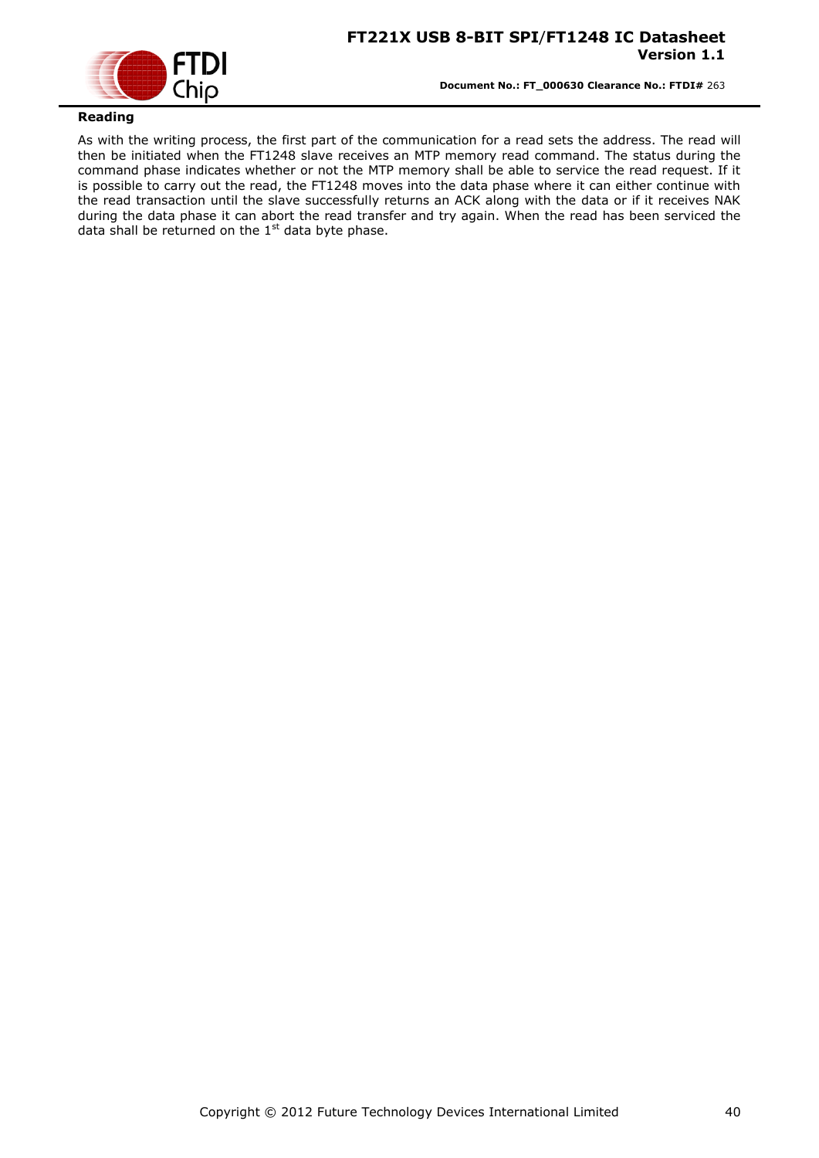

#### **Reading**

As with the writing process, the first part of the communication for a read sets the address. The read will then be initiated when the FT1248 slave receives an MTP memory read command. The status during the command phase indicates whether or not the MTP memory shall be able to service the read request. If it is possible to carry out the read, the FT1248 moves into the data phase where it can either continue with the read transaction until the slave successfully returns an ACK along with the data or if it receives NAK during the data phase it can abort the read transfer and try again. When the read has been serviced the data shall be returned on the  $1<sup>st</sup>$  data byte phase.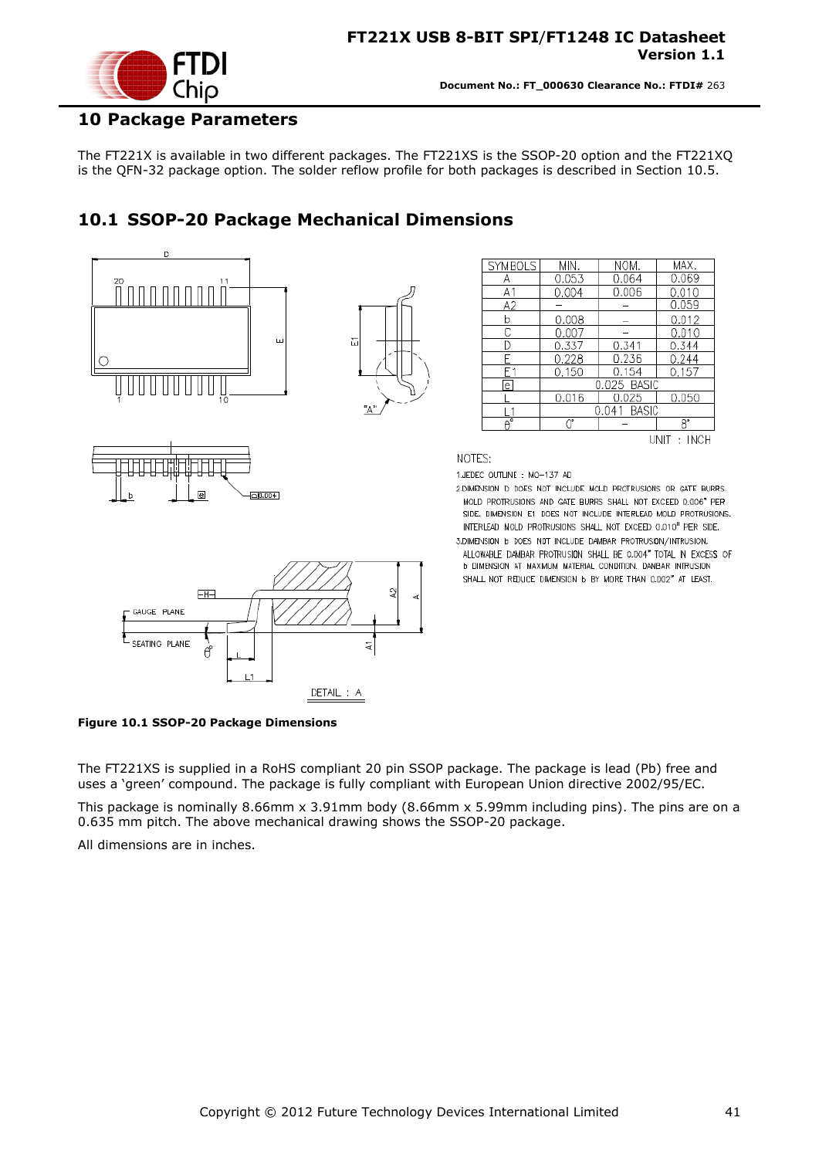

#### <span id="page-40-0"></span>**10 Package Parameters**

The FT221X is available in two different packages. The FT221XS is the SSOP-20 option and the FT221XQ is the QFN-32 package option. The solder reflow profile for both packages is described in Section [10.5.](#page-44-0)

### <span id="page-40-1"></span>**10.1 SSOP-20 Package Mechanical Dimensions**



DETAIL: A

 $0.010$  $0.337$ 0.341  $0.344$  $0.228$ 0.236  $0.244$  $0.150$ 0.154  $0.157$ .025 BASK 0.016 0.025 0.050  $.041$  BASI  $\overline{8}$ UNIT: INCH

MAX.

0.069

0.010

 $0.059$ 

0.012

**NOM** 

0.064

0.006

- 2 DIMENSION D DOES NOT INCLUDE MOLD PROTRUSIONS OR GATE BURRS. MOLD PROTRUSIONS AND GATE BURRS SHALL NOT EXCEED 0.006" PER SIDE, DIMENSION E1 DOES NOT INCLUDE INTERLEAD MOLD PROTRUSIONS. INTERLEAD MOLD PROTRUSIONS SHALL NOT EXCEED CLOUD" PER SIDE.
- 3.DIMENSION b DOES NOT INCLUDE DAMBAR PROTRUSION/INTRUSION. ALLOWABLE DAMBAR PROTRUSION SHALL BE 0.004" TOTAL IN EXCESS OF **b DIMENSION AT MAXIMUM MATERIAL CONDITION. DAMBAR INTRUSION** SHALL NOT REDUCE DIMENSION 6 BY MORE THAN 0.002" AT LEAST.

<span id="page-40-2"></span>**Figure 10.1 SSOP-20 Package Dimensions**

The FT221XS is supplied in a RoHS compliant 20 pin SSOP package. The package is lead (Pb) free and uses a "green" compound. The package is fully compliant with European Union directive 2002/95/EC.

This package is nominally 8.66mm x 3.91mm body (8.66mm x 5.99mm including pins). The pins are on a 0.635 mm pitch. The above mechanical drawing shows the SSOP-20 package.

All dimensions are in inches.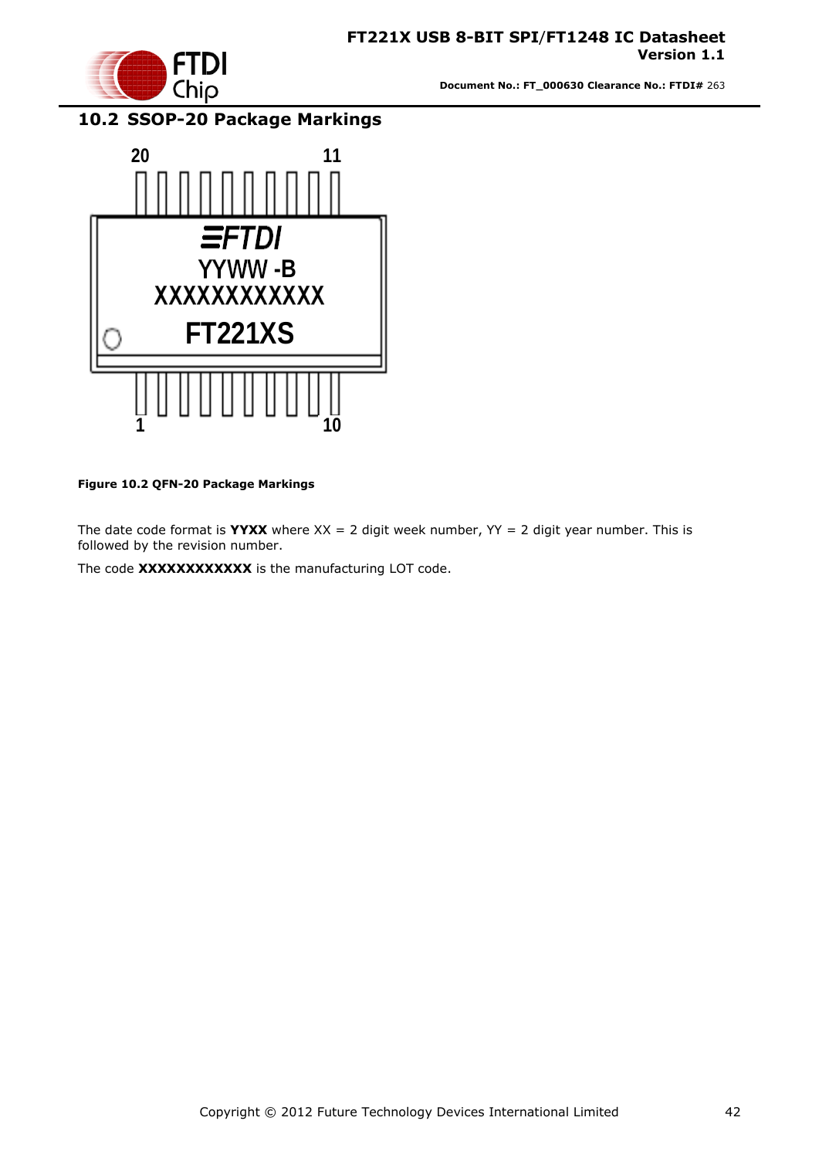

# <span id="page-41-0"></span>**10.2 SSOP-20 Package Markings**



#### <span id="page-41-1"></span>**Figure 10.2 QFN-20 Package Markings**

The date code format is **YYXX** where  $XX = 2$  digit week number,  $YY = 2$  digit year number. This is followed by the revision number.

The code **XXXXXXXXXXXX** is the manufacturing LOT code.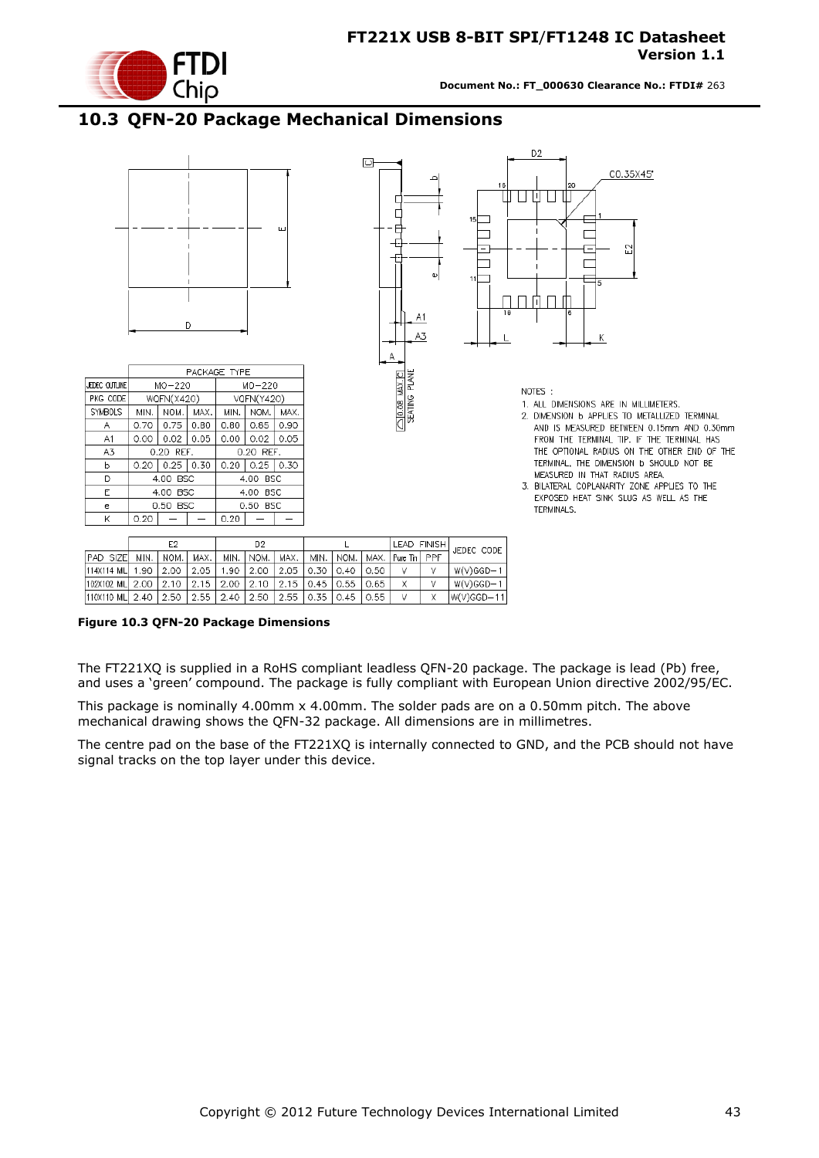

### <span id="page-42-0"></span>**10.3 QFN-20 Package Mechanical Dimensions**



|                                                                           |                    |  | D2 |                    |                      | ILLAD FINISHT |     | JEDEC CODE    |
|---------------------------------------------------------------------------|--------------------|--|----|--------------------|----------------------|---------------|-----|---------------|
| <b>PAD SIZEL</b>                                                          | MIN.   NOM.   MAX. |  |    | MIN.   NOM.   MAX. | I MIN.   NOM.   MAX. | Pure Tin I    | PPF |               |
| 114X114 MIL  1.90   2.00   2.05   1.90   2.00   2.05   0.30   0.40   0.50 |                    |  |    |                    |                      |               |     | $W(V)$ GGD-1  |
| 102X102 MIL 2.00   2.10   2.15   2.00   2.10   2.15   0.45   0.55   0.65  |                    |  |    |                    |                      |               |     | $W(V)GGD-1$   |
| 110X110 MIL  2.40   2.50   2.55   2.40   2.50   2.55   0.35   0.45   0.55 |                    |  |    |                    |                      |               |     | $ W(V)GGD-11$ |

<span id="page-42-1"></span>**Figure 10.3 QFN-20 Package Dimensions**

The FT221XQ is supplied in a RoHS compliant leadless QFN-20 package. The package is lead (Pb) free, and uses a "green" compound. The package is fully compliant with European Union directive 2002/95/EC.

This package is nominally 4.00mm x 4.00mm. The solder pads are on a 0.50mm pitch. The above mechanical drawing shows the QFN-32 package. All dimensions are in millimetres.

The centre pad on the base of the FT221XQ is internally connected to GND, and the PCB should not have signal tracks on the top layer under this device.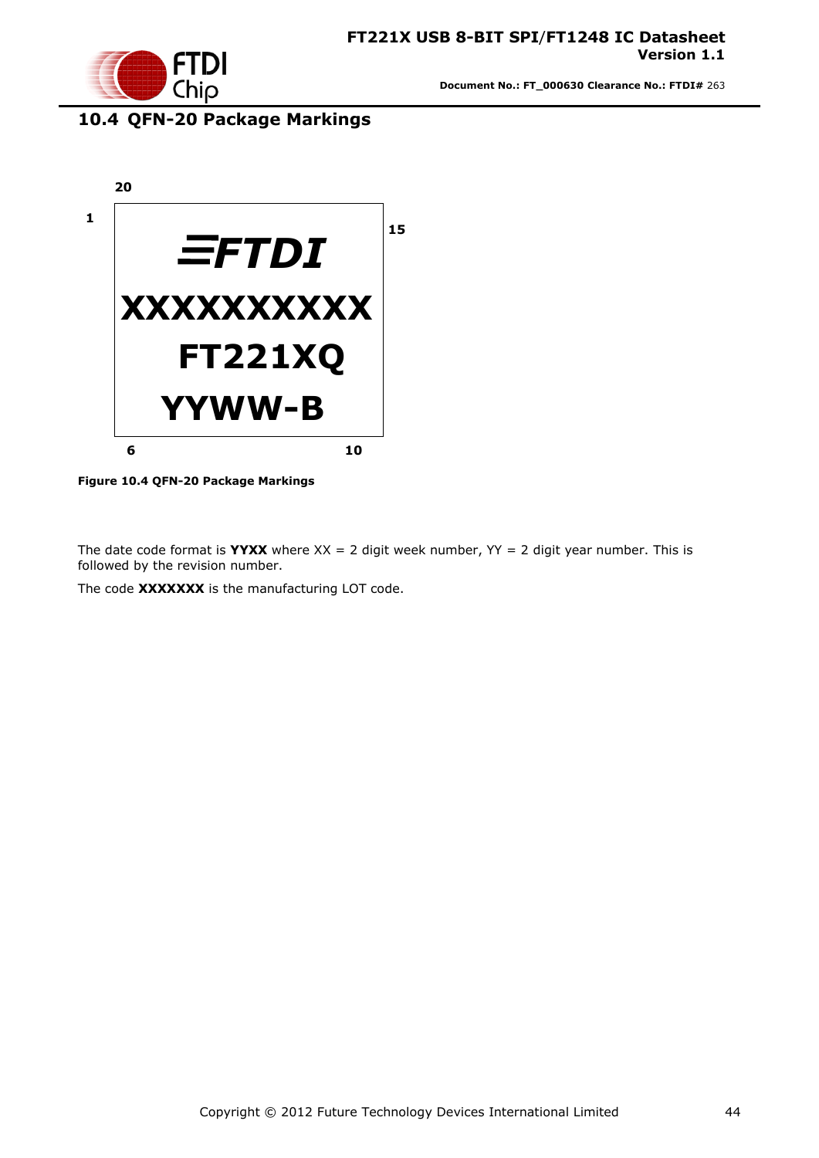

### <span id="page-43-0"></span>**10.4 QFN-20 Package Markings**



**Figure 10.4 QFN-20 Package Markings**

<span id="page-43-1"></span>The date code format is **YYXX** where  $XX = 2$  digit week number,  $YY = 2$  digit year number. This is followed by the revision number.

The code **XXXXXXX** is the manufacturing LOT code.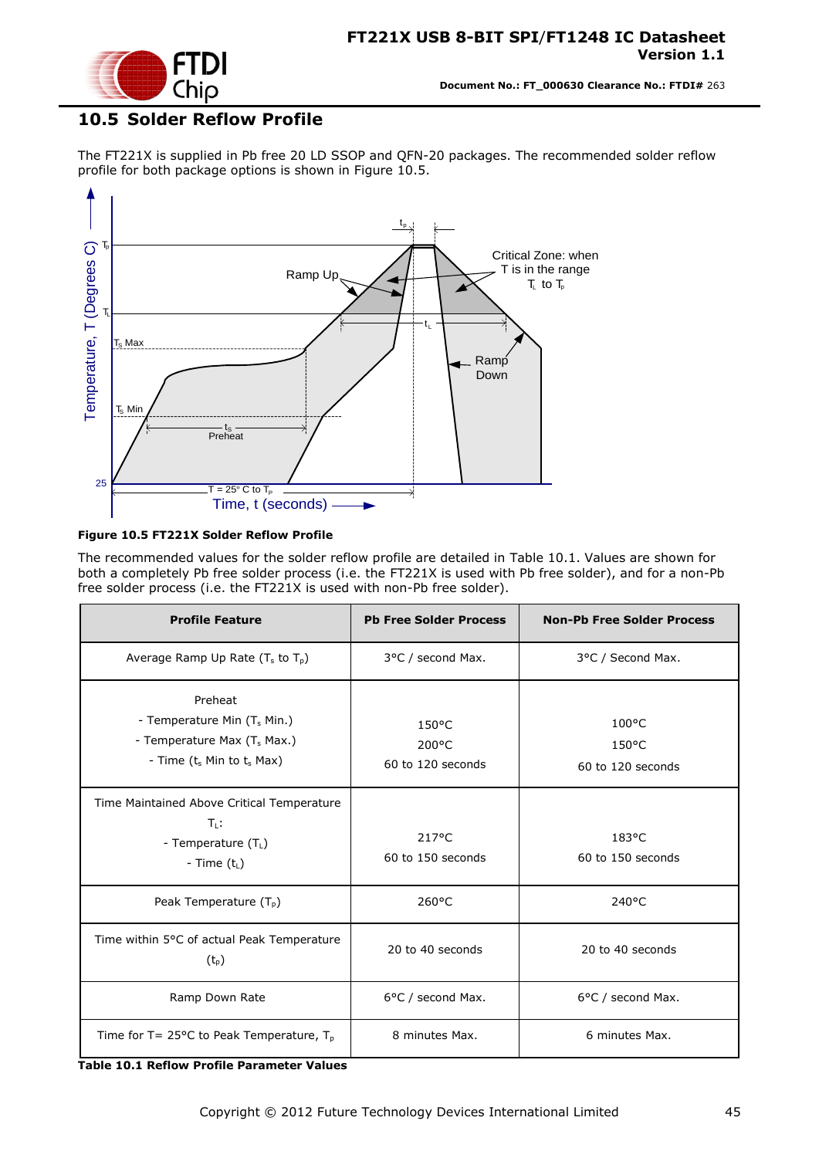

### <span id="page-44-0"></span>**10.5 Solder Reflow Profile**

The FT221X is supplied in Pb free 20 LD SSOP and QFN-20 packages. The recommended solder reflow profile for both package options is shown in [Figure 10.5.](#page-44-1)



#### <span id="page-44-1"></span>**Figure 10.5 FT221X Solder Reflow Profile**

The recommended values for the solder reflow profile are detailed in [Table 10.1.](#page-44-2) Values are shown for both a completely Pb free solder process (i.e. the FT221X is used with Pb free solder), and for a non-Pb free solder process (i.e. the FT221X is used with non-Pb free solder).

| <b>Profile Feature</b>                                                                                                           | <b>Pb Free Solder Process</b>                 | <b>Non-Pb Free Solder Process</b>                       |
|----------------------------------------------------------------------------------------------------------------------------------|-----------------------------------------------|---------------------------------------------------------|
| Average Ramp Up Rate $(T_s$ to $T_p$ )                                                                                           | 3°C / second Max.                             | 3°C / Second Max.                                       |
| Preheat<br>- Temperature Min (T <sub>s</sub> Min.)<br>- Temperature Max (T <sub>s</sub> Max.)<br>- Time $(t_s$ Min to $t_s$ Max) | $150^{\circ}$ C<br>200°C<br>60 to 120 seconds | $100^{\circ}$ C<br>$150^{\circ}$ C<br>60 to 120 seconds |
| Time Maintained Above Critical Temperature<br>$T_{\rm L}$ :<br>- Temperature $(T_L)$<br>- Time $(t_L)$                           | $217^{\circ}$ C<br>60 to 150 seconds          | 183°C<br>60 to 150 seconds                              |
| Peak Temperature $(T_{p})$                                                                                                       | $260^{\circ}$ C                               | $240^{\circ}$ C                                         |
| Time within 5°C of actual Peak Temperature<br>$(t_{p})$                                                                          | 20 to 40 seconds                              | 20 to 40 seconds                                        |
| Ramp Down Rate                                                                                                                   | 6°C / second Max.                             | 6°C / second Max.                                       |
| Time for T= 25 $\degree$ C to Peak Temperature, T <sub>p</sub>                                                                   | 8 minutes Max.                                | 6 minutes Max.                                          |

<span id="page-44-2"></span>**Table 10.1 Reflow Profile Parameter Values**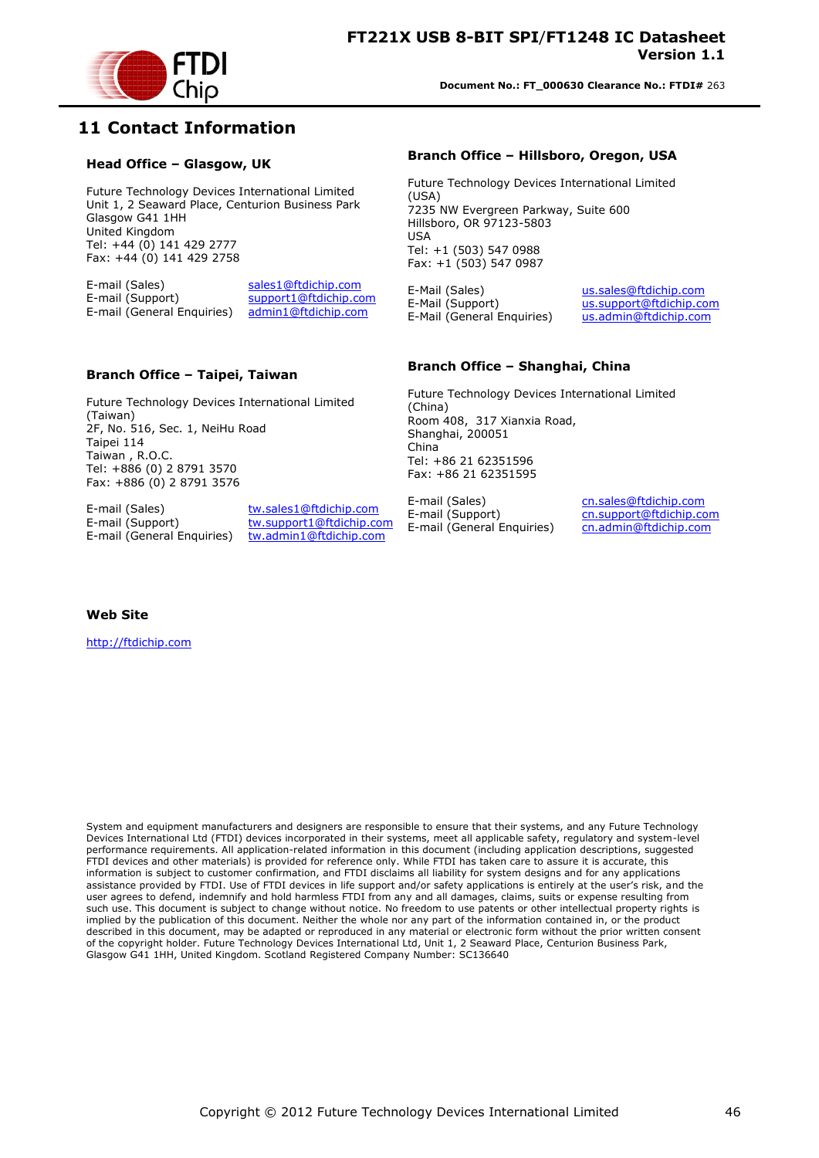

### <span id="page-45-0"></span>**11 Contact Information**

#### **Head Office – Glasgow, UK**

Future Technology Devices International Limited Unit 1, 2 Seaward Place, Centurion Business Park Glasgow G41 1HH United Kingdom Tel: +44 (0) 141 429 2777 Fax: +44 (0) 141 429 2758

E-mail (Sales) sales1@ftdichip.com<br>E-mail (Support) support1@ftdichip.com support1@ftdichip.com E-mail (General Enquiries) admin1@ftdichip.com

#### **Branch Office – Taipei, Taiwan**

Future Technology Devices International Limited (Taiwan) 2F, No. 516, Sec. 1, NeiHu Road Taipei 114 Taiwan , R.O.C. Tel: +886 (0) 2 8791 3570 Fax: +886 (0) 2 8791 3576

E-mail (Sales) tw.sales1@ftdichip.com E-mail (General Enquiries) tw.admin1@ftdichip.com

E-mail (Support) tw.support1@ftdichip.com

#### **Branch Office – Hillsboro, Oregon, USA**

Future Technology Devices International Limited (USA) 7235 NW Evergreen Parkway, Suite 600 Hillsboro, OR 97123-5803 USA Tel: +1 (503) 547 0988 Fax: +1 (503) 547 0987

E-Mail (Sales) us.sales@ftdichip.com E-Mail (Support) us.support@ftdichip.com<br>E-Mail (General Enquiries) us.admin@ftdichip.com E-Mail (General Enquiries)

#### **Branch Office – Shanghai, China**

Future Technology Devices International Limited (China) Room 408, 317 Xianxia Road, Shanghai, 200051 China Tel: +86 21 62351596 Fax: +86 21 62351595

E-mail (Sales) cn.sales@ftdichip.com E-mail (Support) cn.support@ftdichip.com E-mail (General Enquiries) cn.admin@ftdichip.com

**Web Site**

http://ftdichip.com

System and equipment manufacturers and designers are responsible to ensure that their systems, and any Future Technology Devices International Ltd (FTDI) devices incorporated in their systems, meet all applicable safety, regulatory and system-level performance requirements. All application-related information in this document (including application descriptions, suggested FTDI devices and other materials) is provided for reference only. While FTDI has taken care to assure it is accurate, this information is subject to customer confirmation, and FTDI disclaims all liability for system designs and for any applications assistance provided by FTDI. Use of FTDI devices in life support and/or safety applications is entirely at the user"s risk, and the user agrees to defend, indemnify and hold harmless FTDI from any and all damages, claims, suits or expense resulting from such use. This document is subject to change without notice. No freedom to use patents or other intellectual property rights is implied by the publication of this document. Neither the whole nor any part of the information contained in, or the product described in this document, may be adapted or reproduced in any material or electronic form without the prior written consent of the copyright holder. Future Technology Devices International Ltd, Unit 1, 2 Seaward Place, Centurion Business Park, Glasgow G41 1HH, United Kingdom. Scotland Registered Company Number: SC136640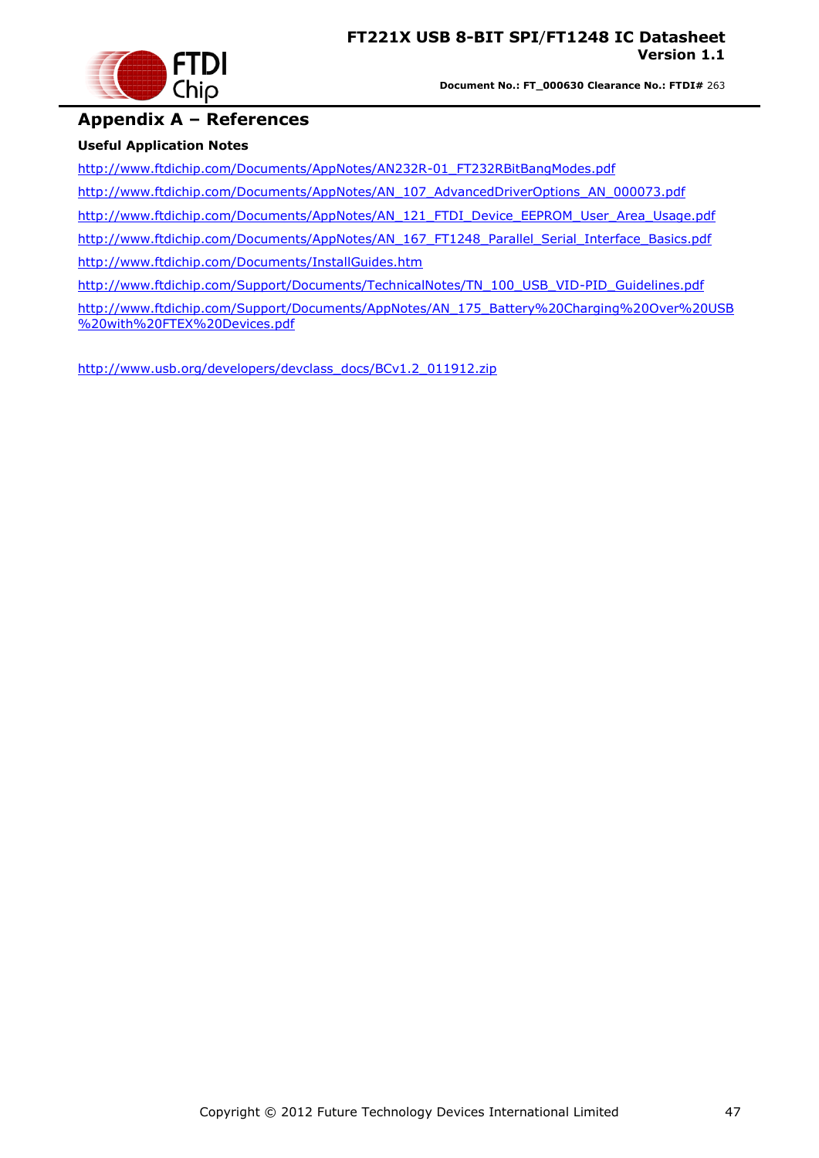

#### <span id="page-46-0"></span>**Appendix A – References**

#### **Useful Application Notes**

[http://www.ftdichip.com/Documents/AppNotes/AN232R-01\\_FT232RBitBangModes.pdf](http://www.ftdichip.com/Documents/AppNotes/AN232R-01_FT232RBitBangModes.pdf)

[http://www.ftdichip.com/Documents/AppNotes/AN\\_107\\_AdvancedDriverOptions\\_AN\\_000073.pdf](http://www.ftdichip.com/Documents/AppNotes/AN_107_AdvancedDriverOptions_AN_000073.pdf)

[http://www.ftdichip.com/Documents/AppNotes/AN\\_121\\_FTDI\\_Device\\_EEPROM\\_User\\_Area\\_Usage.pdf](http://www.ftdichip.com/Documents/AppNotes/AN_121_FTDI_Device_EEPROM_User_Area_Usage.pdf)

[http://www.ftdichip.com/Documents/AppNotes/AN\\_167\\_FT1248\\_Parallel\\_Serial\\_Interface\\_Basics.pdf](http://www.ftdichip.com/Documents/AppNotes/AN_167_FT1248_Parallel_Serial_Interface_Basics.pdf)

<http://www.ftdichip.com/Documents/InstallGuides.htm>

[http://www.ftdichip.com/Support/Documents/TechnicalNotes/TN\\_100\\_USB\\_VID-PID\\_Guidelines.pdf](http://www.ftdichip.com/Support/Documents/TechnicalNotes/TN_100_USB_VID-PID_Guidelines.pdf)

[http://www.ftdichip.com/Support/Documents/AppNotes/AN\\_175\\_Battery%20Charging%20Over%20USB](http://www.ftdichip.com/Support/Documents/AppNotes/AN_175_Battery%20Charging%20Over%20USB%20with%20FTEX%20Devices.pdf) [%20with%20FTEX%20Devices.pdf](http://www.ftdichip.com/Support/Documents/AppNotes/AN_175_Battery%20Charging%20Over%20USB%20with%20FTEX%20Devices.pdf)

[http://www.usb.org/developers/devclass\\_docs/BCv1.2\\_011912.zip](http://www.usb.org/developers/devclass_docs/BCv1.2_011912.zip)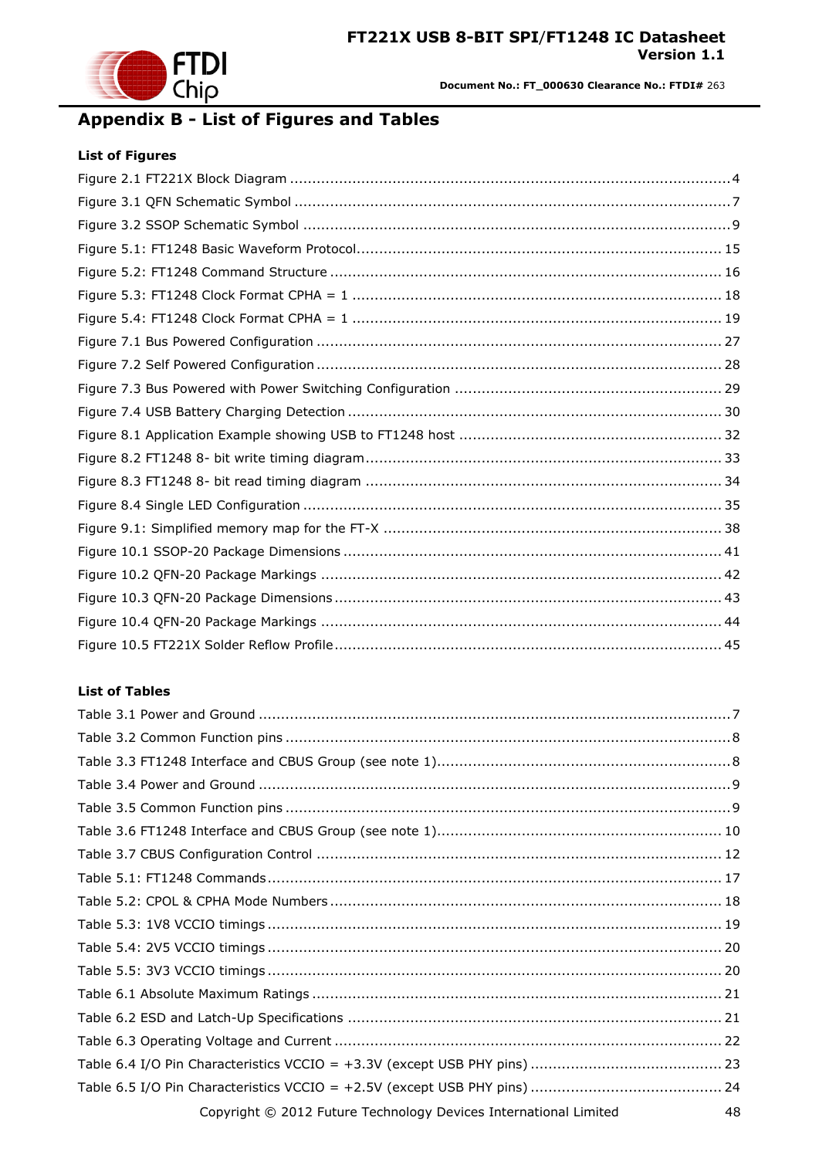

# <span id="page-47-0"></span>**Appendix B - List of Figures and Tables**

#### **List of Figures**

#### **List of Tables**

| Copyright © 2012 Future Technology Devices International Limited<br>48 |
|------------------------------------------------------------------------|